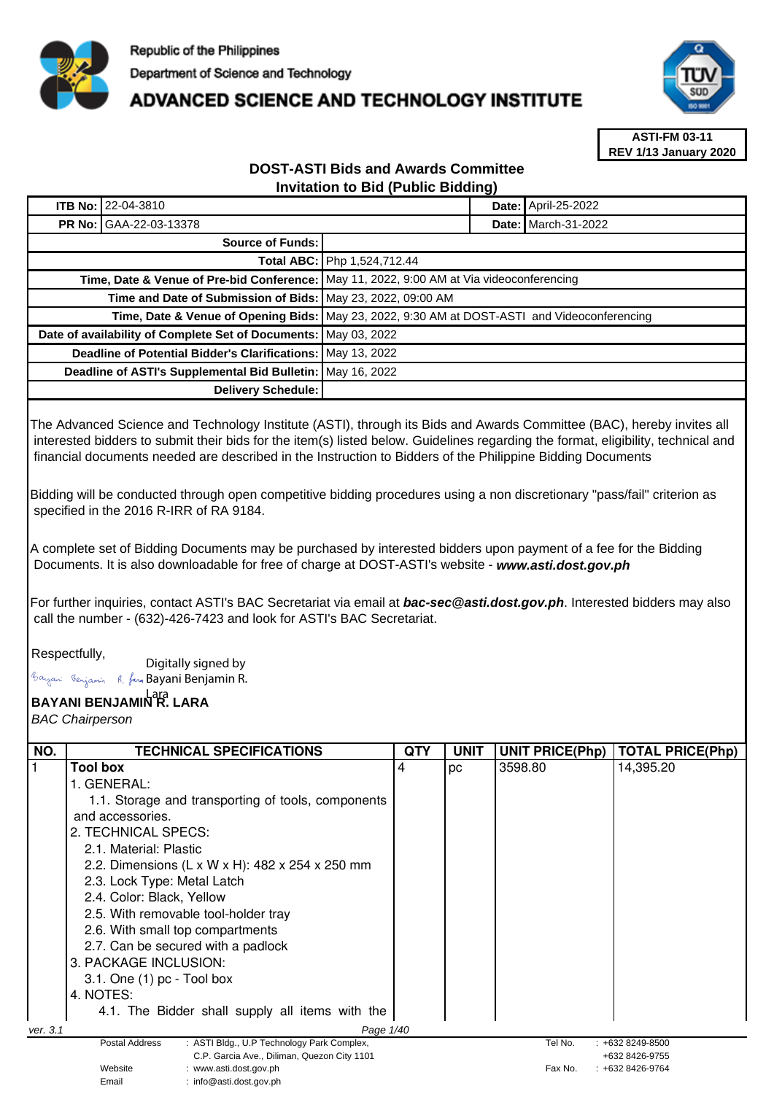

## **ADVANCED SCIENCE AND TECHNOLOGY INSTITUTE**



**ASTI-FM 03-11 REV 1/13 January 2020**

## **DOST-ASTI Bids and Awards Committee Invitation to Bid (Public Bidding)**

| <b>ITB No: 22-04-3810</b>                                                                    |                                                                                          |  | Date: April-25-2022        |
|----------------------------------------------------------------------------------------------|------------------------------------------------------------------------------------------|--|----------------------------|
| <b>PR No: GAA-22-03-13378</b>                                                                |                                                                                          |  | <b>Date: March-31-2022</b> |
| Source of Funds:                                                                             |                                                                                          |  |                            |
| Total ABC: Php 1,524,712.44                                                                  |                                                                                          |  |                            |
|                                                                                              | Time, Date & Venue of Pre-bid Conference: May 11, 2022, 9:00 AM at Via videoconferencing |  |                            |
| Time and Date of Submission of Bids: May 23, 2022, 09:00 AM                                  |                                                                                          |  |                            |
| Time, Date & Venue of Opening Bids: May 23, 2022, 9:30 AM at DOST-ASTI and Videoconferencing |                                                                                          |  |                            |
| Date of availability of Complete Set of Documents: May 03, 2022                              |                                                                                          |  |                            |
| Deadline of Potential Bidder's Clarifications: May 13, 2022                                  |                                                                                          |  |                            |
| Deadline of ASTI's Supplemental Bid Bulletin: May 16, 2022                                   |                                                                                          |  |                            |
| Delivery Schedule:                                                                           |                                                                                          |  |                            |

The Advanced Science and Technology Institute (ASTI), through its Bids and Awards Committee (BAC), hereby invites all interested bidders to submit their bids for the item(s) listed below. Guidelines regarding the format, eligibility, technical and financial documents needed are described in the Instruction to Bidders of the Philippine Bidding Documents

Bidding will be conducted through open competitive bidding procedures using a non discretionary "pass/fail" criterion as specified in the 2016 R-IRR of RA 9184.

A complete set of Bidding Documents may be purchased by interested bidders upon payment of a fee for the Bidding Documents. It is also downloadable for free of charge at DOST-ASTI's website - **www.asti.dost.gov.ph**

For further inquiries, contact ASTI's BAC Secretariat via email at **bac-sec@asti.dost.gov.ph**. Interested bidders may also call the number - (632)-426-7423 and look for ASTI's BAC Secretariat.

## Respectfully,

Digitally signed by Bayani Benjamin R. fan Bayani Benjamin R.

Email : info@asti.dost.gov.ph

## **BAYANI BENJAMIN R. LARA**  Lara

BAC Chairperson

| NO.      | TECHNICAL SPECIFICATIONS                                                         | QTY | UNIT | <b>UNIT PRICE(Php)</b> | <b>TOTAL PRICE(Php)</b>               |
|----------|----------------------------------------------------------------------------------|-----|------|------------------------|---------------------------------------|
|          | <b>Tool box</b>                                                                  | 4   | рc   | 3598.80                | 14,395.20                             |
|          | 1. GENERAL:                                                                      |     |      |                        |                                       |
|          | 1.1. Storage and transporting of tools, components                               |     |      |                        |                                       |
|          | and accessories.                                                                 |     |      |                        |                                       |
|          | 2. TECHNICAL SPECS:                                                              |     |      |                        |                                       |
|          | 2.1. Material: Plastic                                                           |     |      |                        |                                       |
|          | 2.2. Dimensions (L x W x H): 482 x 254 x 250 mm                                  |     |      |                        |                                       |
|          | 2.3. Lock Type: Metal Latch                                                      |     |      |                        |                                       |
|          | 2.4. Color: Black, Yellow                                                        |     |      |                        |                                       |
|          | 2.5. With removable tool-holder tray                                             |     |      |                        |                                       |
|          | 2.6. With small top compartments                                                 |     |      |                        |                                       |
|          | 2.7. Can be secured with a padlock                                               |     |      |                        |                                       |
|          | 3. PACKAGE INCLUSION:                                                            |     |      |                        |                                       |
|          | $3.1.$ One $(1)$ pc - Tool box                                                   |     |      |                        |                                       |
|          | 4. NOTES:                                                                        |     |      |                        |                                       |
|          | 4.1. The Bidder shall supply all items with the                                  |     |      |                        |                                       |
| ver. 3.1 | Page 1/40                                                                        |     |      |                        |                                       |
|          | : ASTI Bldg., U.P Technology Park Complex,<br><b>Postal Address</b>              |     |      | Tel No.                | $: +6328249 - 8500$                   |
|          | C.P. Garcia Ave., Diliman, Quezon City 1101<br>Website<br>: www.asti.dost.gov.ph |     |      | Fax No.                | +632 8426-9755<br>$: +6328426 - 9764$ |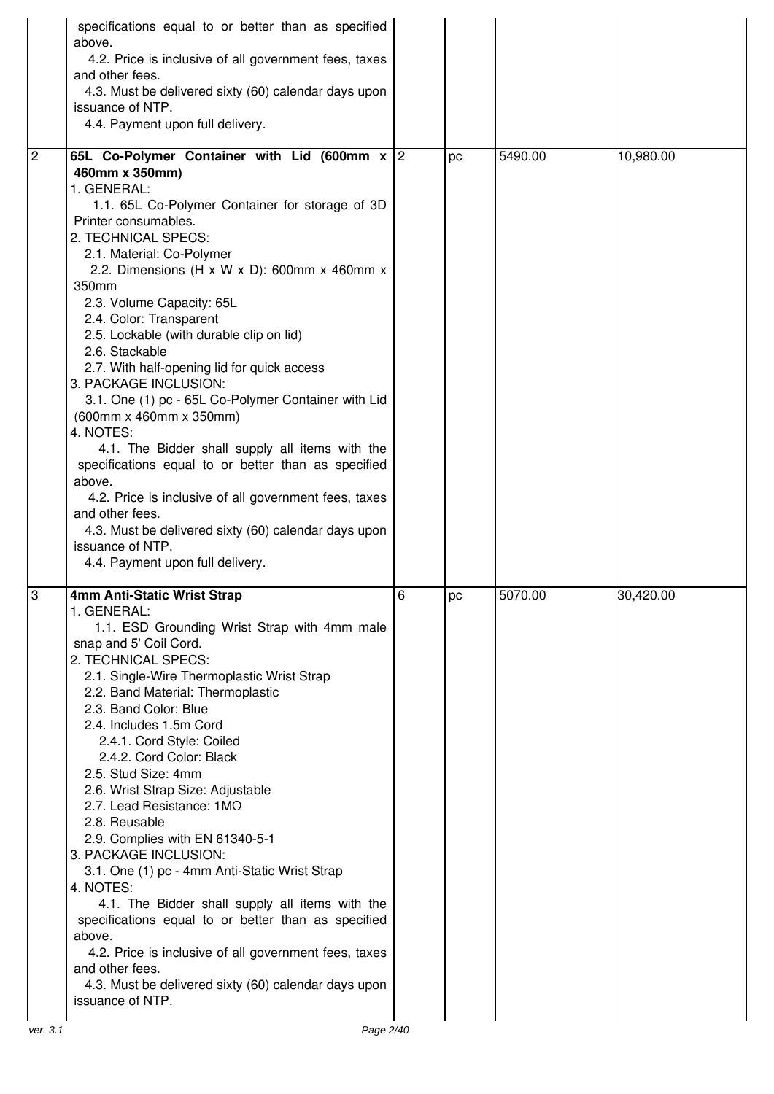|                | specifications equal to or better than as specified<br>above.<br>4.2. Price is inclusive of all government fees, taxes<br>and other fees.<br>4.3. Must be delivered sixty (60) calendar days upon<br>issuance of NTP.<br>4.4. Payment upon full delivery.                                                                                                                                                                                                                                                                                                                                                                                                                                                                                                                                                                                                                          |   |    |         |           |
|----------------|------------------------------------------------------------------------------------------------------------------------------------------------------------------------------------------------------------------------------------------------------------------------------------------------------------------------------------------------------------------------------------------------------------------------------------------------------------------------------------------------------------------------------------------------------------------------------------------------------------------------------------------------------------------------------------------------------------------------------------------------------------------------------------------------------------------------------------------------------------------------------------|---|----|---------|-----------|
| $\overline{2}$ | 65L Co-Polymer Container with Lid (600mm x 2<br>460mm x 350mm)<br>1. GENERAL:<br>1.1. 65L Co-Polymer Container for storage of 3D<br>Printer consumables.<br>2. TECHNICAL SPECS:<br>2.1. Material: Co-Polymer<br>2.2. Dimensions (H x W x D): 600mm x 460mm x<br>350mm<br>2.3. Volume Capacity: 65L<br>2.4. Color: Transparent<br>2.5. Lockable (with durable clip on lid)<br>2.6. Stackable<br>2.7. With half-opening lid for quick access<br>3. PACKAGE INCLUSION:<br>3.1. One (1) pc - 65L Co-Polymer Container with Lid<br>(600mm x 460mm x 350mm)<br>4. NOTES:<br>4.1. The Bidder shall supply all items with the<br>specifications equal to or better than as specified<br>above.<br>4.2. Price is inclusive of all government fees, taxes<br>and other fees.<br>4.3. Must be delivered sixty (60) calendar days upon<br>issuance of NTP.<br>4.4. Payment upon full delivery. |   | рc | 5490.00 | 10,980.00 |
| l3<br>ver. 3.1 | 4mm Anti-Static Wrist Strap<br>1. GENERAL:<br>1.1. ESD Grounding Wrist Strap with 4mm male<br>snap and 5' Coil Cord.<br>2. TECHNICAL SPECS:<br>2.1. Single-Wire Thermoplastic Wrist Strap<br>2.2. Band Material: Thermoplastic<br>2.3. Band Color: Blue<br>2.4. Includes 1.5m Cord<br>2.4.1. Cord Style: Coiled<br>2.4.2. Cord Color: Black<br>2.5. Stud Size: 4mm<br>2.6. Wrist Strap Size: Adjustable<br>2.7. Lead Resistance: 1MQ<br>2.8. Reusable<br>2.9. Complies with EN 61340-5-1<br>3. PACKAGE INCLUSION:<br>3.1. One (1) pc - 4mm Anti-Static Wrist Strap<br>4. NOTES:<br>4.1. The Bidder shall supply all items with the<br>specifications equal to or better than as specified<br>above.<br>4.2. Price is inclusive of all government fees, taxes<br>and other fees.<br>4.3. Must be delivered sixty (60) calendar days upon<br>issuance of NTP.<br>Page 2/40           | 6 | pc | 5070.00 | 30,420.00 |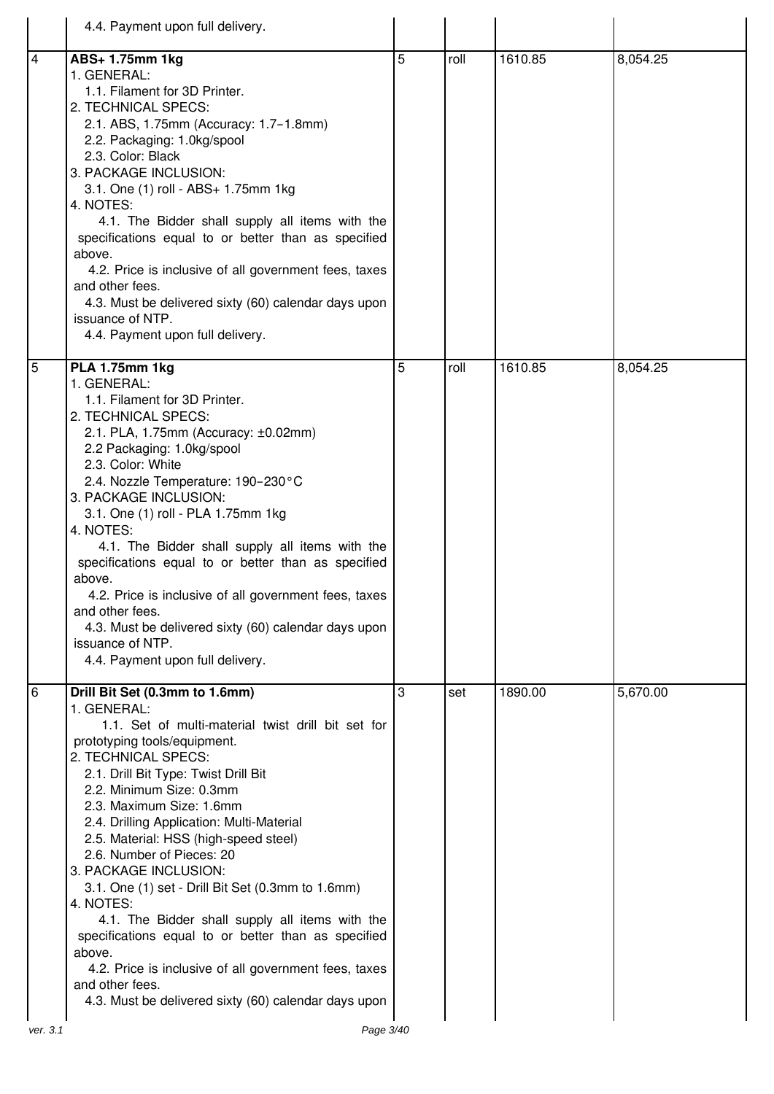|                | 4.4. Payment upon full delivery.                                                                                                                                                                                                                                                                                                                                                                                                                                                                                                                                                                                                                                                                                                 |   |      |         |          |
|----------------|----------------------------------------------------------------------------------------------------------------------------------------------------------------------------------------------------------------------------------------------------------------------------------------------------------------------------------------------------------------------------------------------------------------------------------------------------------------------------------------------------------------------------------------------------------------------------------------------------------------------------------------------------------------------------------------------------------------------------------|---|------|---------|----------|
| $\overline{4}$ | ABS+ 1.75mm 1kg<br>1. GENERAL:<br>1.1. Filament for 3D Printer.<br>2. TECHNICAL SPECS:<br>2.1. ABS, 1.75mm (Accuracy: 1.7-1.8mm)<br>2.2. Packaging: 1.0kg/spool<br>2.3. Color: Black<br>3. PACKAGE INCLUSION:<br>3.1. One (1) roll - ABS+ 1.75mm 1kg<br>4. NOTES:<br>4.1. The Bidder shall supply all items with the<br>specifications equal to or better than as specified<br>above.<br>4.2. Price is inclusive of all government fees, taxes<br>and other fees.<br>4.3. Must be delivered sixty (60) calendar days upon<br>issuance of NTP.<br>4.4. Payment upon full delivery.                                                                                                                                                | 5 | roll | 1610.85 | 8,054.25 |
| $\overline{5}$ | <b>PLA 1.75mm 1kg</b><br>1. GENERAL:<br>1.1. Filament for 3D Printer.<br>2. TECHNICAL SPECS:<br>2.1. PLA, 1.75mm (Accuracy: ±0.02mm)<br>2.2 Packaging: 1.0kg/spool<br>2.3. Color: White<br>2.4. Nozzle Temperature: 190-230°C<br>3. PACKAGE INCLUSION:<br>3.1. One (1) roll - PLA 1.75mm 1kg<br>4. NOTES:<br>4.1. The Bidder shall supply all items with the<br>specifications equal to or better than as specified<br>above.<br>4.2. Price is inclusive of all government fees, taxes<br>and other fees.<br>4.3. Must be delivered sixty (60) calendar days upon<br>issuance of NTP.<br>4.4. Payment upon full delivery.                                                                                                        | 5 | roll | 1610.85 | 8,054.25 |
| 6              | Drill Bit Set (0.3mm to 1.6mm)<br>1. GENERAL:<br>1.1. Set of multi-material twist drill bit set for<br>prototyping tools/equipment.<br>2. TECHNICAL SPECS:<br>2.1. Drill Bit Type: Twist Drill Bit<br>2.2. Minimum Size: 0.3mm<br>2.3. Maximum Size: 1.6mm<br>2.4. Drilling Application: Multi-Material<br>2.5. Material: HSS (high-speed steel)<br>2.6. Number of Pieces: 20<br>3. PACKAGE INCLUSION:<br>3.1. One (1) set - Drill Bit Set (0.3mm to 1.6mm)<br>4. NOTES:<br>4.1. The Bidder shall supply all items with the<br>specifications equal to or better than as specified<br>above.<br>4.2. Price is inclusive of all government fees, taxes<br>and other fees.<br>4.3. Must be delivered sixty (60) calendar days upon | 3 | set  | 1890.00 | 5,670.00 |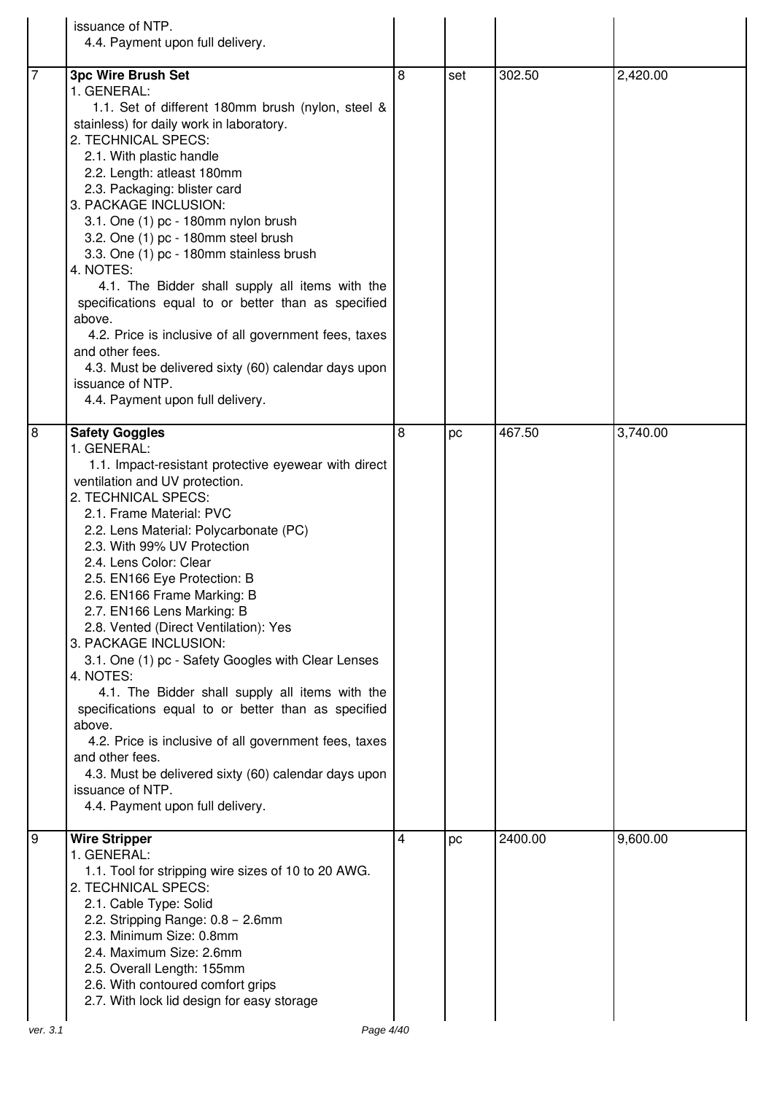|                | issuance of NTP.<br>4.4. Payment upon full delivery.                                                                                                                                                                                                                                                                                                                                                                                                                                                                                                                                                                                                                                                                                                                                                                                   |   |     |         |          |
|----------------|----------------------------------------------------------------------------------------------------------------------------------------------------------------------------------------------------------------------------------------------------------------------------------------------------------------------------------------------------------------------------------------------------------------------------------------------------------------------------------------------------------------------------------------------------------------------------------------------------------------------------------------------------------------------------------------------------------------------------------------------------------------------------------------------------------------------------------------|---|-----|---------|----------|
| $\overline{7}$ | <b>3pc Wire Brush Set</b><br>1. GENERAL:<br>1.1. Set of different 180mm brush (nylon, steel &<br>stainless) for daily work in laboratory.<br>2. TECHNICAL SPECS:<br>2.1. With plastic handle<br>2.2. Length: atleast 180mm<br>2.3. Packaging: blister card<br>3. PACKAGE INCLUSION:<br>3.1. One (1) pc - 180mm nylon brush<br>3.2. One (1) pc - 180mm steel brush<br>3.3. One (1) pc - 180mm stainless brush<br>4. NOTES:<br>4.1. The Bidder shall supply all items with the<br>specifications equal to or better than as specified<br>above.<br>4.2. Price is inclusive of all government fees, taxes<br>and other fees.<br>4.3. Must be delivered sixty (60) calendar days upon<br>issuance of NTP.<br>4.4. Payment upon full delivery.                                                                                              | 8 | set | 302.50  | 2,420.00 |
| 8              | <b>Safety Goggles</b><br>1. GENERAL:<br>1.1. Impact-resistant protective eyewear with direct<br>ventilation and UV protection.<br>2. TECHNICAL SPECS:<br>2.1. Frame Material: PVC<br>2.2. Lens Material: Polycarbonate (PC)<br>2.3. With 99% UV Protection<br>2.4. Lens Color: Clear<br>2.5. EN166 Eye Protection: B<br>2.6. EN166 Frame Marking: B<br>2.7. EN166 Lens Marking: B<br>2.8. Vented (Direct Ventilation): Yes<br>3. PACKAGE INCLUSION:<br>3.1. One (1) pc - Safety Googles with Clear Lenses<br>4. NOTES:<br>4.1. The Bidder shall supply all items with the<br>specifications equal to or better than as specified<br>above.<br>4.2. Price is inclusive of all government fees, taxes<br>and other fees.<br>4.3. Must be delivered sixty (60) calendar days upon<br>issuance of NTP.<br>4.4. Payment upon full delivery. | 8 | pc  | 467.50  | 3,740.00 |
| 9              | <b>Wire Stripper</b><br>1. GENERAL:<br>1.1. Tool for stripping wire sizes of 10 to 20 AWG.<br>2. TECHNICAL SPECS:<br>2.1. Cable Type: Solid<br>2.2. Stripping Range: 0.8 - 2.6mm<br>2.3. Minimum Size: 0.8mm<br>2.4. Maximum Size: 2.6mm<br>2.5. Overall Length: 155mm<br>2.6. With contoured comfort grips<br>2.7. With lock lid design for easy storage                                                                                                                                                                                                                                                                                                                                                                                                                                                                              | 4 | pc  | 2400.00 | 9,600.00 |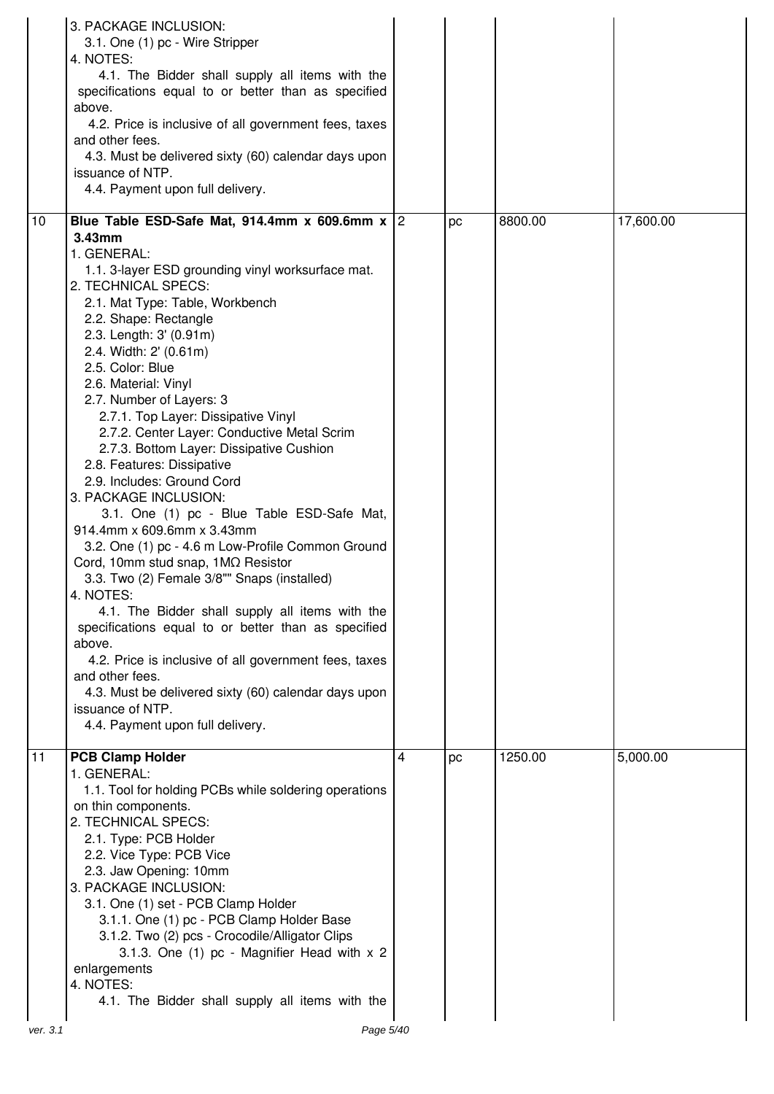|                 | 3. PACKAGE INCLUSION:<br>3.1. One (1) pc - Wire Stripper<br>4. NOTES:<br>4.1. The Bidder shall supply all items with the<br>specifications equal to or better than as specified<br>above.<br>4.2. Price is inclusive of all government fees, taxes<br>and other fees.<br>4.3. Must be delivered sixty (60) calendar days upon<br>issuance of NTP.<br>4.4. Payment upon full delivery.                                                                                                                                                                                                                                                                                                                                                                                                                                                                                                                                                                                                                                                                                |   |    |         |           |
|-----------------|----------------------------------------------------------------------------------------------------------------------------------------------------------------------------------------------------------------------------------------------------------------------------------------------------------------------------------------------------------------------------------------------------------------------------------------------------------------------------------------------------------------------------------------------------------------------------------------------------------------------------------------------------------------------------------------------------------------------------------------------------------------------------------------------------------------------------------------------------------------------------------------------------------------------------------------------------------------------------------------------------------------------------------------------------------------------|---|----|---------|-----------|
| 10              | Blue Table ESD-Safe Mat, 914.4mm x 609.6mm x $ 2 $                                                                                                                                                                                                                                                                                                                                                                                                                                                                                                                                                                                                                                                                                                                                                                                                                                                                                                                                                                                                                   |   | pc | 8800.00 | 17,600.00 |
|                 | 3.43mm<br>1. GENERAL:<br>1.1. 3-layer ESD grounding vinyl worksurface mat.<br>2. TECHNICAL SPECS:<br>2.1. Mat Type: Table, Workbench<br>2.2. Shape: Rectangle<br>2.3. Length: 3' (0.91m)<br>2.4. Width: 2' (0.61m)<br>2.5. Color: Blue<br>2.6. Material: Vinyl<br>2.7. Number of Layers: 3<br>2.7.1. Top Layer: Dissipative Vinyl<br>2.7.2. Center Layer: Conductive Metal Scrim<br>2.7.3. Bottom Layer: Dissipative Cushion<br>2.8. Features: Dissipative<br>2.9. Includes: Ground Cord<br>3. PACKAGE INCLUSION:<br>3.1. One (1) pc - Blue Table ESD-Safe Mat,<br>914.4mm x 609.6mm x 3.43mm<br>3.2. One (1) pc - 4.6 m Low-Profile Common Ground<br>Cord, 10mm stud snap, 1MQ Resistor<br>3.3. Two (2) Female 3/8"" Snaps (installed)<br>4. NOTES:<br>4.1. The Bidder shall supply all items with the<br>specifications equal to or better than as specified<br>above.<br>4.2. Price is inclusive of all government fees, taxes<br>and other fees.<br>4.3. Must be delivered sixty (60) calendar days upon<br>issuance of NTP.<br>4.4. Payment upon full delivery. |   |    |         |           |
| $\overline{11}$ | <b>PCB Clamp Holder</b><br>1. GENERAL:                                                                                                                                                                                                                                                                                                                                                                                                                                                                                                                                                                                                                                                                                                                                                                                                                                                                                                                                                                                                                               | 4 | pc | 1250.00 | 5,000.00  |
|                 | 1.1. Tool for holding PCBs while soldering operations<br>on thin components.<br>2. TECHNICAL SPECS:<br>2.1. Type: PCB Holder<br>2.2. Vice Type: PCB Vice<br>2.3. Jaw Opening: 10mm<br>3. PACKAGE INCLUSION:<br>3.1. One (1) set - PCB Clamp Holder<br>3.1.1. One (1) pc - PCB Clamp Holder Base<br>3.1.2. Two (2) pcs - Crocodile/Alligator Clips<br>3.1.3. One (1) pc - Magnifier Head with x 2<br>enlargements<br>4. NOTES:<br>4.1. The Bidder shall supply all items with the                                                                                                                                                                                                                                                                                                                                                                                                                                                                                                                                                                                     |   |    |         |           |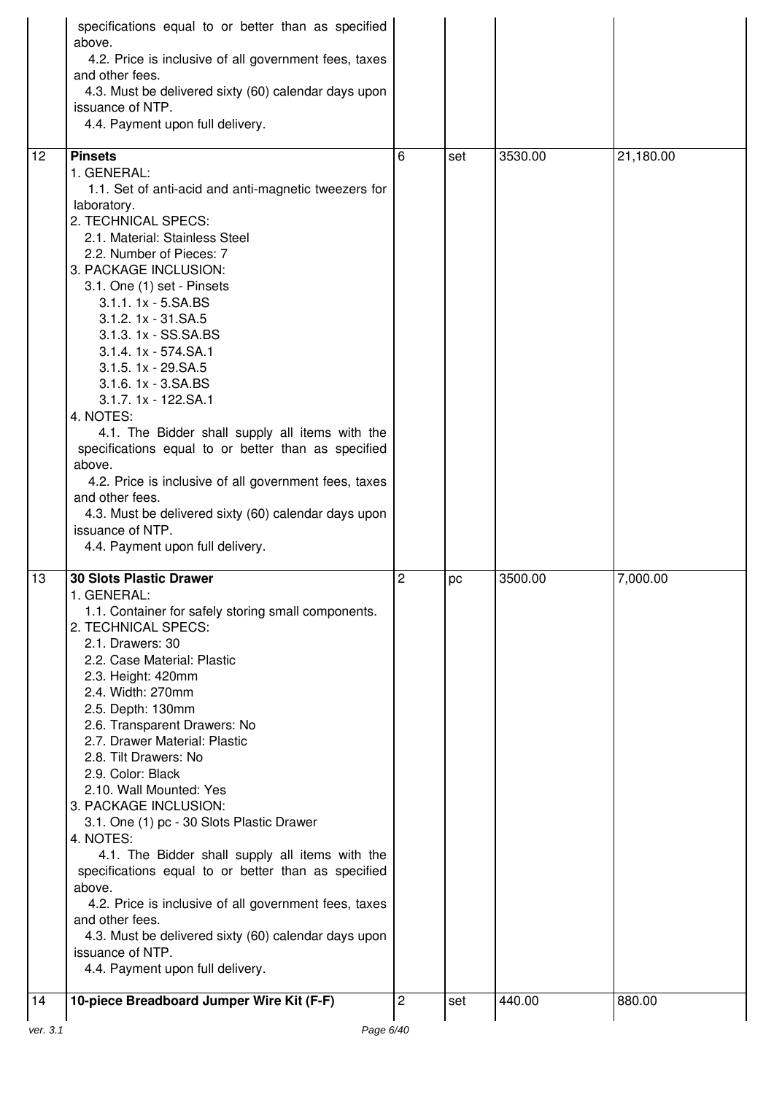|          | specifications equal to or better than as specified<br>above.<br>4.2. Price is inclusive of all government fees, taxes<br>and other fees.<br>4.3. Must be delivered sixty (60) calendar days upon<br>issuance of NTP.<br>4.4. Payment upon full delivery.                                                                                                                                                                                                                                                                                                                                                                                                                                                                                                                                   |                |     |         |           |
|----------|---------------------------------------------------------------------------------------------------------------------------------------------------------------------------------------------------------------------------------------------------------------------------------------------------------------------------------------------------------------------------------------------------------------------------------------------------------------------------------------------------------------------------------------------------------------------------------------------------------------------------------------------------------------------------------------------------------------------------------------------------------------------------------------------|----------------|-----|---------|-----------|
| 12       | <b>Pinsets</b><br>1. GENERAL:<br>1.1. Set of anti-acid and anti-magnetic tweezers for<br>laboratory.<br>2. TECHNICAL SPECS:<br>2.1. Material: Stainless Steel<br>2.2. Number of Pieces: 7<br>3. PACKAGE INCLUSION:<br>3.1. One (1) set - Pinsets<br>3.1.1. 1x - 5.SA.BS<br>3.1.2. 1x - 31.SA.5<br>3.1.3. 1x - SS.SA.BS<br>3.1.4. 1x - 574.SA.1<br>3.1.5. 1x - 29.SA.5<br>3.1.6. 1x - 3.SA.BS<br>3.1.7. 1x - 122.SA.1<br>4. NOTES:<br>4.1. The Bidder shall supply all items with the<br>specifications equal to or better than as specified<br>above.<br>4.2. Price is inclusive of all government fees, taxes<br>and other fees.<br>4.3. Must be delivered sixty (60) calendar days upon<br>issuance of NTP.<br>4.4. Payment upon full delivery.                                           | 6              | set | 3530.00 | 21,180.00 |
| 13       | <b>30 Slots Plastic Drawer</b><br>1. GENERAL:<br>1.1. Container for safely storing small components.<br>2. TECHNICAL SPECS:<br>2.1. Drawers: 30<br>2.2. Case Material: Plastic<br>2.3. Height: 420mm<br>2.4. Width: 270mm<br>2.5. Depth: 130mm<br>2.6. Transparent Drawers: No<br>2.7. Drawer Material: Plastic<br>2.8. Tilt Drawers: No<br>2.9. Color: Black<br>2.10. Wall Mounted: Yes<br>3. PACKAGE INCLUSION:<br>3.1. One (1) pc - 30 Slots Plastic Drawer<br>4. NOTES:<br>4.1. The Bidder shall supply all items with the<br>specifications equal to or better than as specified<br>above.<br>4.2. Price is inclusive of all government fees, taxes<br>and other fees.<br>4.3. Must be delivered sixty (60) calendar days upon<br>issuance of NTP.<br>4.4. Payment upon full delivery. | 2              | pc  | 3500.00 | 7,000.00  |
| 14       | 10-piece Breadboard Jumper Wire Kit (F-F)                                                                                                                                                                                                                                                                                                                                                                                                                                                                                                                                                                                                                                                                                                                                                   | $\overline{c}$ | set | 440.00  | 880.00    |
| ver. 3.1 | Page 6/40                                                                                                                                                                                                                                                                                                                                                                                                                                                                                                                                                                                                                                                                                                                                                                                   |                |     |         |           |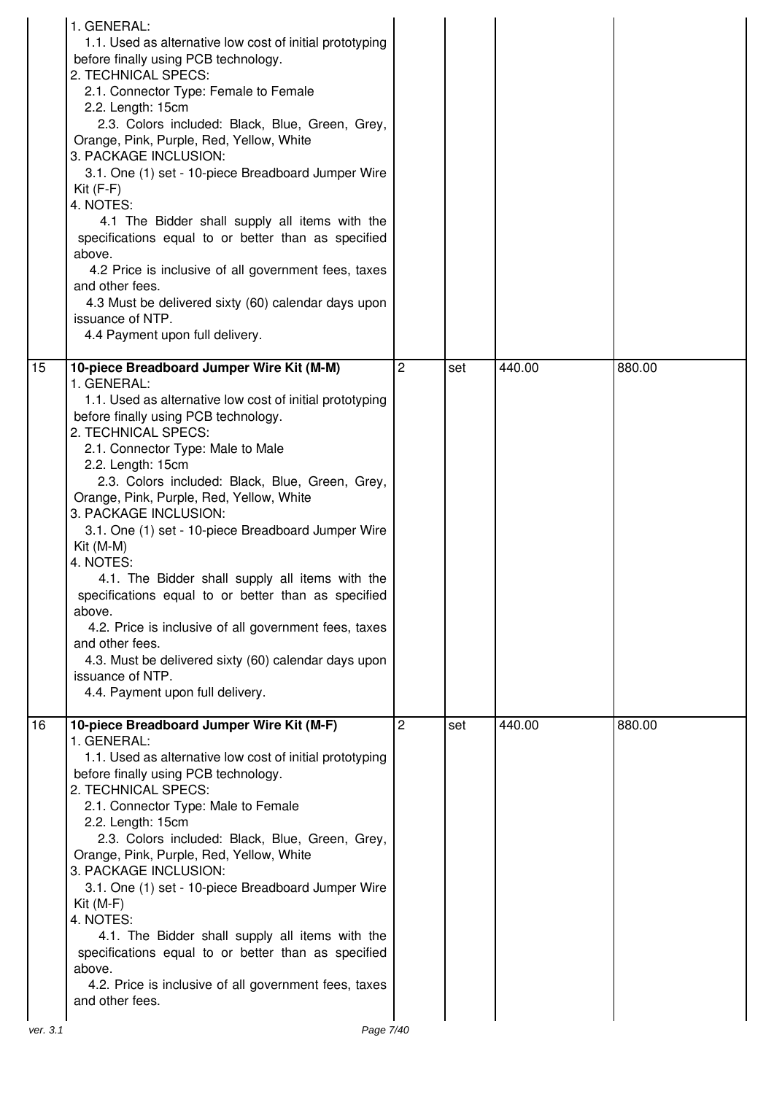| 1. GENERAL:<br>$Kit(F-F)$<br>4. NOTES:<br>above.<br>and other fees.<br>issuance of NTP.        | 1.1. Used as alternative low cost of initial prototyping<br>before finally using PCB technology.<br>2. TECHNICAL SPECS:<br>2.1. Connector Type: Female to Female<br>2.2. Length: 15cm<br>2.3. Colors included: Black, Blue, Green, Grey,<br>Orange, Pink, Purple, Red, Yellow, White<br>3. PACKAGE INCLUSION:<br>3.1. One (1) set - 10-piece Breadboard Jumper Wire<br>4.1 The Bidder shall supply all items with the<br>specifications equal to or better than as specified<br>4.2 Price is inclusive of all government fees, taxes<br>4.3 Must be delivered sixty (60) calendar days upon<br>4.4 Payment upon full delivery.                                              |                |     |        |        |
|------------------------------------------------------------------------------------------------|-----------------------------------------------------------------------------------------------------------------------------------------------------------------------------------------------------------------------------------------------------------------------------------------------------------------------------------------------------------------------------------------------------------------------------------------------------------------------------------------------------------------------------------------------------------------------------------------------------------------------------------------------------------------------------|----------------|-----|--------|--------|
| 15<br>1. GENERAL:<br>$Kit (M-M)$<br>4. NOTES:<br>above.<br>and other fees.<br>issuance of NTP. | 10-piece Breadboard Jumper Wire Kit (M-M)<br>1.1. Used as alternative low cost of initial prototyping<br>before finally using PCB technology.<br>2. TECHNICAL SPECS:<br>2.1. Connector Type: Male to Male<br>2.2. Length: 15cm<br>2.3. Colors included: Black, Blue, Green, Grey,<br>Orange, Pink, Purple, Red, Yellow, White<br>3. PACKAGE INCLUSION:<br>3.1. One (1) set - 10-piece Breadboard Jumper Wire<br>4.1. The Bidder shall supply all items with the<br>specifications equal to or better than as specified<br>4.2. Price is inclusive of all government fees, taxes<br>4.3. Must be delivered sixty (60) calendar days upon<br>4.4. Payment upon full delivery. | $\overline{2}$ | set | 440.00 | 880.00 |
| 16<br>1. GENERAL:<br>$Kit(M-F)$<br>4. NOTES:<br>above.<br>and other fees.                      | 10-piece Breadboard Jumper Wire Kit (M-F)<br>1.1. Used as alternative low cost of initial prototyping<br>before finally using PCB technology.<br>2. TECHNICAL SPECS:<br>2.1. Connector Type: Male to Female<br>2.2. Length: 15cm<br>2.3. Colors included: Black, Blue, Green, Grey,<br>Orange, Pink, Purple, Red, Yellow, White<br>3. PACKAGE INCLUSION:<br>3.1. One (1) set - 10-piece Breadboard Jumper Wire<br>4.1. The Bidder shall supply all items with the<br>specifications equal to or better than as specified<br>4.2. Price is inclusive of all government fees, taxes                                                                                           | 2              | set | 440.00 | 880.00 |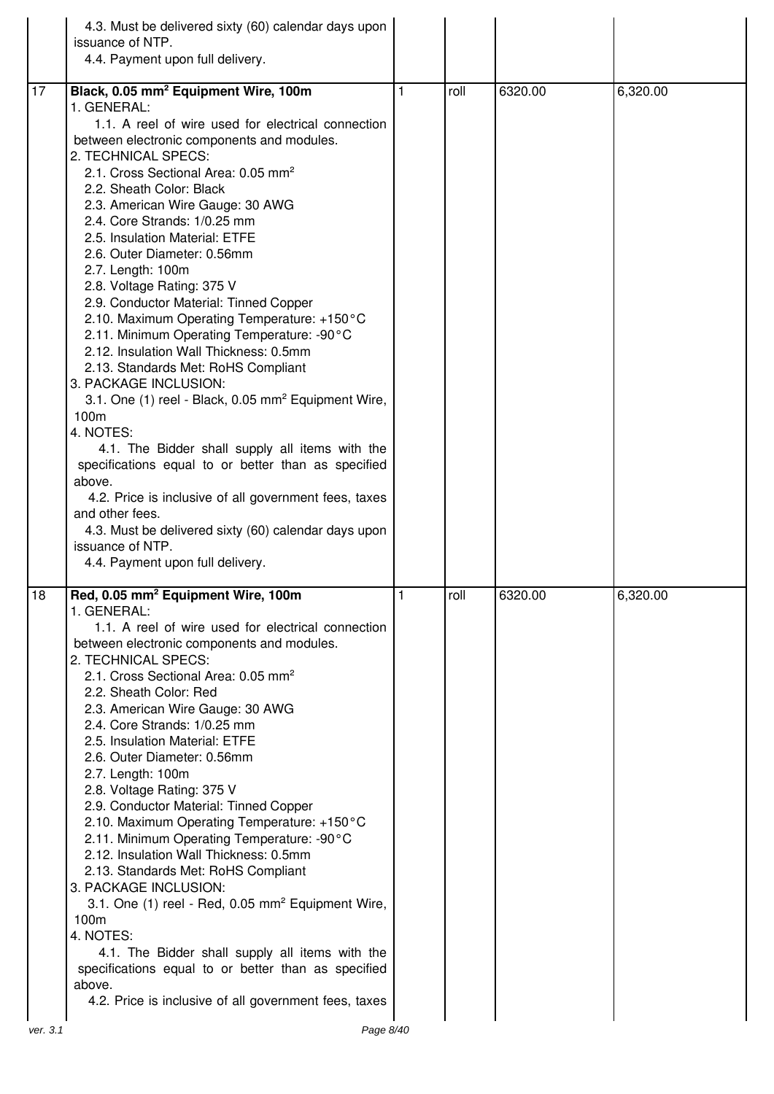|          | 4.3. Must be delivered sixty (60) calendar days upon<br>issuance of NTP.<br>4.4. Payment upon full delivery.                                                                                                                                                                                                                                                                                                                                                                                                                                                                                                                                                                                                                                                                                                                                                                                                                                                                                                                                                                           |              |      |         |          |
|----------|----------------------------------------------------------------------------------------------------------------------------------------------------------------------------------------------------------------------------------------------------------------------------------------------------------------------------------------------------------------------------------------------------------------------------------------------------------------------------------------------------------------------------------------------------------------------------------------------------------------------------------------------------------------------------------------------------------------------------------------------------------------------------------------------------------------------------------------------------------------------------------------------------------------------------------------------------------------------------------------------------------------------------------------------------------------------------------------|--------------|------|---------|----------|
|          |                                                                                                                                                                                                                                                                                                                                                                                                                                                                                                                                                                                                                                                                                                                                                                                                                                                                                                                                                                                                                                                                                        |              |      |         |          |
| 17       | Black, 0.05 mm <sup>2</sup> Equipment Wire, 100m<br>1. GENERAL:<br>1.1. A reel of wire used for electrical connection<br>between electronic components and modules.<br>2. TECHNICAL SPECS:<br>2.1. Cross Sectional Area: 0.05 mm <sup>2</sup><br>2.2. Sheath Color: Black<br>2.3. American Wire Gauge: 30 AWG<br>2.4. Core Strands: 1/0.25 mm<br>2.5. Insulation Material: ETFE<br>2.6. Outer Diameter: 0.56mm<br>2.7. Length: 100m<br>2.8. Voltage Rating: 375 V<br>2.9. Conductor Material: Tinned Copper<br>2.10. Maximum Operating Temperature: +150°C<br>2.11. Minimum Operating Temperature: -90°C<br>2.12. Insulation Wall Thickness: 0.5mm<br>2.13. Standards Met: RoHS Compliant<br>3. PACKAGE INCLUSION:<br>3.1. One (1) reel - Black, 0.05 mm <sup>2</sup> Equipment Wire,<br>100m<br>4. NOTES:<br>4.1. The Bidder shall supply all items with the<br>specifications equal to or better than as specified<br>above.<br>4.2. Price is inclusive of all government fees, taxes<br>and other fees.<br>4.3. Must be delivered sixty (60) calendar days upon<br>issuance of NTP. | 1            | roll | 6320.00 | 6,320.00 |
| 18       | 4.4. Payment upon full delivery.<br>Red, 0.05 mm <sup>2</sup> Equipment Wire, 100m                                                                                                                                                                                                                                                                                                                                                                                                                                                                                                                                                                                                                                                                                                                                                                                                                                                                                                                                                                                                     | $\mathbf{1}$ | roll | 6320.00 | 6,320.00 |
|          | 1. GENERAL:<br>1.1. A reel of wire used for electrical connection<br>between electronic components and modules.<br>2. TECHNICAL SPECS:<br>2.1. Cross Sectional Area: 0.05 mm <sup>2</sup><br>2.2. Sheath Color: Red<br>2.3. American Wire Gauge: 30 AWG<br>2.4. Core Strands: 1/0.25 mm<br>2.5. Insulation Material: ETFE<br>2.6. Outer Diameter: 0.56mm<br>2.7. Length: 100m<br>2.8. Voltage Rating: 375 V<br>2.9. Conductor Material: Tinned Copper<br>2.10. Maximum Operating Temperature: +150°C<br>2.11. Minimum Operating Temperature: -90°C<br>2.12. Insulation Wall Thickness: 0.5mm<br>2.13. Standards Met: RoHS Compliant<br>3. PACKAGE INCLUSION:<br>3.1. One (1) reel - Red, 0.05 mm <sup>2</sup> Equipment Wire,<br>100m<br>4. NOTES:<br>4.1. The Bidder shall supply all items with the                                                                                                                                                                                                                                                                                  |              |      |         |          |
|          | specifications equal to or better than as specified<br>above.<br>4.2. Price is inclusive of all government fees, taxes                                                                                                                                                                                                                                                                                                                                                                                                                                                                                                                                                                                                                                                                                                                                                                                                                                                                                                                                                                 |              |      |         |          |
| ver. 3.1 | Page 8/40                                                                                                                                                                                                                                                                                                                                                                                                                                                                                                                                                                                                                                                                                                                                                                                                                                                                                                                                                                                                                                                                              |              |      |         |          |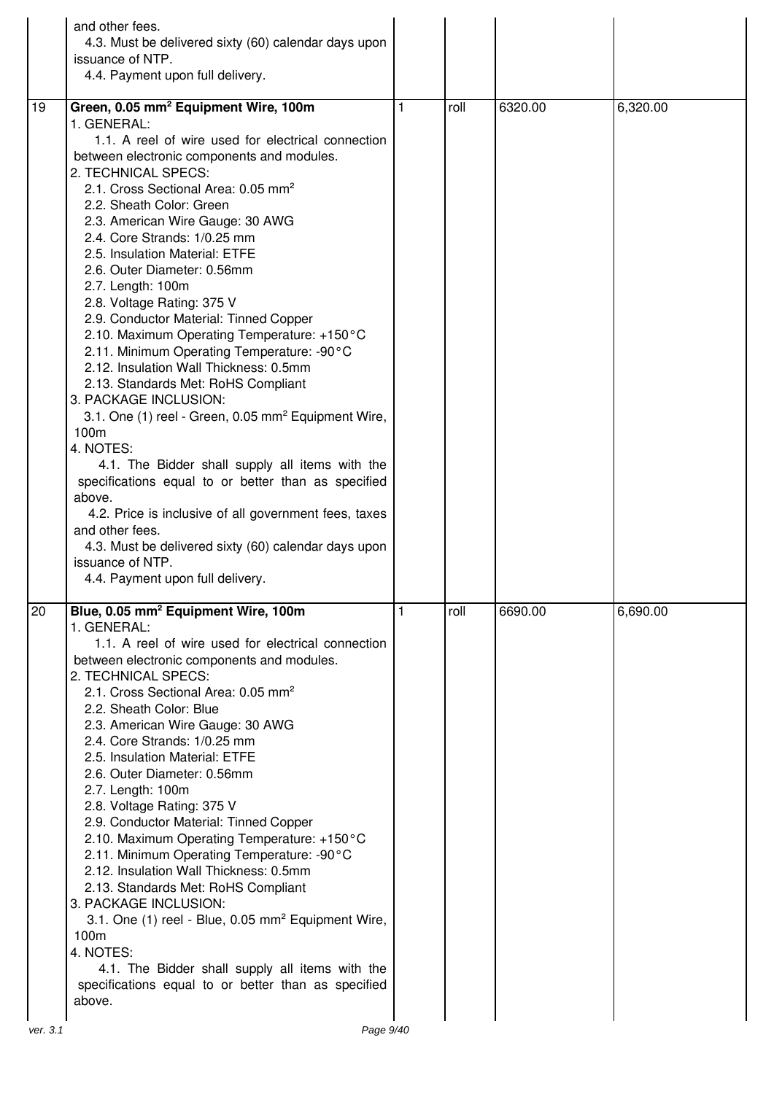|                | and other fees.<br>4.3. Must be delivered sixty (60) calendar days upon<br>issuance of NTP.<br>4.4. Payment upon full delivery.                                                                                                                                                                                                                                                                                                                                                                                                                                                                                                                                                                                                                                                                                                                                                                                                                                                                                                                                                                                            |   |      |         |          |
|----------------|----------------------------------------------------------------------------------------------------------------------------------------------------------------------------------------------------------------------------------------------------------------------------------------------------------------------------------------------------------------------------------------------------------------------------------------------------------------------------------------------------------------------------------------------------------------------------------------------------------------------------------------------------------------------------------------------------------------------------------------------------------------------------------------------------------------------------------------------------------------------------------------------------------------------------------------------------------------------------------------------------------------------------------------------------------------------------------------------------------------------------|---|------|---------|----------|
| 19             | Green, 0.05 mm <sup>2</sup> Equipment Wire, 100m<br>1. GENERAL:<br>1.1. A reel of wire used for electrical connection<br>between electronic components and modules.<br>2. TECHNICAL SPECS:<br>2.1. Cross Sectional Area: 0.05 mm <sup>2</sup><br>2.2. Sheath Color: Green<br>2.3. American Wire Gauge: 30 AWG<br>2.4. Core Strands: 1/0.25 mm<br>2.5. Insulation Material: ETFE<br>2.6. Outer Diameter: 0.56mm<br>2.7. Length: 100m<br>2.8. Voltage Rating: 375 V<br>2.9. Conductor Material: Tinned Copper<br>2.10. Maximum Operating Temperature: +150°C<br>2.11. Minimum Operating Temperature: -90°C<br>2.12. Insulation Wall Thickness: 0.5mm<br>2.13. Standards Met: RoHS Compliant<br>3. PACKAGE INCLUSION:<br>3.1. One (1) reel - Green, 0.05 mm <sup>2</sup> Equipment Wire,<br>100m<br>4. NOTES:<br>4.1. The Bidder shall supply all items with the<br>specifications equal to or better than as specified<br>above.<br>4.2. Price is inclusive of all government fees, taxes<br>and other fees.<br>4.3. Must be delivered sixty (60) calendar days upon<br>issuance of NTP.<br>4.4. Payment upon full delivery. | 1 | roll | 6320.00 | 6,320.00 |
| 20<br>ver. 3.1 | Blue, 0.05 mm <sup>2</sup> Equipment Wire, 100m<br>1. GENERAL:<br>1.1. A reel of wire used for electrical connection<br>between electronic components and modules.<br>2. TECHNICAL SPECS:<br>2.1. Cross Sectional Area: 0.05 mm <sup>2</sup><br>2.2. Sheath Color: Blue<br>2.3. American Wire Gauge: 30 AWG<br>2.4. Core Strands: 1/0.25 mm<br>2.5. Insulation Material: ETFE<br>2.6. Outer Diameter: 0.56mm<br>2.7. Length: 100m<br>2.8. Voltage Rating: 375 V<br>2.9. Conductor Material: Tinned Copper<br>2.10. Maximum Operating Temperature: +150°C<br>2.11. Minimum Operating Temperature: -90°C<br>2.12. Insulation Wall Thickness: 0.5mm<br>2.13. Standards Met: RoHS Compliant<br>3. PACKAGE INCLUSION:<br>3.1. One (1) reel - Blue, 0.05 mm <sup>2</sup> Equipment Wire,<br>100m<br>4. NOTES:<br>4.1. The Bidder shall supply all items with the<br>specifications equal to or better than as specified<br>above.<br>Page 9/40                                                                                                                                                                                   |   | roll | 6690.00 | 6,690.00 |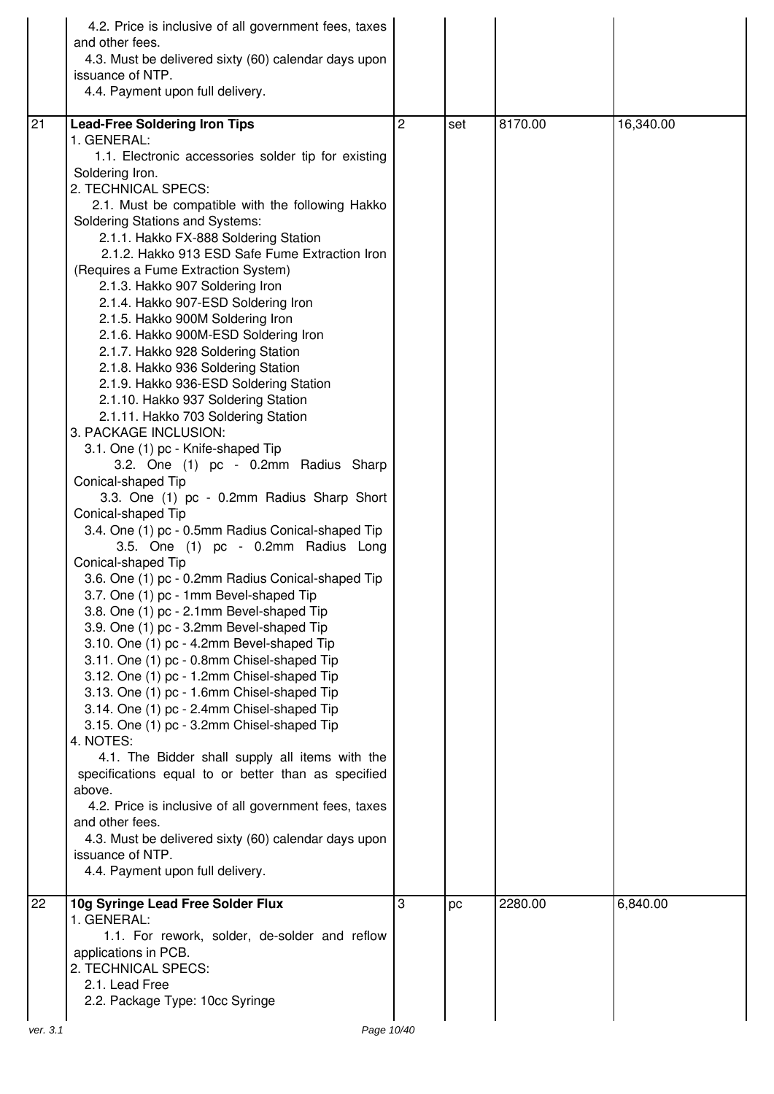|          | 4.2. Price is inclusive of all government fees, taxes<br>and other fees.<br>4.3. Must be delivered sixty (60) calendar days upon<br>issuance of NTP.<br>4.4. Payment upon full delivery.                                                                                                                                                                                                                                                                                                                                                                                                                                                                                                                                                                                                                                                                                                                                                                                                                                                                                                                                                                                                                                                                                                              |   |     |         |           |
|----------|-------------------------------------------------------------------------------------------------------------------------------------------------------------------------------------------------------------------------------------------------------------------------------------------------------------------------------------------------------------------------------------------------------------------------------------------------------------------------------------------------------------------------------------------------------------------------------------------------------------------------------------------------------------------------------------------------------------------------------------------------------------------------------------------------------------------------------------------------------------------------------------------------------------------------------------------------------------------------------------------------------------------------------------------------------------------------------------------------------------------------------------------------------------------------------------------------------------------------------------------------------------------------------------------------------|---|-----|---------|-----------|
| 21       | <b>Lead-Free Soldering Iron Tips</b><br>1. GENERAL:<br>1.1. Electronic accessories solder tip for existing<br>Soldering Iron.<br>2. TECHNICAL SPECS:<br>2.1. Must be compatible with the following Hakko<br><b>Soldering Stations and Systems:</b><br>2.1.1. Hakko FX-888 Soldering Station<br>2.1.2. Hakko 913 ESD Safe Fume Extraction Iron<br>(Requires a Fume Extraction System)<br>2.1.3. Hakko 907 Soldering Iron<br>2.1.4. Hakko 907-ESD Soldering Iron<br>2.1.5. Hakko 900M Soldering Iron<br>2.1.6. Hakko 900M-ESD Soldering Iron<br>2.1.7. Hakko 928 Soldering Station<br>2.1.8. Hakko 936 Soldering Station<br>2.1.9. Hakko 936-ESD Soldering Station<br>2.1.10. Hakko 937 Soldering Station<br>2.1.11. Hakko 703 Soldering Station<br>3. PACKAGE INCLUSION:<br>3.1. One (1) pc - Knife-shaped Tip<br>3.2. One (1) pc - 0.2mm Radius Sharp<br>Conical-shaped Tip<br>3.3. One (1) pc - 0.2mm Radius Sharp Short<br>Conical-shaped Tip<br>3.4. One (1) pc - 0.5mm Radius Conical-shaped Tip<br>3.5. One (1) pc - 0.2mm Radius Long<br>Conical-shaped Tip<br>3.6. One (1) pc - 0.2mm Radius Conical-shaped Tip<br>3.7. One (1) pc - 1mm Bevel-shaped Tip<br>3.8. One (1) pc - 2.1mm Bevel-shaped Tip<br>3.9. One (1) pc - 3.2mm Bevel-shaped Tip<br>3.10. One (1) pc - 4.2mm Bevel-shaped Tip | 2 | set | 8170.00 | 16,340.00 |
|          | 3.11. One (1) pc - 0.8mm Chisel-shaped Tip<br>3.12. One (1) pc - 1.2mm Chisel-shaped Tip<br>3.13. One (1) pc - 1.6mm Chisel-shaped Tip<br>3.14. One (1) pc - 2.4mm Chisel-shaped Tip<br>3.15. One (1) pc - 3.2mm Chisel-shaped Tip<br>4. NOTES:<br>4.1. The Bidder shall supply all items with the<br>specifications equal to or better than as specified<br>above.<br>4.2. Price is inclusive of all government fees, taxes<br>and other fees.<br>4.3. Must be delivered sixty (60) calendar days upon<br>issuance of NTP.<br>4.4. Payment upon full delivery.                                                                                                                                                                                                                                                                                                                                                                                                                                                                                                                                                                                                                                                                                                                                       |   |     |         |           |
| 22       | 10g Syringe Lead Free Solder Flux<br>1. GENERAL:<br>1.1. For rework, solder, de-solder and reflow<br>applications in PCB.<br>2. TECHNICAL SPECS:<br>2.1. Lead Free<br>2.2. Package Type: 10cc Syringe                                                                                                                                                                                                                                                                                                                                                                                                                                                                                                                                                                                                                                                                                                                                                                                                                                                                                                                                                                                                                                                                                                 | 3 | pc  | 2280.00 | 6,840.00  |
| ver. 3.1 | Page 10/40                                                                                                                                                                                                                                                                                                                                                                                                                                                                                                                                                                                                                                                                                                                                                                                                                                                                                                                                                                                                                                                                                                                                                                                                                                                                                            |   |     |         |           |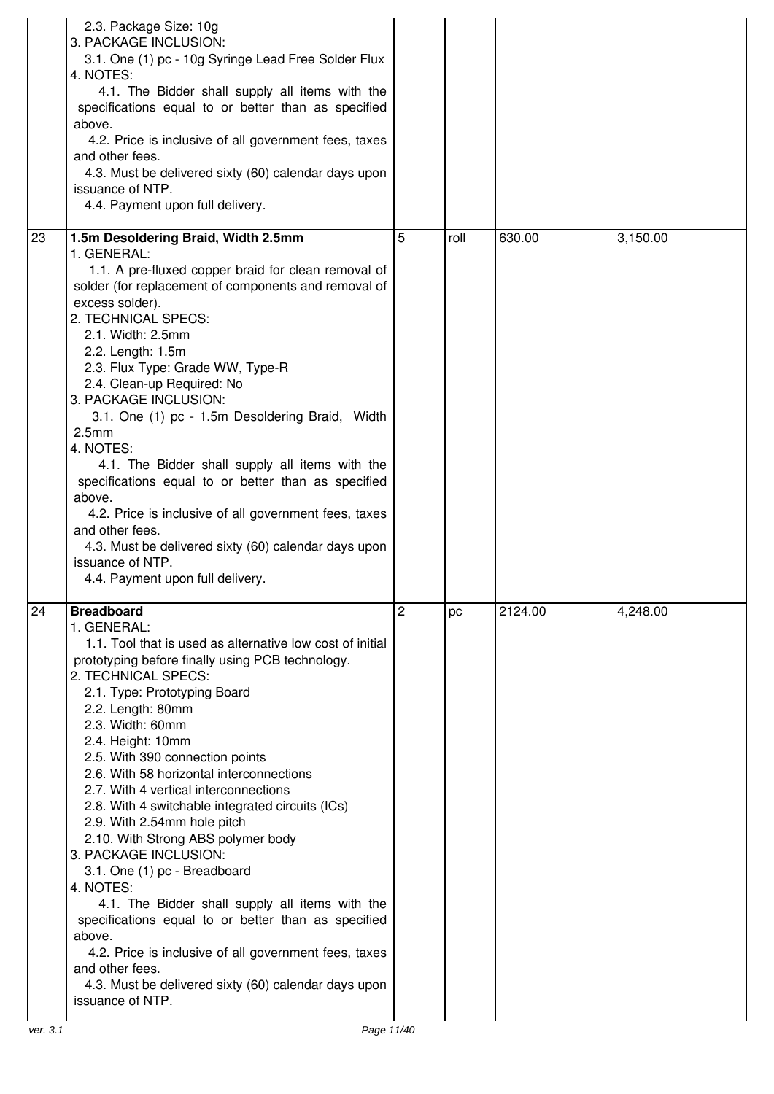|    | 2.3. Package Size: 10g<br>3. PACKAGE INCLUSION:<br>3.1. One (1) pc - 10g Syringe Lead Free Solder Flux<br>4. NOTES:<br>4.1. The Bidder shall supply all items with the<br>specifications equal to or better than as specified<br>above.<br>4.2. Price is inclusive of all government fees, taxes<br>and other fees.<br>4.3. Must be delivered sixty (60) calendar days upon<br>issuance of NTP.<br>4.4. Payment upon full delivery.                                                                                                                                                                                                                                                                                                                                                                                                                                       |                |      |         |          |
|----|---------------------------------------------------------------------------------------------------------------------------------------------------------------------------------------------------------------------------------------------------------------------------------------------------------------------------------------------------------------------------------------------------------------------------------------------------------------------------------------------------------------------------------------------------------------------------------------------------------------------------------------------------------------------------------------------------------------------------------------------------------------------------------------------------------------------------------------------------------------------------|----------------|------|---------|----------|
| 23 | 1.5m Desoldering Braid, Width 2.5mm<br>1. GENERAL:<br>1.1. A pre-fluxed copper braid for clean removal of<br>solder (for replacement of components and removal of<br>excess solder).<br>2. TECHNICAL SPECS:<br>2.1. Width: 2.5mm<br>2.2. Length: 1.5m<br>2.3. Flux Type: Grade WW, Type-R<br>2.4. Clean-up Required: No<br>3. PACKAGE INCLUSION:<br>3.1. One (1) pc - 1.5m Desoldering Braid, Width<br>2.5 <sub>mm</sub><br>4. NOTES:<br>4.1. The Bidder shall supply all items with the<br>specifications equal to or better than as specified<br>above.<br>4.2. Price is inclusive of all government fees, taxes<br>and other fees.<br>4.3. Must be delivered sixty (60) calendar days upon<br>issuance of NTP.<br>4.4. Payment upon full delivery.                                                                                                                     | 5              | roll | 630.00  | 3,150.00 |
| 24 | <b>Breadboard</b><br>1. GENERAL:<br>1.1. Tool that is used as alternative low cost of initial<br>prototyping before finally using PCB technology.<br>2. TECHNICAL SPECS:<br>2.1. Type: Prototyping Board<br>2.2. Length: 80mm<br>2.3. Width: 60mm<br>2.4. Height: 10mm<br>2.5. With 390 connection points<br>2.6. With 58 horizontal interconnections<br>2.7. With 4 vertical interconnections<br>2.8. With 4 switchable integrated circuits (ICs)<br>2.9. With 2.54mm hole pitch<br>2.10. With Strong ABS polymer body<br>3. PACKAGE INCLUSION:<br>3.1. One (1) pc - Breadboard<br>4. NOTES:<br>4.1. The Bidder shall supply all items with the<br>specifications equal to or better than as specified<br>above.<br>4.2. Price is inclusive of all government fees, taxes<br>and other fees.<br>4.3. Must be delivered sixty (60) calendar days upon<br>issuance of NTP. | $\overline{2}$ | pc   | 2124.00 | 4,248.00 |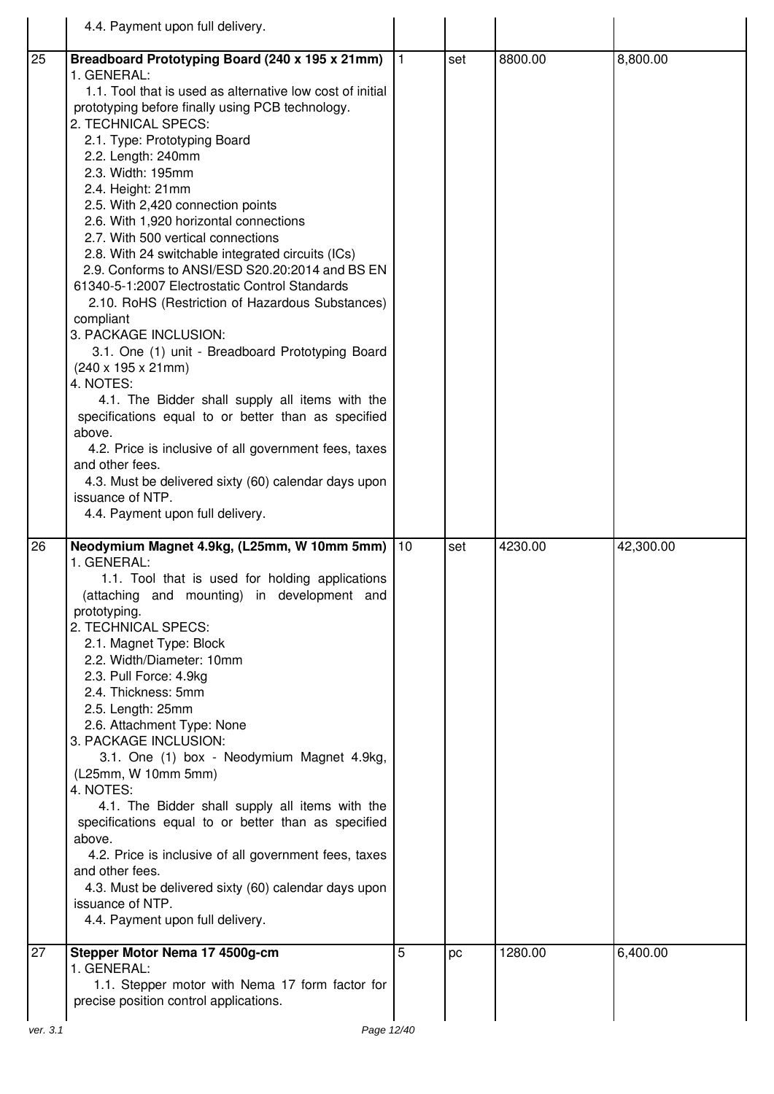|    | 4.4. Payment upon full delivery.                                                                                                                                                                                                                                                                                                                                                                                                                                                                                                                                                                                                                                                                                                                                                                                                                                                                                                                                                                                                                                                                           |              |     |         |           |
|----|------------------------------------------------------------------------------------------------------------------------------------------------------------------------------------------------------------------------------------------------------------------------------------------------------------------------------------------------------------------------------------------------------------------------------------------------------------------------------------------------------------------------------------------------------------------------------------------------------------------------------------------------------------------------------------------------------------------------------------------------------------------------------------------------------------------------------------------------------------------------------------------------------------------------------------------------------------------------------------------------------------------------------------------------------------------------------------------------------------|--------------|-----|---------|-----------|
| 25 | Breadboard Prototyping Board (240 x 195 x 21mm)<br>1. GENERAL:<br>1.1. Tool that is used as alternative low cost of initial<br>prototyping before finally using PCB technology.<br>2. TECHNICAL SPECS:<br>2.1. Type: Prototyping Board<br>2.2. Length: 240mm<br>2.3. Width: 195mm<br>2.4. Height: 21mm<br>2.5. With 2,420 connection points<br>2.6. With 1,920 horizontal connections<br>2.7. With 500 vertical connections<br>2.8. With 24 switchable integrated circuits (ICs)<br>2.9. Conforms to ANSI/ESD S20.20:2014 and BS EN<br>61340-5-1:2007 Electrostatic Control Standards<br>2.10. RoHS (Restriction of Hazardous Substances)<br>compliant<br>3. PACKAGE INCLUSION:<br>3.1. One (1) unit - Breadboard Prototyping Board<br>$(240 \times 195 \times 21 \text{mm})$<br>4. NOTES:<br>4.1. The Bidder shall supply all items with the<br>specifications equal to or better than as specified<br>above.<br>4.2. Price is inclusive of all government fees, taxes<br>and other fees.<br>4.3. Must be delivered sixty (60) calendar days upon<br>issuance of NTP.<br>4.4. Payment upon full delivery. | $\mathbf{1}$ | set | 8800.00 | 8,800.00  |
| 26 | Neodymium Magnet 4.9kg, (L25mm, W 10mm 5mm)<br>1. GENERAL:<br>1.1. Tool that is used for holding applications<br>(attaching and mounting) in development and<br>prototyping.<br>2. TECHNICAL SPECS:<br>2.1. Magnet Type: Block<br>2.2. Width/Diameter: 10mm<br>2.3. Pull Force: 4.9kg<br>2.4. Thickness: 5mm<br>2.5. Length: 25mm<br>2.6. Attachment Type: None<br>3. PACKAGE INCLUSION:<br>3.1. One (1) box - Neodymium Magnet 4.9kg,<br>(L25mm, W 10mm 5mm)<br>4. NOTES:<br>4.1. The Bidder shall supply all items with the<br>specifications equal to or better than as specified<br>above.<br>4.2. Price is inclusive of all government fees, taxes<br>and other fees.<br>4.3. Must be delivered sixty (60) calendar days upon<br>issuance of NTP.<br>4.4. Payment upon full delivery.                                                                                                                                                                                                                                                                                                                 | 10           | set | 4230.00 | 42,300.00 |
| 27 | Stepper Motor Nema 17 4500g-cm<br>1. GENERAL:<br>1.1. Stepper motor with Nema 17 form factor for<br>precise position control applications.                                                                                                                                                                                                                                                                                                                                                                                                                                                                                                                                                                                                                                                                                                                                                                                                                                                                                                                                                                 | 5            | pс  | 1280.00 | 6,400.00  |
|    |                                                                                                                                                                                                                                                                                                                                                                                                                                                                                                                                                                                                                                                                                                                                                                                                                                                                                                                                                                                                                                                                                                            |              |     |         |           |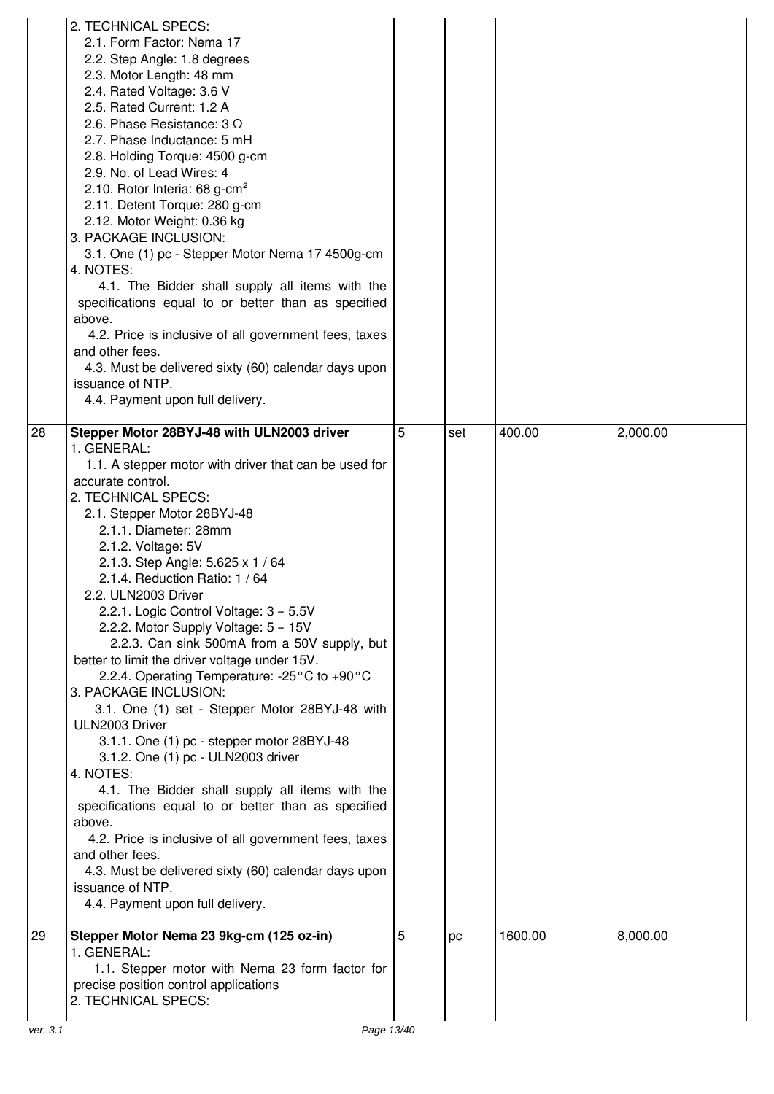|          | 2. TECHNICAL SPECS:<br>2.1. Form Factor: Nema 17<br>2.2. Step Angle: 1.8 degrees<br>2.3. Motor Length: 48 mm<br>2.4. Rated Voltage: 3.6 V<br>2.5. Rated Current: 1.2 A<br>2.6. Phase Resistance: $3 \Omega$<br>2.7. Phase Inductance: 5 mH<br>2.8. Holding Torque: 4500 g-cm<br>2.9. No. of Lead Wires: 4<br>2.10. Rotor Interia: 68 g-cm <sup>2</sup><br>2.11. Detent Torque: 280 g-cm<br>2.12. Motor Weight: 0.36 kg<br>3. PACKAGE INCLUSION:<br>3.1. One (1) pc - Stepper Motor Nema 17 4500g-cm<br>4. NOTES:<br>4.1. The Bidder shall supply all items with the<br>specifications equal to or better than as specified<br>above.<br>4.2. Price is inclusive of all government fees, taxes<br>and other fees.<br>4.3. Must be delivered sixty (60) calendar days upon<br>issuance of NTP.<br>4.4. Payment upon full delivery.                                                                                                                                                                                                                                                            |   |     |         |          |
|----------|---------------------------------------------------------------------------------------------------------------------------------------------------------------------------------------------------------------------------------------------------------------------------------------------------------------------------------------------------------------------------------------------------------------------------------------------------------------------------------------------------------------------------------------------------------------------------------------------------------------------------------------------------------------------------------------------------------------------------------------------------------------------------------------------------------------------------------------------------------------------------------------------------------------------------------------------------------------------------------------------------------------------------------------------------------------------------------------------|---|-----|---------|----------|
| 28       | Stepper Motor 28BYJ-48 with ULN2003 driver<br>1. GENERAL:<br>1.1. A stepper motor with driver that can be used for<br>accurate control.<br>2. TECHNICAL SPECS:<br>2.1. Stepper Motor 28BYJ-48<br>2.1.1. Diameter: 28mm<br>2.1.2. Voltage: 5V<br>2.1.3. Step Angle: 5.625 x 1 / 64<br>2.1.4. Reduction Ratio: 1 / 64<br>2.2. ULN2003 Driver<br>2.2.1. Logic Control Voltage: 3 - 5.5V<br>2.2.2. Motor Supply Voltage: 5 - 15V<br>2.2.3. Can sink 500mA from a 50V supply, but<br>better to limit the driver voltage under 15V.<br>2.2.4. Operating Temperature: -25°C to +90°C<br>3. PACKAGE INCLUSION:<br>3.1. One (1) set - Stepper Motor 28BYJ-48 with<br>ULN2003 Driver<br>3.1.1. One (1) pc - stepper motor 28BYJ-48<br>3.1.2. One (1) pc - ULN2003 driver<br>4. NOTES:<br>4.1. The Bidder shall supply all items with the<br>specifications equal to or better than as specified<br>above.<br>4.2. Price is inclusive of all government fees, taxes<br>and other fees.<br>4.3. Must be delivered sixty (60) calendar days upon<br>issuance of NTP.<br>4.4. Payment upon full delivery. | 5 | set | 400.00  | 2,000.00 |
| 29       | Stepper Motor Nema 23 9kg-cm (125 oz-in)<br>1. GENERAL:<br>1.1. Stepper motor with Nema 23 form factor for<br>precise position control applications<br>2. TECHNICAL SPECS:                                                                                                                                                                                                                                                                                                                                                                                                                                                                                                                                                                                                                                                                                                                                                                                                                                                                                                                  | 5 | pc  | 1600.00 | 8,000.00 |
| ver. 3.1 | Page 13/40                                                                                                                                                                                                                                                                                                                                                                                                                                                                                                                                                                                                                                                                                                                                                                                                                                                                                                                                                                                                                                                                                  |   |     |         |          |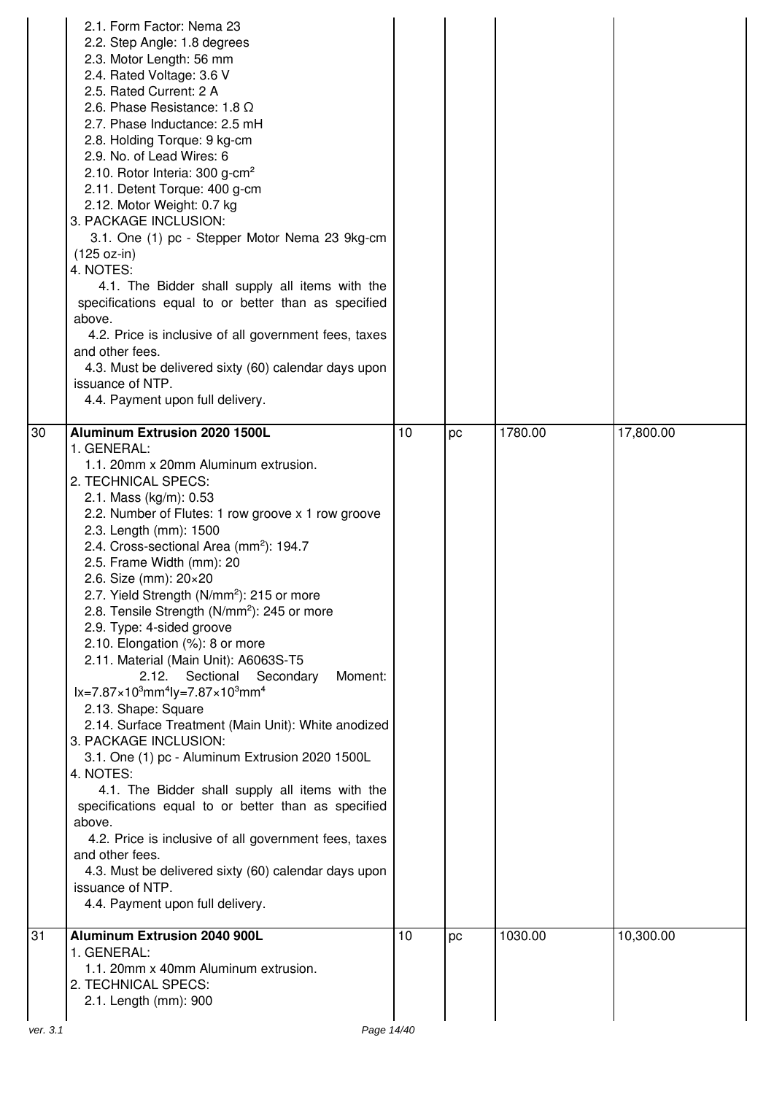|          | 2.1. Form Factor: Nema 23<br>2.2. Step Angle: 1.8 degrees<br>2.3. Motor Length: 56 mm<br>2.4. Rated Voltage: 3.6 V<br>2.5. Rated Current: 2 A<br>2.6. Phase Resistance: 1.8 $\Omega$<br>2.7. Phase Inductance: 2.5 mH<br>2.8. Holding Torque: 9 kg-cm<br>2.9. No. of Lead Wires: 6<br>2.10. Rotor Interia: 300 g-cm <sup>2</sup><br>2.11. Detent Torque: 400 g-cm<br>2.12. Motor Weight: 0.7 kg<br>3. PACKAGE INCLUSION:<br>3.1. One (1) pc - Stepper Motor Nema 23 9kg-cm<br>$(125 oz-in)$<br>4. NOTES:<br>4.1. The Bidder shall supply all items with the<br>specifications equal to or better than as specified<br>above.<br>4.2. Price is inclusive of all government fees, taxes<br>and other fees.<br>4.3. Must be delivered sixty (60) calendar days upon<br>issuance of NTP.<br>4.4. Payment upon full delivery.                                                                                                                                                                                                                                                                                                                                                                       |    |    |         |           |
|----------|------------------------------------------------------------------------------------------------------------------------------------------------------------------------------------------------------------------------------------------------------------------------------------------------------------------------------------------------------------------------------------------------------------------------------------------------------------------------------------------------------------------------------------------------------------------------------------------------------------------------------------------------------------------------------------------------------------------------------------------------------------------------------------------------------------------------------------------------------------------------------------------------------------------------------------------------------------------------------------------------------------------------------------------------------------------------------------------------------------------------------------------------------------------------------------------------|----|----|---------|-----------|
| 30       | <b>Aluminum Extrusion 2020 1500L</b><br>1. GENERAL:<br>1.1. 20mm x 20mm Aluminum extrusion.<br>2. TECHNICAL SPECS:<br>2.1. Mass (kg/m): 0.53<br>2.2. Number of Flutes: 1 row groove x 1 row groove<br>2.3. Length (mm): 1500<br>2.4. Cross-sectional Area (mm <sup>2</sup> ): 194.7<br>2.5. Frame Width (mm): 20<br>2.6. Size (mm): 20×20<br>2.7. Yield Strength (N/mm <sup>2</sup> ): 215 or more<br>2.8. Tensile Strength (N/mm <sup>2</sup> ): 245 or more<br>2.9. Type: 4-sided groove<br>2.10. Elongation (%): 8 or more<br>2.11. Material (Main Unit): A6063S-T5<br>2.12.<br>Sectional<br>Moment:<br>Secondary<br>$lx = 7.87 \times 10^3$ mm <sup>4</sup> ly=7.87×10 <sup>3</sup> mm <sup>4</sup><br>2.13. Shape: Square<br>2.14. Surface Treatment (Main Unit): White anodized<br>3. PACKAGE INCLUSION:<br>3.1. One (1) pc - Aluminum Extrusion 2020 1500L<br>4. NOTES:<br>4.1. The Bidder shall supply all items with the<br>specifications equal to or better than as specified<br>above.<br>4.2. Price is inclusive of all government fees, taxes<br>and other fees.<br>4.3. Must be delivered sixty (60) calendar days upon<br>issuance of NTP.<br>4.4. Payment upon full delivery. | 10 | pc | 1780.00 | 17,800.00 |
| 31       | <b>Aluminum Extrusion 2040 900L</b><br>1. GENERAL:<br>1.1. 20mm x 40mm Aluminum extrusion.<br>2. TECHNICAL SPECS:<br>2.1. Length (mm): 900                                                                                                                                                                                                                                                                                                                                                                                                                                                                                                                                                                                                                                                                                                                                                                                                                                                                                                                                                                                                                                                     | 10 | pc | 1030.00 | 10,300.00 |
| ver. 3.1 | Page 14/40                                                                                                                                                                                                                                                                                                                                                                                                                                                                                                                                                                                                                                                                                                                                                                                                                                                                                                                                                                                                                                                                                                                                                                                     |    |    |         |           |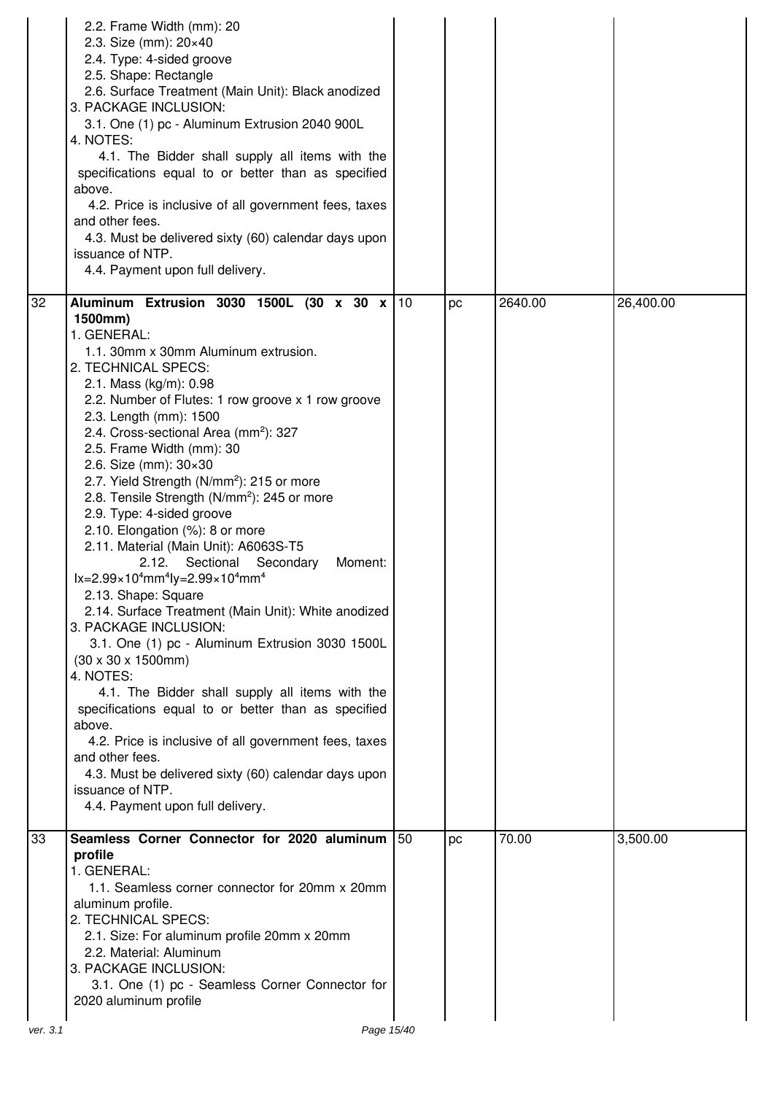|    | 2.2. Frame Width (mm): 20<br>2.3. Size (mm): 20×40<br>2.4. Type: 4-sided groove<br>2.5. Shape: Rectangle<br>2.6. Surface Treatment (Main Unit): Black anodized<br>3. PACKAGE INCLUSION:<br>3.1. One (1) pc - Aluminum Extrusion 2040 900L<br>4. NOTES:<br>4.1. The Bidder shall supply all items with the<br>specifications equal to or better than as specified<br>above.<br>4.2. Price is inclusive of all government fees, taxes<br>and other fees.<br>4.3. Must be delivered sixty (60) calendar days upon<br>issuance of NTP.<br>4.4. Payment upon full delivery.                                                                                                                                                                                                                                                                                                                                                                                                                                                                                                                                                                                                                                                                               |     |    |         |           |
|----|------------------------------------------------------------------------------------------------------------------------------------------------------------------------------------------------------------------------------------------------------------------------------------------------------------------------------------------------------------------------------------------------------------------------------------------------------------------------------------------------------------------------------------------------------------------------------------------------------------------------------------------------------------------------------------------------------------------------------------------------------------------------------------------------------------------------------------------------------------------------------------------------------------------------------------------------------------------------------------------------------------------------------------------------------------------------------------------------------------------------------------------------------------------------------------------------------------------------------------------------------|-----|----|---------|-----------|
| 32 | Aluminum Extrusion 3030 1500L (30 x 30 x 10<br>1500mm)<br>1. GENERAL:<br>1.1. 30mm x 30mm Aluminum extrusion.<br>2. TECHNICAL SPECS:<br>2.1. Mass (kg/m): 0.98<br>2.2. Number of Flutes: 1 row groove x 1 row groove<br>2.3. Length (mm): 1500<br>2.4. Cross-sectional Area (mm <sup>2</sup> ): 327<br>2.5. Frame Width (mm): 30<br>2.6. Size (mm): $30 \times 30$<br>2.7. Yield Strength (N/mm <sup>2</sup> ): 215 or more<br>2.8. Tensile Strength (N/mm <sup>2</sup> ): 245 or more<br>2.9. Type: 4-sided groove<br>2.10. Elongation (%): 8 or more<br>2.11. Material (Main Unit): A6063S-T5<br>2.12. Sectional Secondary<br>Moment:<br>$lx = 2.99 \times 10^4$ mm <sup>4</sup> ly=2.99×10 <sup>4</sup> mm <sup>4</sup><br>2.13. Shape: Square<br>2.14. Surface Treatment (Main Unit): White anodized<br>3. PACKAGE INCLUSION:<br>3.1. One (1) pc - Aluminum Extrusion 3030 1500L<br>$(30 \times 30 \times 1500$ mm)<br>4. NOTES:<br>4.1. The Bidder shall supply all items with the<br>specifications equal to or better than as specified<br>above.<br>4.2. Price is inclusive of all government fees, taxes<br>and other fees.<br>4.3. Must be delivered sixty (60) calendar days upon<br>issuance of NTP.<br>4.4. Payment upon full delivery. |     | pc | 2640.00 | 26,400.00 |
| 33 | Seamless Corner Connector for 2020 aluminum<br>profile<br>1. GENERAL:<br>1.1. Seamless corner connector for 20mm x 20mm<br>aluminum profile.<br>2. TECHNICAL SPECS:<br>2.1. Size: For aluminum profile 20mm x 20mm<br>2.2. Material: Aluminum<br>3. PACKAGE INCLUSION:<br>3.1. One (1) pc - Seamless Corner Connector for<br>2020 aluminum profile                                                                                                                                                                                                                                                                                                                                                                                                                                                                                                                                                                                                                                                                                                                                                                                                                                                                                                   | 150 | pc | 70.00   | 3,500.00  |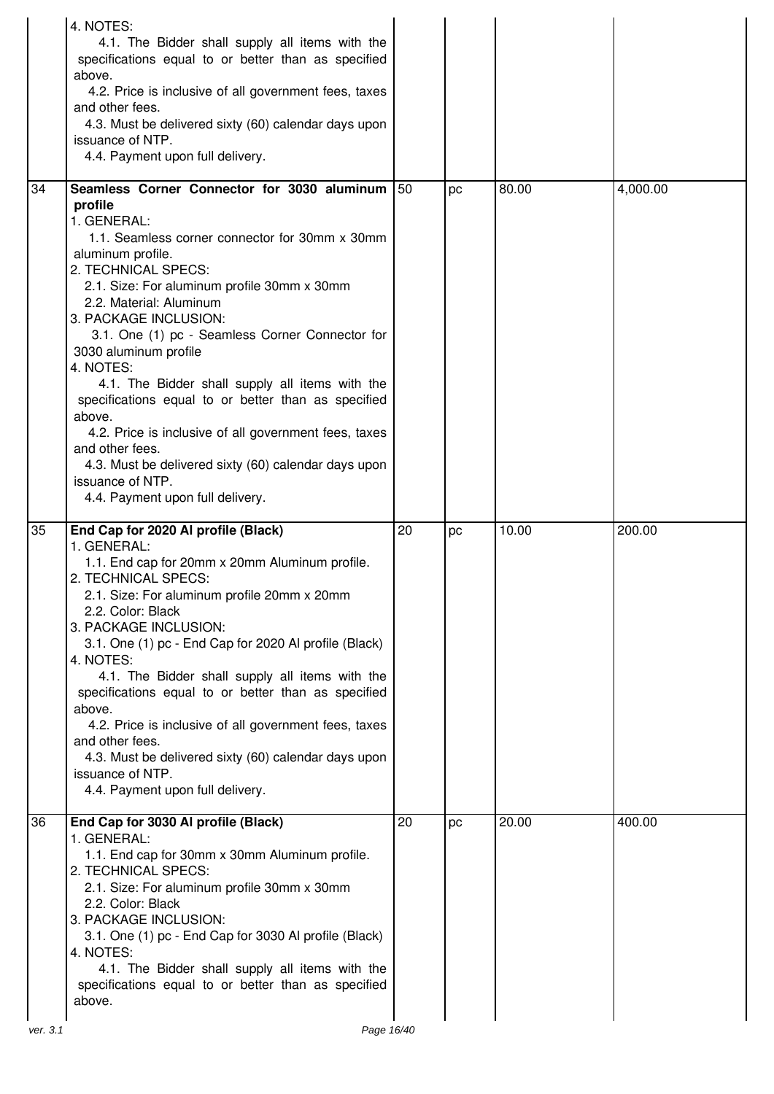|    | 4. NOTES:<br>4.1. The Bidder shall supply all items with the<br>specifications equal to or better than as specified<br>above.<br>4.2. Price is inclusive of all government fees, taxes<br>and other fees.<br>4.3. Must be delivered sixty (60) calendar days upon<br>issuance of NTP.<br>4.4. Payment upon full delivery.                                                                                                                                                                                                                                                                                                                                                       |     |    |       |          |
|----|---------------------------------------------------------------------------------------------------------------------------------------------------------------------------------------------------------------------------------------------------------------------------------------------------------------------------------------------------------------------------------------------------------------------------------------------------------------------------------------------------------------------------------------------------------------------------------------------------------------------------------------------------------------------------------|-----|----|-------|----------|
| 34 | Seamless Corner Connector for 3030 aluminum<br>profile<br>1. GENERAL:<br>1.1. Seamless corner connector for 30mm x 30mm<br>aluminum profile.<br>2. TECHNICAL SPECS:<br>2.1. Size: For aluminum profile 30mm x 30mm<br>2.2. Material: Aluminum<br>3. PACKAGE INCLUSION:<br>3.1. One (1) pc - Seamless Corner Connector for<br>3030 aluminum profile<br>4. NOTES:<br>4.1. The Bidder shall supply all items with the<br>specifications equal to or better than as specified<br>above.<br>4.2. Price is inclusive of all government fees, taxes<br>and other fees.<br>4.3. Must be delivered sixty (60) calendar days upon<br>issuance of NTP.<br>4.4. Payment upon full delivery. | 150 | pc | 80.00 | 4,000.00 |
| 35 | End Cap for 2020 Al profile (Black)<br>1. GENERAL:<br>1.1. End cap for 20mm x 20mm Aluminum profile.<br>2. TECHNICAL SPECS:<br>2.1. Size: For aluminum profile 20mm x 20mm<br>2.2. Color: Black<br>3. PACKAGE INCLUSION:<br>3.1. One (1) pc - End Cap for 2020 Al profile (Black)<br>4. NOTES:<br>4.1. The Bidder shall supply all items with the<br>specifications equal to or better than as specified<br>above.<br>4.2. Price is inclusive of all government fees, taxes<br>and other fees.<br>4.3. Must be delivered sixty (60) calendar days upon<br>issuance of NTP.<br>4.4. Payment upon full delivery.                                                                  | 20  | pc | 10.00 | 200.00   |
| 36 | End Cap for 3030 Al profile (Black)<br>1. GENERAL:<br>1.1. End cap for 30mm x 30mm Aluminum profile.<br>2. TECHNICAL SPECS:<br>2.1. Size: For aluminum profile 30mm x 30mm<br>2.2. Color: Black<br>3. PACKAGE INCLUSION:<br>3.1. One (1) pc - End Cap for 3030 Al profile (Black)<br>4. NOTES:<br>4.1. The Bidder shall supply all items with the                                                                                                                                                                                                                                                                                                                               | 20  | pc | 20.00 | 400.00   |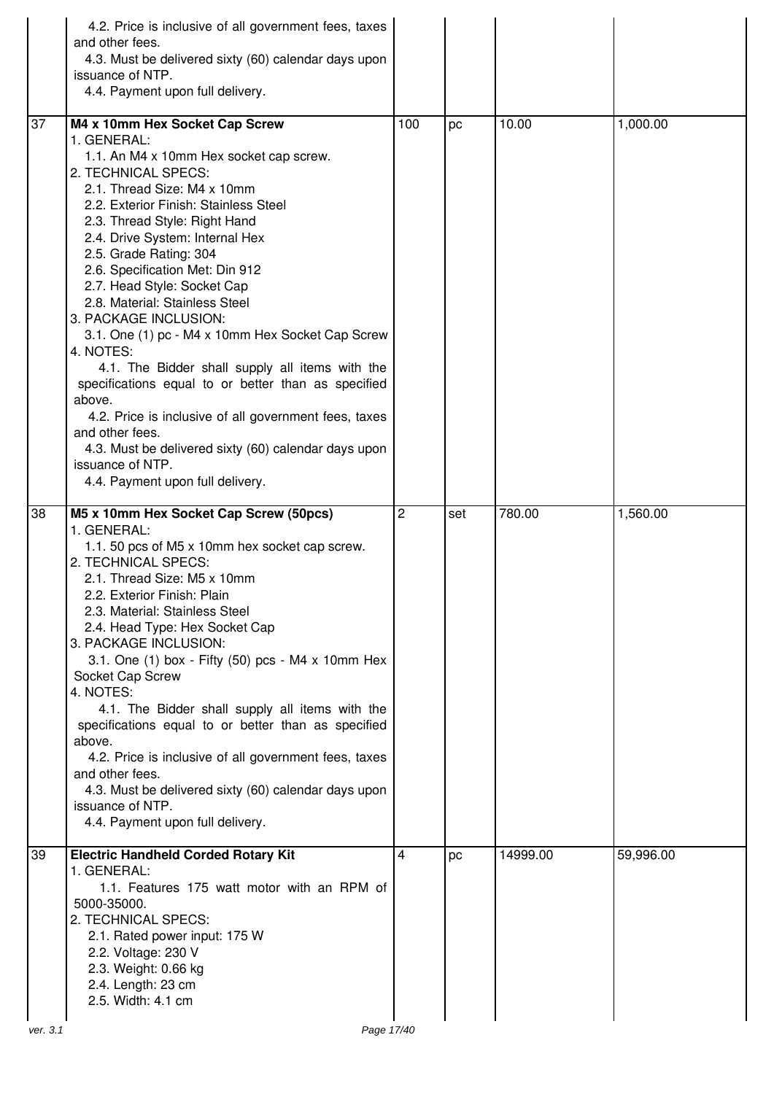|    | 4.2. Price is inclusive of all government fees, taxes<br>and other fees. |     |     |          |           |
|----|--------------------------------------------------------------------------|-----|-----|----------|-----------|
|    | 4.3. Must be delivered sixty (60) calendar days upon<br>issuance of NTP. |     |     |          |           |
|    | 4.4. Payment upon full delivery.                                         |     |     |          |           |
| 37 | M4 x 10mm Hex Socket Cap Screw                                           | 100 | pc  | 10.00    | 1,000.00  |
|    | 1. GENERAL:<br>1.1. An M4 x 10mm Hex socket cap screw.                   |     |     |          |           |
|    | 2. TECHNICAL SPECS:                                                      |     |     |          |           |
|    | 2.1. Thread Size: M4 x 10mm<br>2.2. Exterior Finish: Stainless Steel     |     |     |          |           |
|    | 2.3. Thread Style: Right Hand                                            |     |     |          |           |
|    | 2.4. Drive System: Internal Hex<br>2.5. Grade Rating: 304                |     |     |          |           |
|    | 2.6. Specification Met: Din 912                                          |     |     |          |           |
|    | 2.7. Head Style: Socket Cap<br>2.8. Material: Stainless Steel            |     |     |          |           |
|    | 3. PACKAGE INCLUSION:                                                    |     |     |          |           |
|    | 3.1. One (1) pc - M4 x 10mm Hex Socket Cap Screw<br>4. NOTES:            |     |     |          |           |
|    | 4.1. The Bidder shall supply all items with the                          |     |     |          |           |
|    | specifications equal to or better than as specified<br>above.            |     |     |          |           |
|    | 4.2. Price is inclusive of all government fees, taxes                    |     |     |          |           |
|    | and other fees.<br>4.3. Must be delivered sixty (60) calendar days upon  |     |     |          |           |
|    | issuance of NTP.                                                         |     |     |          |           |
|    | 4.4. Payment upon full delivery.                                         |     |     |          |           |
| 38 | M5 x 10mm Hex Socket Cap Screw (50pcs)<br>1. GENERAL:                    | 2   | set | 780.00   | 1,560.00  |
|    | 1.1. 50 pcs of M5 x 10mm hex socket cap screw.                           |     |     |          |           |
|    | 2. TECHNICAL SPECS:                                                      |     |     |          |           |
|    | 2.1. Thread Size: M5 x 10mm<br>2.2. Exterior Finish: Plain               |     |     |          |           |
|    | 2.3. Material: Stainless Steel                                           |     |     |          |           |
|    | 2.4. Head Type: Hex Socket Cap<br>3. PACKAGE INCLUSION:                  |     |     |          |           |
|    | 3.1. One (1) box - Fifty (50) pcs - M4 x 10mm Hex                        |     |     |          |           |
|    | Socket Cap Screw<br>4. NOTES:                                            |     |     |          |           |
|    | 4.1. The Bidder shall supply all items with the                          |     |     |          |           |
|    | specifications equal to or better than as specified<br>above.            |     |     |          |           |
|    | 4.2. Price is inclusive of all government fees, taxes                    |     |     |          |           |
|    | and other fees.<br>4.3. Must be delivered sixty (60) calendar days upon  |     |     |          |           |
|    | issuance of NTP.                                                         |     |     |          |           |
|    | 4.4. Payment upon full delivery.                                         |     |     |          |           |
| 39 | <b>Electric Handheld Corded Rotary Kit</b><br>1. GENERAL:                | 4   | pc  | 14999.00 | 59,996.00 |
|    | 1.1. Features 175 watt motor with an RPM of                              |     |     |          |           |
|    | 5000-35000.                                                              |     |     |          |           |
|    |                                                                          |     |     |          |           |
|    | 2. TECHNICAL SPECS:<br>2.1. Rated power input: 175 W                     |     |     |          |           |
|    | 2.2. Voltage: 230 V                                                      |     |     |          |           |
|    | 2.3. Weight: 0.66 kg<br>2.4. Length: 23 cm                               |     |     |          |           |
|    | 2.5. Width: 4.1 cm                                                       |     |     |          |           |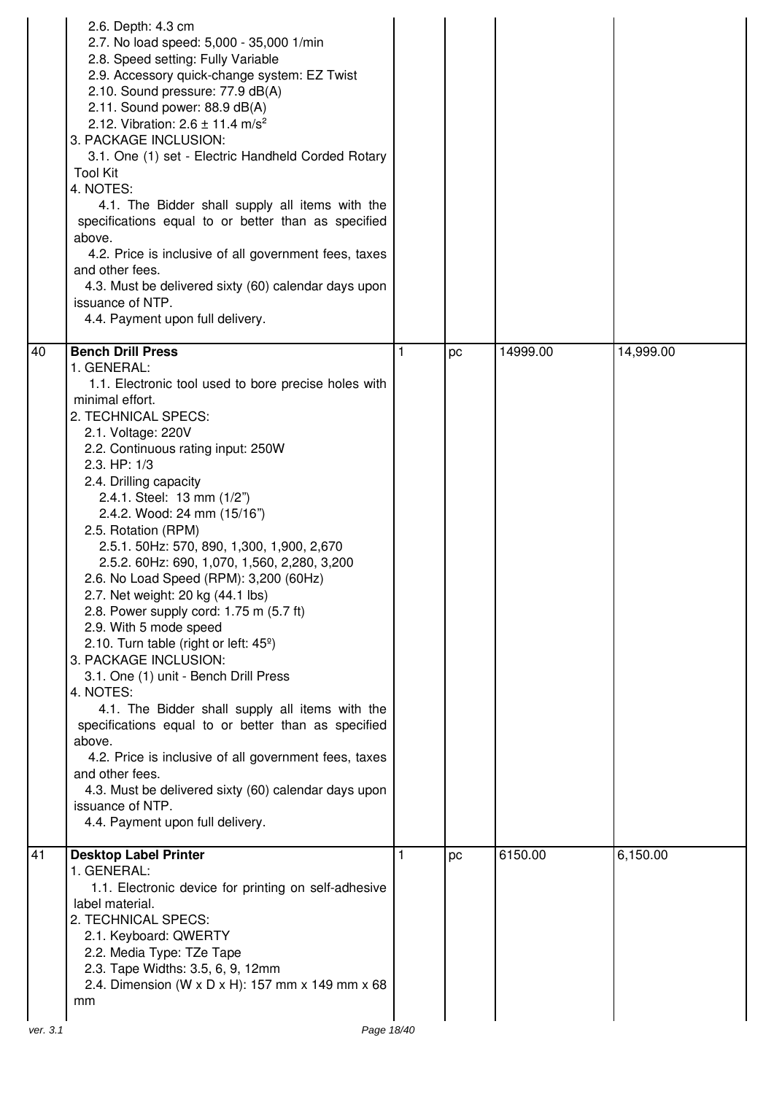| 2.8. Speed setting: Fully Variable<br>2.9. Accessory quick-change system: EZ Twist<br>2.10. Sound pressure: 77.9 dB(A)<br>2.11. Sound power: 88.9 dB(A)<br>2.12. Vibration: $2.6 \pm 11.4$ m/s <sup>2</sup><br>3. PACKAGE INCLUSION:<br>3.1. One (1) set - Electric Handheld Corded Rotary<br><b>Tool Kit</b><br>4. NOTES:<br>4.1. The Bidder shall supply all items with the<br>specifications equal to or better than as specified<br>above.<br>4.2. Price is inclusive of all government fees, taxes<br>and other fees.<br>4.3. Must be delivered sixty (60) calendar days upon<br>issuance of NTP.<br>4.4. Payment upon full delivery.                                                                                                                                                                                                                                                                                                                                                                                                       |                 |    |          |           |
|--------------------------------------------------------------------------------------------------------------------------------------------------------------------------------------------------------------------------------------------------------------------------------------------------------------------------------------------------------------------------------------------------------------------------------------------------------------------------------------------------------------------------------------------------------------------------------------------------------------------------------------------------------------------------------------------------------------------------------------------------------------------------------------------------------------------------------------------------------------------------------------------------------------------------------------------------------------------------------------------------------------------------------------------------|-----------------|----|----------|-----------|
| <b>Bench Drill Press</b><br>40<br>1. GENERAL:<br>1.1. Electronic tool used to bore precise holes with<br>minimal effort.<br>2. TECHNICAL SPECS:<br>2.1. Voltage: 220V<br>2.2. Continuous rating input: 250W<br>2.3. HP: 1/3<br>2.4. Drilling capacity<br>2.4.1. Steel: 13 mm (1/2")<br>2.4.2. Wood: 24 mm (15/16")<br>2.5. Rotation (RPM)<br>2.5.1. 50Hz: 570, 890, 1,300, 1,900, 2,670<br>2.5.2. 60Hz: 690, 1,070, 1,560, 2,280, 3,200<br>2.6. No Load Speed (RPM): 3,200 (60Hz)<br>2.7. Net weight: 20 kg (44.1 lbs)<br>2.8. Power supply cord: 1.75 m (5.7 ft)<br>2.9. With 5 mode speed<br>2.10. Turn table (right or left: 45 <sup>°</sup> )<br>3. PACKAGE INCLUSION:<br>3.1. One (1) unit - Bench Drill Press<br>4. NOTES:<br>4.1. The Bidder shall supply all items with the<br>specifications equal to or better than as specified<br>above.<br>4.2. Price is inclusive of all government fees, taxes<br>and other fees.<br>4.3. Must be delivered sixty (60) calendar days upon<br>issuance of NTP.<br>4.4. Payment upon full delivery. | 1               | pc | 14999.00 | 14,999.00 |
| 41<br><b>Desktop Label Printer</b><br>1. GENERAL:<br>1.1. Electronic device for printing on self-adhesive<br>label material.<br>2. TECHNICAL SPECS:<br>2.1. Keyboard: QWERTY<br>2.2. Media Type: TZe Tape<br>2.3. Tape Widths: 3.5, 6, 9, 12mm<br>2.4. Dimension (W x D x H): 157 mm x 149 mm x 68<br>mm<br>ver. 3.1                                                                                                                                                                                                                                                                                                                                                                                                                                                                                                                                                                                                                                                                                                                             | 1<br>Page 18/40 | pc | 6150.00  | 6,150.00  |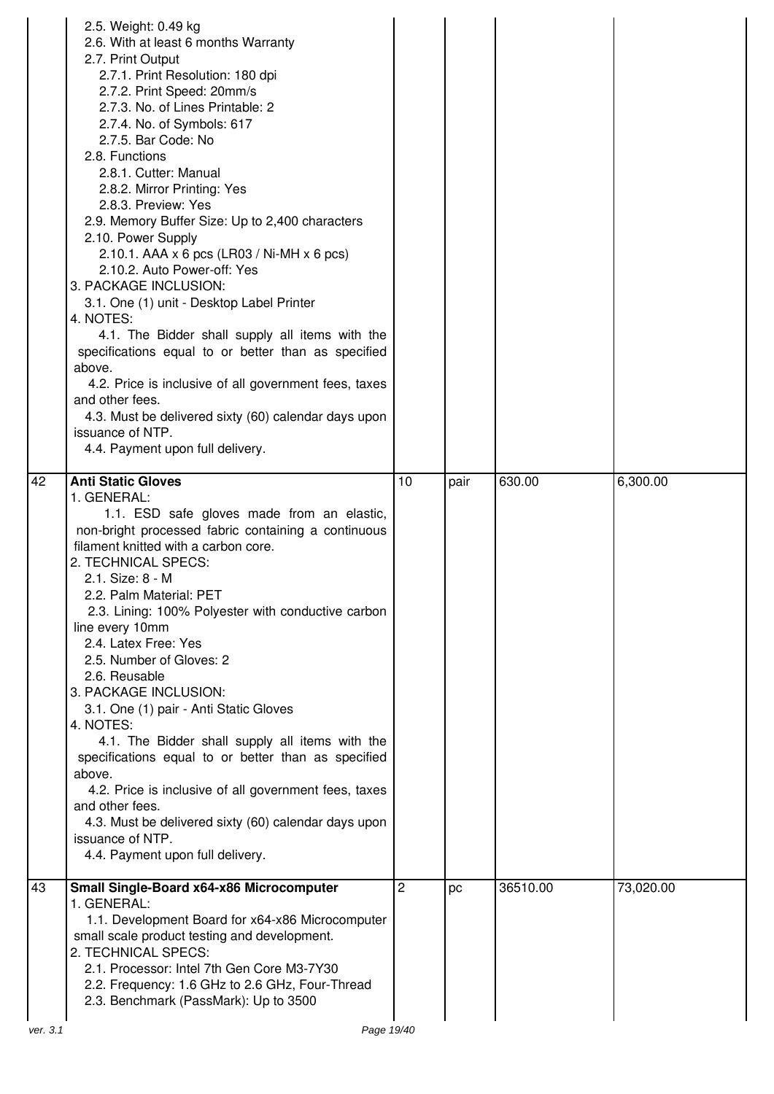|          | 2.5. Weight: 0.49 kg<br>2.6. With at least 6 months Warranty<br>2.7. Print Output<br>2.7.1. Print Resolution: 180 dpi<br>2.7.2. Print Speed: 20mm/s<br>2.7.3. No. of Lines Printable: 2<br>2.7.4. No. of Symbols: 617<br>2.7.5. Bar Code: No<br>2.8. Functions<br>2.8.1. Cutter: Manual<br>2.8.2. Mirror Printing: Yes<br>2.8.3. Preview: Yes<br>2.9. Memory Buffer Size: Up to 2,400 characters<br>2.10. Power Supply<br>2.10.1. AAA x 6 pcs (LR03 / Ni-MH x 6 pcs)<br>2.10.2. Auto Power-off: Yes<br>3. PACKAGE INCLUSION:<br>3.1. One (1) unit - Desktop Label Printer<br>4. NOTES:<br>4.1. The Bidder shall supply all items with the<br>specifications equal to or better than as specified<br>above.<br>4.2. Price is inclusive of all government fees, taxes<br>and other fees.<br>4.3. Must be delivered sixty (60) calendar days upon<br>issuance of NTP.<br>4.4. Payment upon full delivery. |    |      |          |           |
|----------|--------------------------------------------------------------------------------------------------------------------------------------------------------------------------------------------------------------------------------------------------------------------------------------------------------------------------------------------------------------------------------------------------------------------------------------------------------------------------------------------------------------------------------------------------------------------------------------------------------------------------------------------------------------------------------------------------------------------------------------------------------------------------------------------------------------------------------------------------------------------------------------------------------|----|------|----------|-----------|
| 42       | <b>Anti Static Gloves</b><br>1. GENERAL:<br>1.1. ESD safe gloves made from an elastic,<br>non-bright processed fabric containing a continuous<br>filament knitted with a carbon core.<br>2. TECHNICAL SPECS:<br>2.1. Size: 8 - M<br>2.2. Palm Material: PET<br>2.3. Lining: 100% Polyester with conductive carbon<br>line every 10mm<br>2.4. Latex Free: Yes<br>2.5. Number of Gloves: 2<br>2.6. Reusable<br>3. PACKAGE INCLUSION:<br>3.1. One (1) pair - Anti Static Gloves<br>4. NOTES:<br>4.1. The Bidder shall supply all items with the<br>specifications equal to or better than as specified<br>above.<br>4.2. Price is inclusive of all government fees, taxes<br>and other fees.<br>4.3. Must be delivered sixty (60) calendar days upon<br>issuance of NTP.<br>4.4. Payment upon full delivery.                                                                                              | 10 | pair | 630.00   | 6,300.00  |
| 43       | Small Single-Board x64-x86 Microcomputer<br>1. GENERAL:<br>1.1. Development Board for x64-x86 Microcomputer<br>small scale product testing and development.<br>2. TECHNICAL SPECS:<br>2.1. Processor: Intel 7th Gen Core M3-7Y30<br>2.2. Frequency: 1.6 GHz to 2.6 GHz, Four-Thread<br>2.3. Benchmark (PassMark): Up to 3500                                                                                                                                                                                                                                                                                                                                                                                                                                                                                                                                                                           | 2  | pc   | 36510.00 | 73,020.00 |
| ver. 3.1 | Page 19/40                                                                                                                                                                                                                                                                                                                                                                                                                                                                                                                                                                                                                                                                                                                                                                                                                                                                                             |    |      |          |           |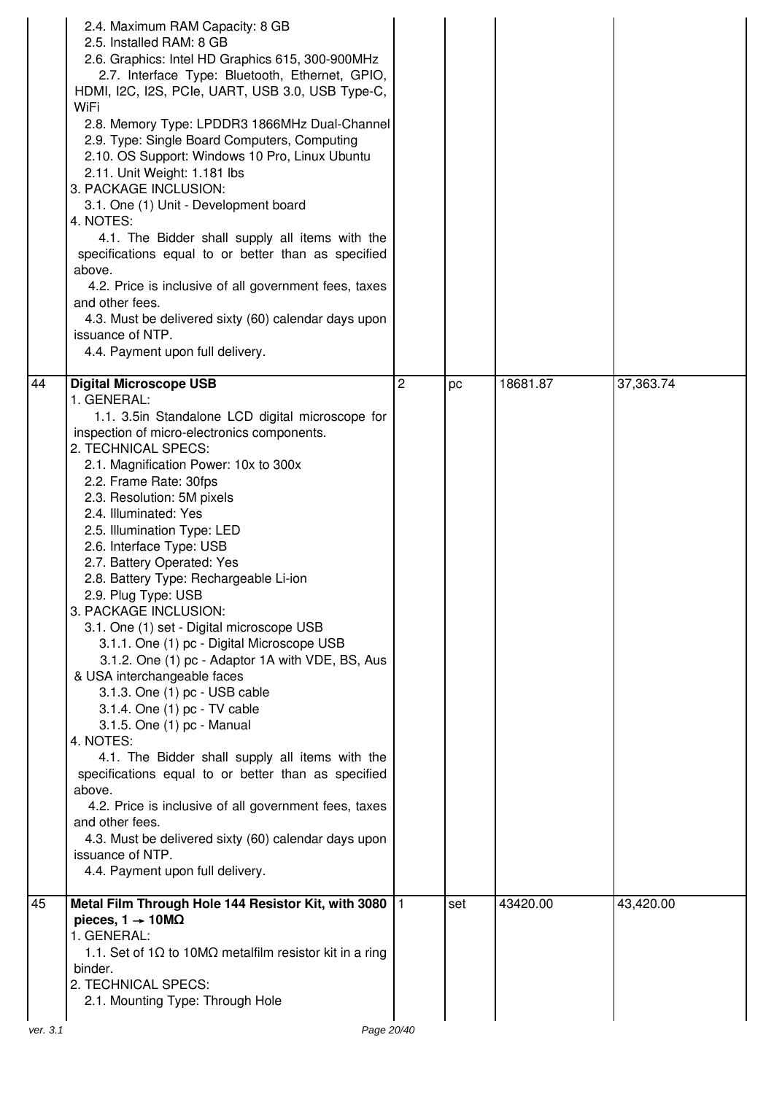|          | 2.4. Maximum RAM Capacity: 8 GB<br>2.5. Installed RAM: 8 GB<br>2.6. Graphics: Intel HD Graphics 615, 300-900MHz<br>2.7. Interface Type: Bluetooth, Ethernet, GPIO,<br>HDMI, I2C, I2S, PCIe, UART, USB 3.0, USB Type-C,<br>WiFi<br>2.8. Memory Type: LPDDR3 1866MHz Dual-Channel<br>2.9. Type: Single Board Computers, Computing<br>2.10. OS Support: Windows 10 Pro, Linux Ubuntu<br>2.11. Unit Weight: 1.181 lbs<br>3. PACKAGE INCLUSION:<br>3.1. One (1) Unit - Development board<br>4. NOTES:<br>4.1. The Bidder shall supply all items with the<br>specifications equal to or better than as specified<br>above.<br>4.2. Price is inclusive of all government fees, taxes<br>and other fees.<br>4.3. Must be delivered sixty (60) calendar days upon<br>issuance of NTP.<br>4.4. Payment upon full delivery.                                                                                                                                                                                                                                                                              |   |     |          |           |
|----------|-----------------------------------------------------------------------------------------------------------------------------------------------------------------------------------------------------------------------------------------------------------------------------------------------------------------------------------------------------------------------------------------------------------------------------------------------------------------------------------------------------------------------------------------------------------------------------------------------------------------------------------------------------------------------------------------------------------------------------------------------------------------------------------------------------------------------------------------------------------------------------------------------------------------------------------------------------------------------------------------------------------------------------------------------------------------------------------------------|---|-----|----------|-----------|
| 44       | <b>Digital Microscope USB</b><br>1. GENERAL:<br>1.1. 3.5in Standalone LCD digital microscope for<br>inspection of micro-electronics components.<br>2. TECHNICAL SPECS:<br>2.1. Magnification Power: 10x to 300x<br>2.2. Frame Rate: 30fps<br>2.3. Resolution: 5M pixels<br>2.4. Illuminated: Yes<br>2.5. Illumination Type: LED<br>2.6. Interface Type: USB<br>2.7. Battery Operated: Yes<br>2.8. Battery Type: Rechargeable Li-ion<br>2.9. Plug Type: USB<br>3. PACKAGE INCLUSION:<br>3.1. One (1) set - Digital microscope USB<br>3.1.1. One (1) pc - Digital Microscope USB<br>3.1.2. One (1) pc - Adaptor 1A with VDE, BS, Aus<br>& USA interchangeable faces<br>3.1.3. One (1) pc - USB cable<br>3.1.4. One (1) pc - TV cable<br>3.1.5. One (1) pc - Manual<br>4. NOTES:<br>4.1. The Bidder shall supply all items with the<br>specifications equal to or better than as specified<br>above.<br>4.2. Price is inclusive of all government fees, taxes<br>and other fees.<br>4.3. Must be delivered sixty (60) calendar days upon<br>issuance of NTP.<br>4.4. Payment upon full delivery. | 2 | pc  | 18681.87 | 37,363.74 |
| 45       | Metal Film Through Hole 144 Resistor Kit, with 3080   1<br>pieces, $1 \rightarrow 10 \text{M}\Omega$<br>1. GENERAL:<br>1.1. Set of 1 $\Omega$ to 10M $\Omega$ metalfilm resistor kit in a ring<br>binder.<br>2. TECHNICAL SPECS:<br>2.1. Mounting Type: Through Hole                                                                                                                                                                                                                                                                                                                                                                                                                                                                                                                                                                                                                                                                                                                                                                                                                          |   | set | 43420.00 | 43,420.00 |
| ver. 3.1 | Page 20/40                                                                                                                                                                                                                                                                                                                                                                                                                                                                                                                                                                                                                                                                                                                                                                                                                                                                                                                                                                                                                                                                                    |   |     |          |           |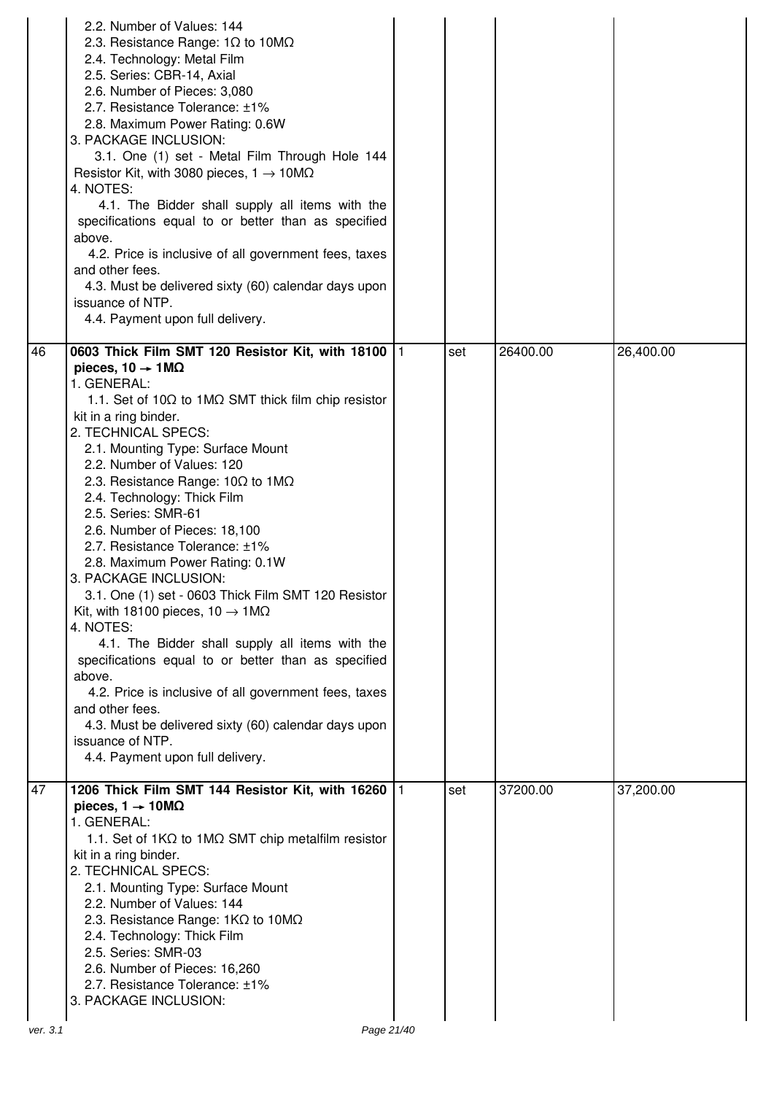|    | 2.2. Number of Values: 144<br>2.3. Resistance Range: $1\Omega$ to $10M\Omega$<br>2.4. Technology: Metal Film<br>2.5. Series: CBR-14, Axial<br>2.6. Number of Pieces: 3,080<br>2.7. Resistance Tolerance: ±1%<br>2.8. Maximum Power Rating: 0.6W<br>3. PACKAGE INCLUSION:<br>3.1. One (1) set - Metal Film Through Hole 144<br>Resistor Kit, with 3080 pieces, $1 \rightarrow 10M\Omega$<br>4. NOTES:<br>4.1. The Bidder shall supply all items with the<br>specifications equal to or better than as specified<br>above.<br>4.2. Price is inclusive of all government fees, taxes<br>and other fees.<br>4.3. Must be delivered sixty (60) calendar days upon<br>issuance of NTP.<br>4.4. Payment upon full delivery.                                                                                                                                                                                                                                                                                 |    |     |          |           |
|----|------------------------------------------------------------------------------------------------------------------------------------------------------------------------------------------------------------------------------------------------------------------------------------------------------------------------------------------------------------------------------------------------------------------------------------------------------------------------------------------------------------------------------------------------------------------------------------------------------------------------------------------------------------------------------------------------------------------------------------------------------------------------------------------------------------------------------------------------------------------------------------------------------------------------------------------------------------------------------------------------------|----|-----|----------|-----------|
| 46 | 0603 Thick Film SMT 120 Resistor Kit, with 18100  1<br>pieces, $10 \rightarrow 1 \text{M}\Omega$<br>1. GENERAL:<br>1.1. Set of 10 $\Omega$ to 1M $\Omega$ SMT thick film chip resistor<br>kit in a ring binder.<br>2. TECHNICAL SPECS:<br>2.1. Mounting Type: Surface Mount<br>2.2. Number of Values: 120<br>2.3. Resistance Range: $10\Omega$ to $1\text{M}\Omega$<br>2.4. Technology: Thick Film<br>2.5. Series: SMR-61<br>2.6. Number of Pieces: 18,100<br>2.7. Resistance Tolerance: ±1%<br>2.8. Maximum Power Rating: 0.1W<br>3. PACKAGE INCLUSION:<br>3.1. One (1) set - 0603 Thick Film SMT 120 Resistor<br>Kit, with 18100 pieces, 10 $\rightarrow$ 1M $\Omega$<br>4. NOTES:<br>4.1. The Bidder shall supply all items with the<br>specifications equal to or better than as specified<br>above.<br>4.2. Price is inclusive of all government fees, taxes<br>and other fees.<br>4.3. Must be delivered sixty (60) calendar days upon<br>issuance of NTP.<br>4.4. Payment upon full delivery. |    | set | 26400.00 | 26,400.00 |
| 47 | 1206 Thick Film SMT 144 Resistor Kit, with 16260<br>pieces, $1 \rightarrow 10 \text{M}\Omega$<br>1. GENERAL:<br>1.1. Set of $1K\Omega$ to $1M\Omega$ SMT chip metalfilm resistor<br>kit in a ring binder.<br>2. TECHNICAL SPECS:<br>2.1. Mounting Type: Surface Mount<br>2.2. Number of Values: 144<br>2.3. Resistance Range: $1K\Omega$ to $10M\Omega$<br>2.4. Technology: Thick Film<br>2.5. Series: SMR-03<br>2.6. Number of Pieces: 16,260<br>2.7. Resistance Tolerance: ±1%<br>3. PACKAGE INCLUSION:                                                                                                                                                                                                                                                                                                                                                                                                                                                                                            | 11 | set | 37200.00 | 37,200.00 |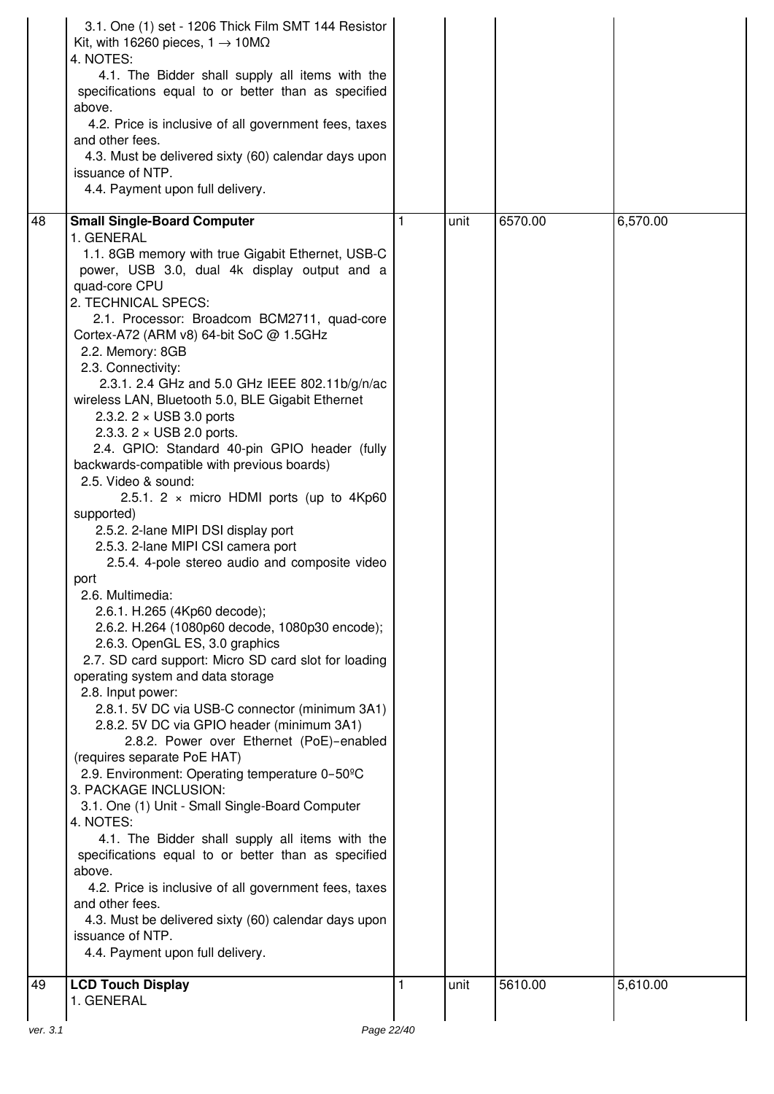|    | 3.1. One (1) set - 1206 Thick Film SMT 144 Resistor<br>Kit, with 16260 pieces, $1 \rightarrow 10M\Omega$<br>4. NOTES:<br>4.1. The Bidder shall supply all items with the<br>specifications equal to or better than as specified<br>above.<br>4.2. Price is inclusive of all government fees, taxes<br>and other fees.<br>4.3. Must be delivered sixty (60) calendar days upon<br>issuance of NTP.<br>4.4. Payment upon full delivery.                                                                                                                                                                                                                                                                                                                                                                                                                                                                                                                                                                                                                                                                                                                                                                                                                                                                                                                                                                                                                                                                                                                                                   |      |         |          |
|----|-----------------------------------------------------------------------------------------------------------------------------------------------------------------------------------------------------------------------------------------------------------------------------------------------------------------------------------------------------------------------------------------------------------------------------------------------------------------------------------------------------------------------------------------------------------------------------------------------------------------------------------------------------------------------------------------------------------------------------------------------------------------------------------------------------------------------------------------------------------------------------------------------------------------------------------------------------------------------------------------------------------------------------------------------------------------------------------------------------------------------------------------------------------------------------------------------------------------------------------------------------------------------------------------------------------------------------------------------------------------------------------------------------------------------------------------------------------------------------------------------------------------------------------------------------------------------------------------|------|---------|----------|
| 48 | <b>Small Single-Board Computer</b>                                                                                                                                                                                                                                                                                                                                                                                                                                                                                                                                                                                                                                                                                                                                                                                                                                                                                                                                                                                                                                                                                                                                                                                                                                                                                                                                                                                                                                                                                                                                                      | unit | 6570.00 | 6,570.00 |
|    | 1. GENERAL<br>1.1. 8GB memory with true Gigabit Ethernet, USB-C<br>power, USB 3.0, dual 4k display output and a<br>quad-core CPU<br>2. TECHNICAL SPECS:<br>2.1. Processor: Broadcom BCM2711, quad-core<br>Cortex-A72 (ARM v8) 64-bit SoC @ 1.5GHz<br>2.2. Memory: 8GB<br>2.3. Connectivity:<br>2.3.1. 2.4 GHz and 5.0 GHz IEEE 802.11b/g/n/ac<br>wireless LAN, Bluetooth 5.0, BLE Gigabit Ethernet<br>2.3.2. $2 \times$ USB 3.0 ports<br>2.3.3. $2 \times$ USB 2.0 ports.<br>2.4. GPIO: Standard 40-pin GPIO header (fully<br>backwards-compatible with previous boards)<br>2.5. Video & sound:<br>2.5.1. 2 $\times$ micro HDMI ports (up to 4Kp60<br>supported)<br>2.5.2. 2-lane MIPI DSI display port<br>2.5.3. 2-lane MIPI CSI camera port<br>2.5.4. 4-pole stereo audio and composite video<br>port<br>2.6. Multimedia:<br>2.6.1. H.265 (4Kp60 decode);<br>2.6.2. H.264 (1080p60 decode, 1080p30 encode);<br>2.6.3. OpenGL ES, 3.0 graphics<br>2.7. SD card support: Micro SD card slot for loading<br>operating system and data storage<br>2.8. Input power:<br>2.8.1. 5V DC via USB-C connector (minimum 3A1)<br>2.8.2. 5V DC via GPIO header (minimum 3A1)<br>2.8.2. Power over Ethernet (PoE)-enabled<br>(requires separate PoE HAT)<br>2.9. Environment: Operating temperature 0-50°C<br>3. PACKAGE INCLUSION:<br>3.1. One (1) Unit - Small Single-Board Computer<br>4. NOTES:<br>4.1. The Bidder shall supply all items with the<br>specifications equal to or better than as specified<br>above.<br>4.2. Price is inclusive of all government fees, taxes<br>and other fees. |      |         |          |
|    | 4.3. Must be delivered sixty (60) calendar days upon<br>issuance of NTP.<br>4.4. Payment upon full delivery.                                                                                                                                                                                                                                                                                                                                                                                                                                                                                                                                                                                                                                                                                                                                                                                                                                                                                                                                                                                                                                                                                                                                                                                                                                                                                                                                                                                                                                                                            |      |         |          |
| 49 | <b>LCD Touch Display</b><br>1. GENERAL                                                                                                                                                                                                                                                                                                                                                                                                                                                                                                                                                                                                                                                                                                                                                                                                                                                                                                                                                                                                                                                                                                                                                                                                                                                                                                                                                                                                                                                                                                                                                  | unit | 5610.00 | 5,610.00 |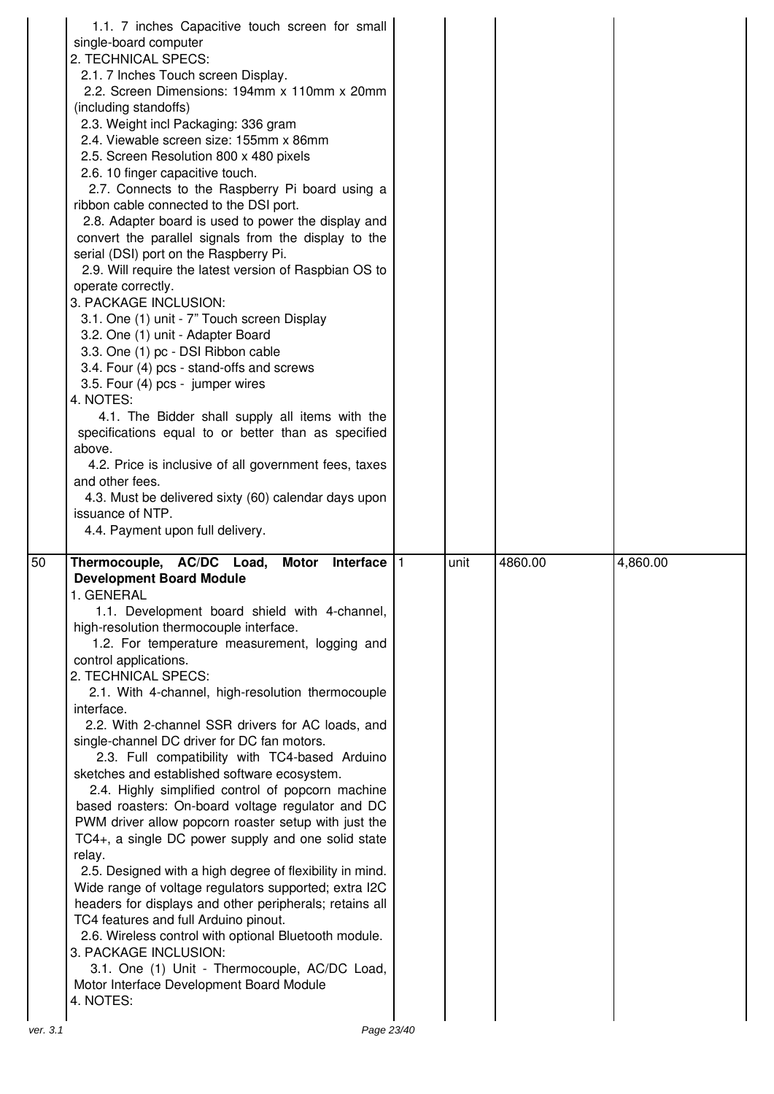|    | 1.1. 7 inches Capacitive touch screen for small<br>single-board computer<br>2. TECHNICAL SPECS:<br>2.1. 7 Inches Touch screen Display.<br>2.2. Screen Dimensions: 194mm x 110mm x 20mm<br>(including standoffs)<br>2.3. Weight incl Packaging: 336 gram<br>2.4. Viewable screen size: 155mm x 86mm<br>2.5. Screen Resolution 800 x 480 pixels<br>2.6. 10 finger capacitive touch.<br>2.7. Connects to the Raspberry Pi board using a<br>ribbon cable connected to the DSI port.<br>2.8. Adapter board is used to power the display and<br>convert the parallel signals from the display to the<br>serial (DSI) port on the Raspberry Pi.<br>2.9. Will require the latest version of Raspbian OS to<br>operate correctly.<br>3. PACKAGE INCLUSION:<br>3.1. One (1) unit - 7" Touch screen Display<br>3.2. One (1) unit - Adapter Board<br>3.3. One (1) pc - DSI Ribbon cable<br>3.4. Four (4) pcs - stand-offs and screws<br>3.5. Four (4) pcs - jumper wires<br>4. NOTES:<br>4.1. The Bidder shall supply all items with the<br>specifications equal to or better than as specified<br>above.<br>4.2. Price is inclusive of all government fees, taxes<br>and other fees.<br>4.3. Must be delivered sixty (60) calendar days upon<br>issuance of NTP.<br>4.4. Payment upon full delivery. |      |         |          |
|----|-------------------------------------------------------------------------------------------------------------------------------------------------------------------------------------------------------------------------------------------------------------------------------------------------------------------------------------------------------------------------------------------------------------------------------------------------------------------------------------------------------------------------------------------------------------------------------------------------------------------------------------------------------------------------------------------------------------------------------------------------------------------------------------------------------------------------------------------------------------------------------------------------------------------------------------------------------------------------------------------------------------------------------------------------------------------------------------------------------------------------------------------------------------------------------------------------------------------------------------------------------------------------------------------|------|---------|----------|
| 50 | Thermocouple, AC/DC Load,<br>Interface $ 1$<br><b>Motor</b><br><b>Development Board Module</b><br>1. GENERAL<br>1.1. Development board shield with 4-channel,<br>high-resolution thermocouple interface.<br>1.2. For temperature measurement, logging and<br>control applications.<br>2. TECHNICAL SPECS:<br>2.1. With 4-channel, high-resolution thermocouple<br>interface.<br>2.2. With 2-channel SSR drivers for AC loads, and<br>single-channel DC driver for DC fan motors.<br>2.3. Full compatibility with TC4-based Arduino<br>sketches and established software ecosystem.<br>2.4. Highly simplified control of popcorn machine<br>based roasters: On-board voltage regulator and DC<br>PWM driver allow popcorn roaster setup with just the<br>TC4+, a single DC power supply and one solid state<br>relay.<br>2.5. Designed with a high degree of flexibility in mind.<br>Wide range of voltage regulators supported; extra I2C<br>headers for displays and other peripherals; retains all<br>TC4 features and full Arduino pinout.<br>2.6. Wireless control with optional Bluetooth module.<br>3. PACKAGE INCLUSION:<br>3.1. One (1) Unit - Thermocouple, AC/DC Load,<br>Motor Interface Development Board Module<br>4. NOTES:                                                 | unit | 4860.00 | 4,860.00 |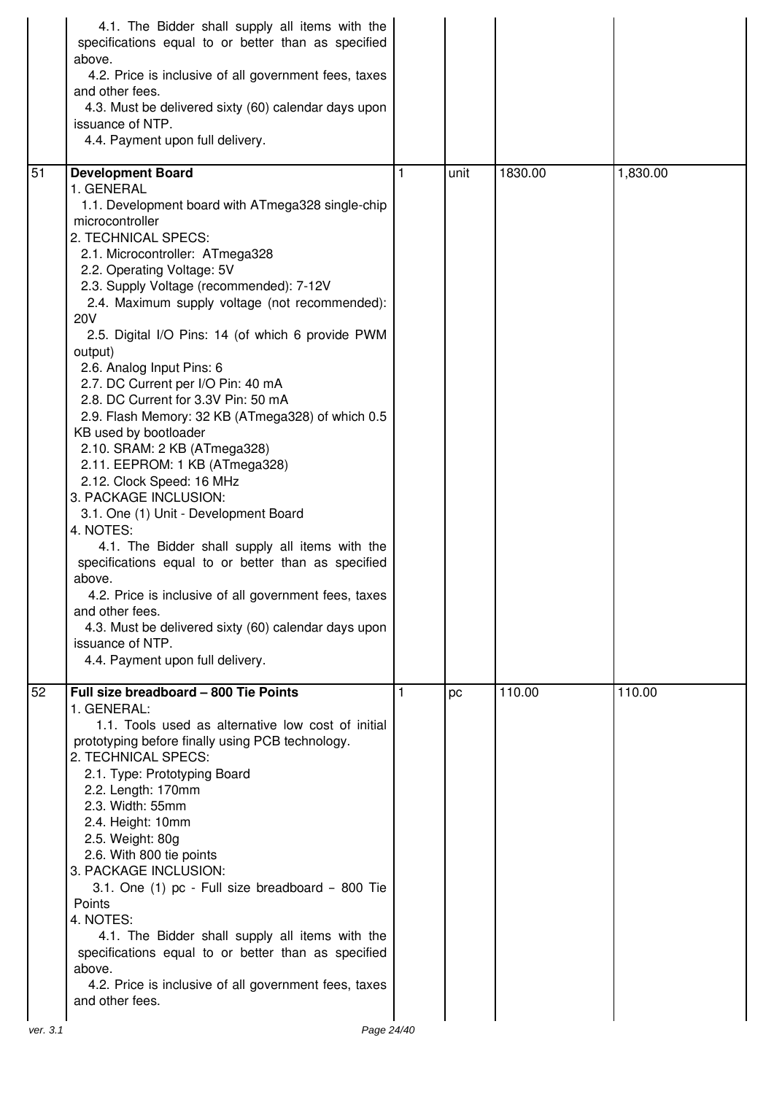|                | 4.1. The Bidder shall supply all items with the<br>specifications equal to or better than as specified<br>above.<br>4.2. Price is inclusive of all government fees, taxes<br>and other fees.<br>4.3. Must be delivered sixty (60) calendar days upon<br>issuance of NTP.<br>4.4. Payment upon full delivery.                                                                                                                                                                                                                                                                                                                                                                                                                                                                                                                                                                                                                                                                                                                                                             |   |      |         |          |
|----------------|--------------------------------------------------------------------------------------------------------------------------------------------------------------------------------------------------------------------------------------------------------------------------------------------------------------------------------------------------------------------------------------------------------------------------------------------------------------------------------------------------------------------------------------------------------------------------------------------------------------------------------------------------------------------------------------------------------------------------------------------------------------------------------------------------------------------------------------------------------------------------------------------------------------------------------------------------------------------------------------------------------------------------------------------------------------------------|---|------|---------|----------|
| 51             | <b>Development Board</b><br>1. GENERAL<br>1.1. Development board with ATmega328 single-chip<br>microcontroller<br>2. TECHNICAL SPECS:<br>2.1. Microcontroller: ATmega328<br>2.2. Operating Voltage: 5V<br>2.3. Supply Voltage (recommended): 7-12V<br>2.4. Maximum supply voltage (not recommended):<br><b>20V</b><br>2.5. Digital I/O Pins: 14 (of which 6 provide PWM<br>output)<br>2.6. Analog Input Pins: 6<br>2.7. DC Current per I/O Pin: 40 mA<br>2.8. DC Current for 3.3V Pin: 50 mA<br>2.9. Flash Memory: 32 KB (ATmega328) of which 0.5<br>KB used by bootloader<br>2.10. SRAM: 2 KB (ATmega328)<br>2.11. EEPROM: 1 KB (ATmega328)<br>2.12. Clock Speed: 16 MHz<br>3. PACKAGE INCLUSION:<br>3.1. One (1) Unit - Development Board<br>4. NOTES:<br>4.1. The Bidder shall supply all items with the<br>specifications equal to or better than as specified<br>above.<br>4.2. Price is inclusive of all government fees, taxes<br>and other fees.<br>4.3. Must be delivered sixty (60) calendar days upon<br>issuance of NTP.<br>4.4. Payment upon full delivery. | 1 | unit | 1830.00 | 1,830.00 |
| 52<br>ver. 3.1 | Full size breadboard - 800 Tie Points<br>1. GENERAL:<br>1.1. Tools used as alternative low cost of initial<br>prototyping before finally using PCB technology.<br>2. TECHNICAL SPECS:<br>2.1. Type: Prototyping Board<br>2.2. Length: 170mm<br>2.3. Width: 55mm<br>2.4. Height: 10mm<br>2.5. Weight: 80g<br>2.6. With 800 tie points<br>3. PACKAGE INCLUSION:<br>3.1. One (1) pc - Full size breadboard - 800 Tie<br>Points<br>4. NOTES:<br>4.1. The Bidder shall supply all items with the<br>specifications equal to or better than as specified<br>above.<br>4.2. Price is inclusive of all government fees, taxes<br>and other fees.<br>Page 24/40                                                                                                                                                                                                                                                                                                                                                                                                                   |   | pc   | 110.00  | 110.00   |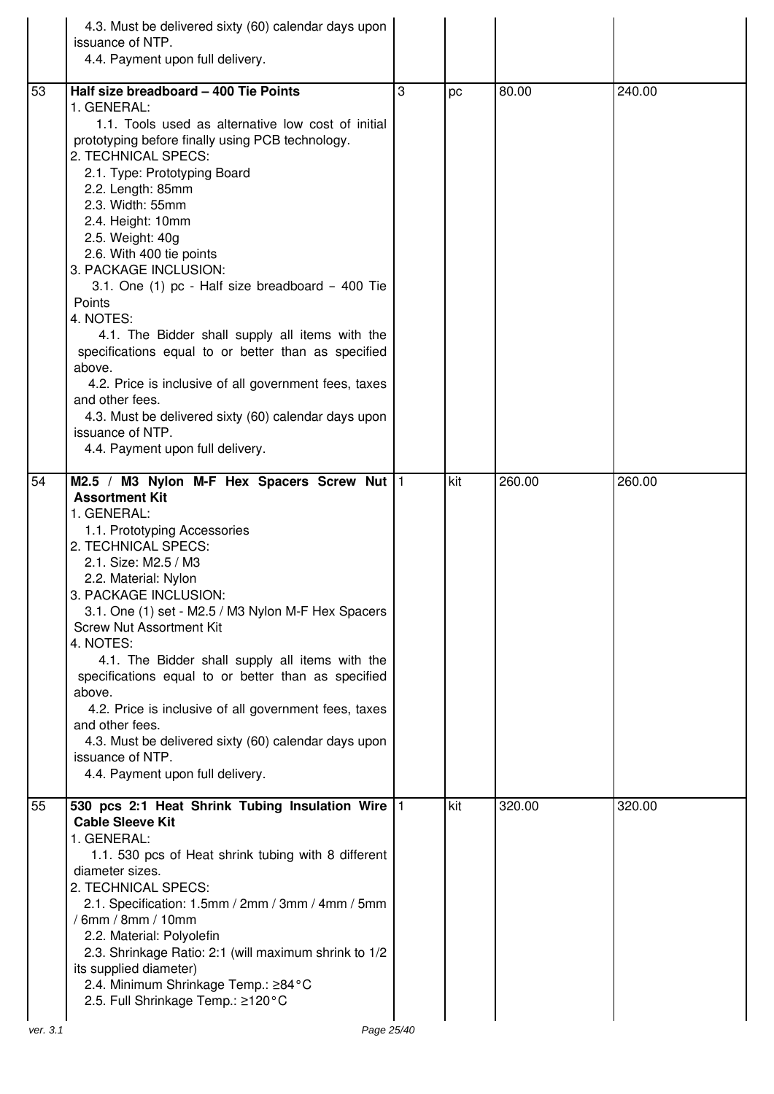|    | 4.3. Must be delivered sixty (60) calendar days upon<br>issuance of NTP.<br>4.4. Payment upon full delivery.                                                                                                                                                                                                                                                                                                                                                                                                                                                                                                                                                                                                                                            |   |     |        |        |
|----|---------------------------------------------------------------------------------------------------------------------------------------------------------------------------------------------------------------------------------------------------------------------------------------------------------------------------------------------------------------------------------------------------------------------------------------------------------------------------------------------------------------------------------------------------------------------------------------------------------------------------------------------------------------------------------------------------------------------------------------------------------|---|-----|--------|--------|
| 53 | Half size breadboard - 400 Tie Points<br>1. GENERAL:<br>1.1. Tools used as alternative low cost of initial<br>prototyping before finally using PCB technology.<br>2. TECHNICAL SPECS:<br>2.1. Type: Prototyping Board<br>2.2. Length: 85mm<br>2.3. Width: 55mm<br>2.4. Height: 10mm<br>2.5. Weight: 40g<br>2.6. With 400 tie points<br>3. PACKAGE INCLUSION:<br>3.1. One (1) pc - Half size breadboard - 400 Tie<br>Points<br>4. NOTES:<br>4.1. The Bidder shall supply all items with the<br>specifications equal to or better than as specified<br>above.<br>4.2. Price is inclusive of all government fees, taxes<br>and other fees.<br>4.3. Must be delivered sixty (60) calendar days upon<br>issuance of NTP.<br>4.4. Payment upon full delivery. | 3 | pc  | 80.00  | 240.00 |
| 54 | M2.5 / M3 Nylon M-F Hex Spacers Screw Nut  1<br><b>Assortment Kit</b><br>1. GENERAL:<br>1.1. Prototyping Accessories<br>2. TECHNICAL SPECS:<br>2.1. Size: M2.5 / M3<br>2.2. Material: Nylon<br>3. PACKAGE INCLUSION:<br>3.1. One (1) set - M2.5 / M3 Nylon M-F Hex Spacers<br><b>Screw Nut Assortment Kit</b><br>4. NOTES:<br>4.1. The Bidder shall supply all items with the<br>specifications equal to or better than as specified<br>above.<br>4.2. Price is inclusive of all government fees, taxes<br>and other fees.<br>4.3. Must be delivered sixty (60) calendar days upon<br>issuance of NTP.<br>4.4. Payment upon full delivery.                                                                                                              |   | kit | 260.00 | 260.00 |
| 55 | 530 pcs 2:1 Heat Shrink Tubing Insulation Wire  1<br><b>Cable Sleeve Kit</b><br>1. GENERAL:<br>1.1. 530 pcs of Heat shrink tubing with 8 different<br>diameter sizes.<br>2. TECHNICAL SPECS:<br>2.1. Specification: 1.5mm / 2mm / 3mm / 4mm / 5mm<br>' 6mm / 8mm / 10mm<br>2.2. Material: Polyolefin<br>2.3. Shrinkage Ratio: 2:1 (will maximum shrink to 1/2<br>its supplied diameter)<br>2.4. Minimum Shrinkage Temp.: ≥84°C<br>2.5. Full Shrinkage Temp.: ≥120°C                                                                                                                                                                                                                                                                                     |   | kit | 320.00 | 320.00 |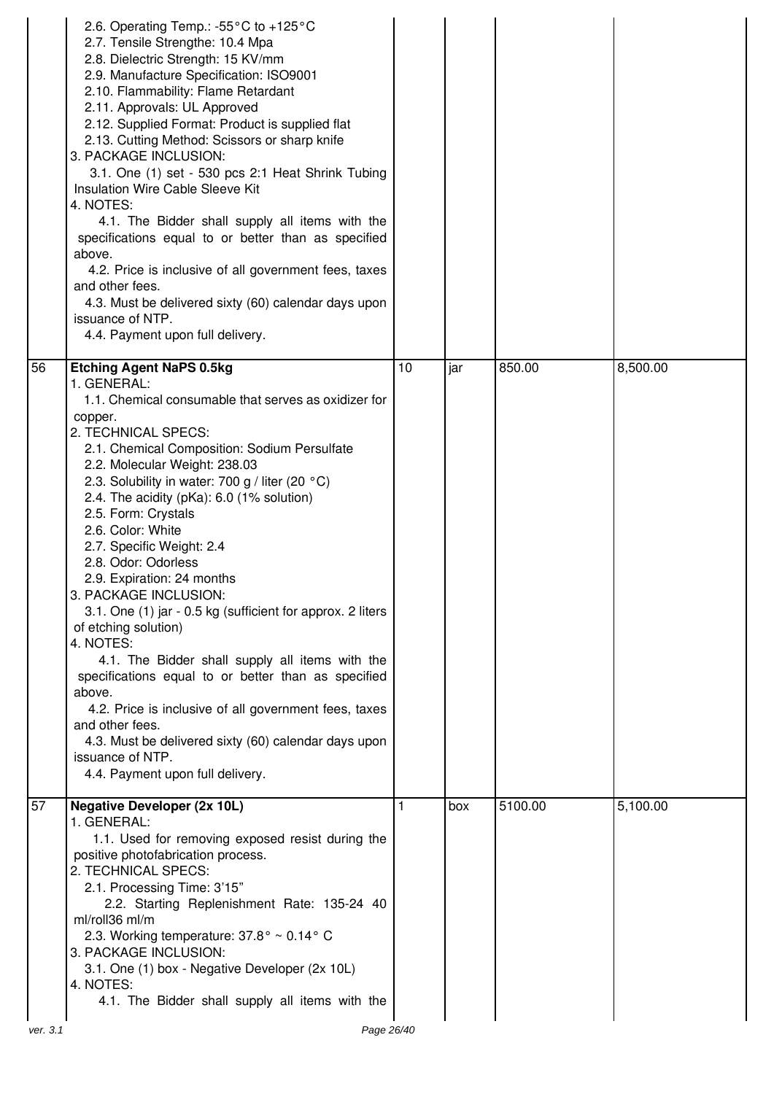|    | 2.6. Operating Temp.: -55 $\degree$ C to +125 $\degree$ C<br>2.7. Tensile Strengthe: 10.4 Mpa<br>2.8. Dielectric Strength: 15 KV/mm<br>2.9. Manufacture Specification: ISO9001<br>2.10. Flammability: Flame Retardant<br>2.11. Approvals: UL Approved<br>2.12. Supplied Format: Product is supplied flat<br>2.13. Cutting Method: Scissors or sharp knife<br>3. PACKAGE INCLUSION:<br>3.1. One (1) set - 530 pcs 2:1 Heat Shrink Tubing<br>Insulation Wire Cable Sleeve Kit<br>4. NOTES:<br>4.1. The Bidder shall supply all items with the<br>specifications equal to or better than as specified<br>above.<br>4.2. Price is inclusive of all government fees, taxes<br>and other fees.<br>4.3. Must be delivered sixty (60) calendar days upon<br>issuance of NTP.<br>4.4. Payment upon full delivery.                                                                                            |    |     |         |          |
|----|-----------------------------------------------------------------------------------------------------------------------------------------------------------------------------------------------------------------------------------------------------------------------------------------------------------------------------------------------------------------------------------------------------------------------------------------------------------------------------------------------------------------------------------------------------------------------------------------------------------------------------------------------------------------------------------------------------------------------------------------------------------------------------------------------------------------------------------------------------------------------------------------------------|----|-----|---------|----------|
| 56 | <b>Etching Agent NaPS 0.5kg</b><br>1. GENERAL:<br>1.1. Chemical consumable that serves as oxidizer for<br>copper.<br>2. TECHNICAL SPECS:<br>2.1. Chemical Composition: Sodium Persulfate<br>2.2. Molecular Weight: 238.03<br>2.3. Solubility in water: 700 g / liter (20 °C)<br>2.4. The acidity (pKa): 6.0 (1% solution)<br>2.5. Form: Crystals<br>2.6. Color: White<br>2.7. Specific Weight: 2.4<br>2.8. Odor: Odorless<br>2.9. Expiration: 24 months<br>3. PACKAGE INCLUSION:<br>3.1. One (1) jar - 0.5 kg (sufficient for approx. 2 liters<br>of etching solution)<br>4. NOTES:<br>4.1. The Bidder shall supply all items with the<br>specifications equal to or better than as specified<br>above.<br>4.2. Price is inclusive of all government fees, taxes<br>and other fees.<br>4.3. Must be delivered sixty (60) calendar days upon<br>issuance of NTP.<br>4.4. Payment upon full delivery. | 10 | jar | 850.00  | 8,500.00 |
| 57 | <b>Negative Developer (2x 10L)</b><br>1. GENERAL:<br>1.1. Used for removing exposed resist during the<br>positive photofabrication process.<br>2. TECHNICAL SPECS:<br>2.1. Processing Time: 3'15"<br>2.2. Starting Replenishment Rate: 135-24 40<br>ml/roll36 ml/m<br>2.3. Working temperature: 37.8° ~ 0.14° C<br>3. PACKAGE INCLUSION:<br>3.1. One (1) box - Negative Developer (2x 10L)<br>4. NOTES:<br>4.1. The Bidder shall supply all items with the                                                                                                                                                                                                                                                                                                                                                                                                                                          |    | box | 5100.00 | 5,100.00 |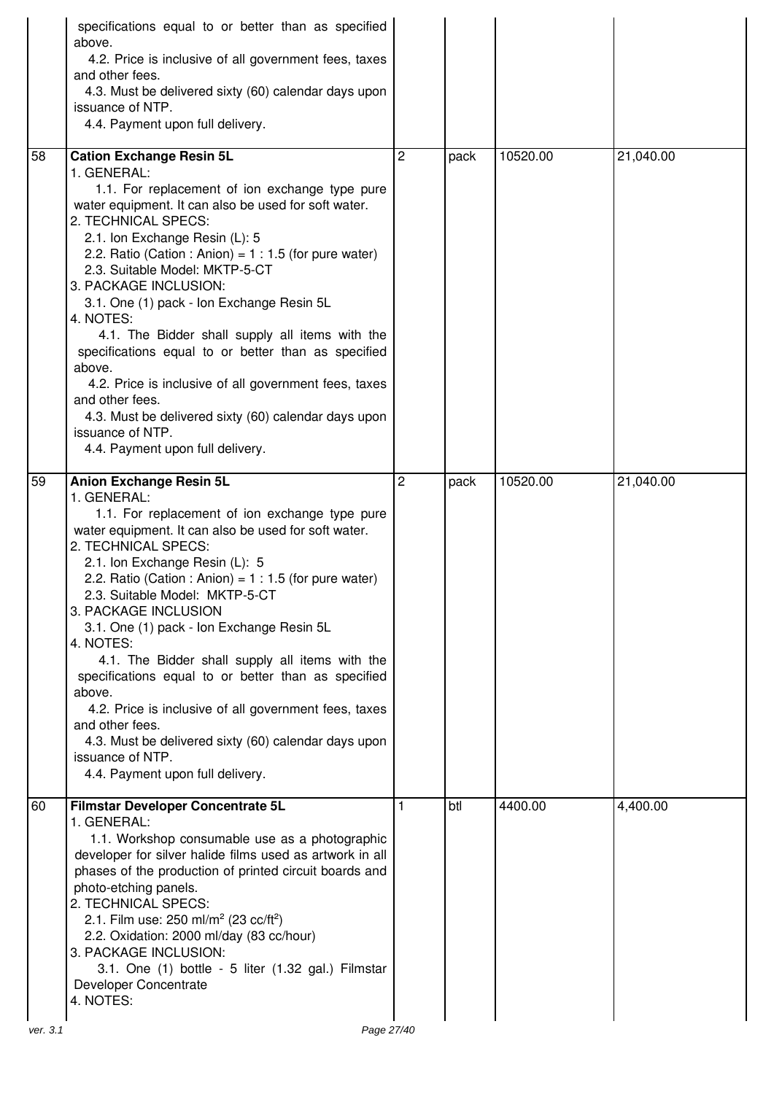|          | specifications equal to or better than as specified<br>above.<br>4.2. Price is inclusive of all government fees, taxes<br>and other fees.<br>4.3. Must be delivered sixty (60) calendar days upon<br>issuance of NTP.<br>4.4. Payment upon full delivery.                                                                                                                                                                                                                                                                                                                                                                                                                                                        |   |      |          |           |
|----------|------------------------------------------------------------------------------------------------------------------------------------------------------------------------------------------------------------------------------------------------------------------------------------------------------------------------------------------------------------------------------------------------------------------------------------------------------------------------------------------------------------------------------------------------------------------------------------------------------------------------------------------------------------------------------------------------------------------|---|------|----------|-----------|
| 58       | <b>Cation Exchange Resin 5L</b><br>1. GENERAL:<br>1.1. For replacement of ion exchange type pure<br>water equipment. It can also be used for soft water.<br>2. TECHNICAL SPECS:<br>2.1. Ion Exchange Resin (L): 5<br>2.2. Ratio (Cation : Anion) = $1:1.5$ (for pure water)<br>2.3. Suitable Model: MKTP-5-CT<br>3. PACKAGE INCLUSION:<br>3.1. One (1) pack - Ion Exchange Resin 5L<br>4. NOTES:<br>4.1. The Bidder shall supply all items with the<br>specifications equal to or better than as specified<br>above.<br>4.2. Price is inclusive of all government fees, taxes<br>and other fees.<br>4.3. Must be delivered sixty (60) calendar days upon<br>issuance of NTP.<br>4.4. Payment upon full delivery. | 2 | pack | 10520.00 | 21,040.00 |
| 59       | <b>Anion Exchange Resin 5L</b><br>1. GENERAL:<br>1.1. For replacement of ion exchange type pure<br>water equipment. It can also be used for soft water.<br>2. TECHNICAL SPECS:<br>2.1. Ion Exchange Resin (L): 5<br>2.2. Ratio (Cation : Anion) = $1:1.5$ (for pure water)<br>2.3. Suitable Model: MKTP-5-CT<br>3. PACKAGE INCLUSION<br>3.1. One (1) pack - Ion Exchange Resin 5L<br>4. NOTES:<br>4.1. The Bidder shall supply all items with the<br>specifications equal to or better than as specified<br>above.<br>4.2. Price is inclusive of all government fees, taxes<br>and other fees.<br>4.3. Must be delivered sixty (60) calendar days upon<br>issuance of NTP.<br>4.4. Payment upon full delivery.   | 2 | pack | 10520.00 | 21,040.00 |
| 60       | Filmstar Developer Concentrate 5L<br>1. GENERAL:<br>1.1. Workshop consumable use as a photographic<br>developer for silver halide films used as artwork in all<br>phases of the production of printed circuit boards and<br>photo-etching panels.<br>2. TECHNICAL SPECS:<br>2.1. Film use: 250 ml/m <sup>2</sup> (23 cc/ft <sup>2</sup> )<br>2.2. Oxidation: 2000 ml/day (83 cc/hour)<br>3. PACKAGE INCLUSION:<br>3.1. One (1) bottle - 5 liter (1.32 gal.) Filmstar<br>Developer Concentrate<br>4. NOTES:                                                                                                                                                                                                       | 1 | btl  | 4400.00  | 4,400.00  |
| ver. 3.1 | Page 27/40                                                                                                                                                                                                                                                                                                                                                                                                                                                                                                                                                                                                                                                                                                       |   |      |          |           |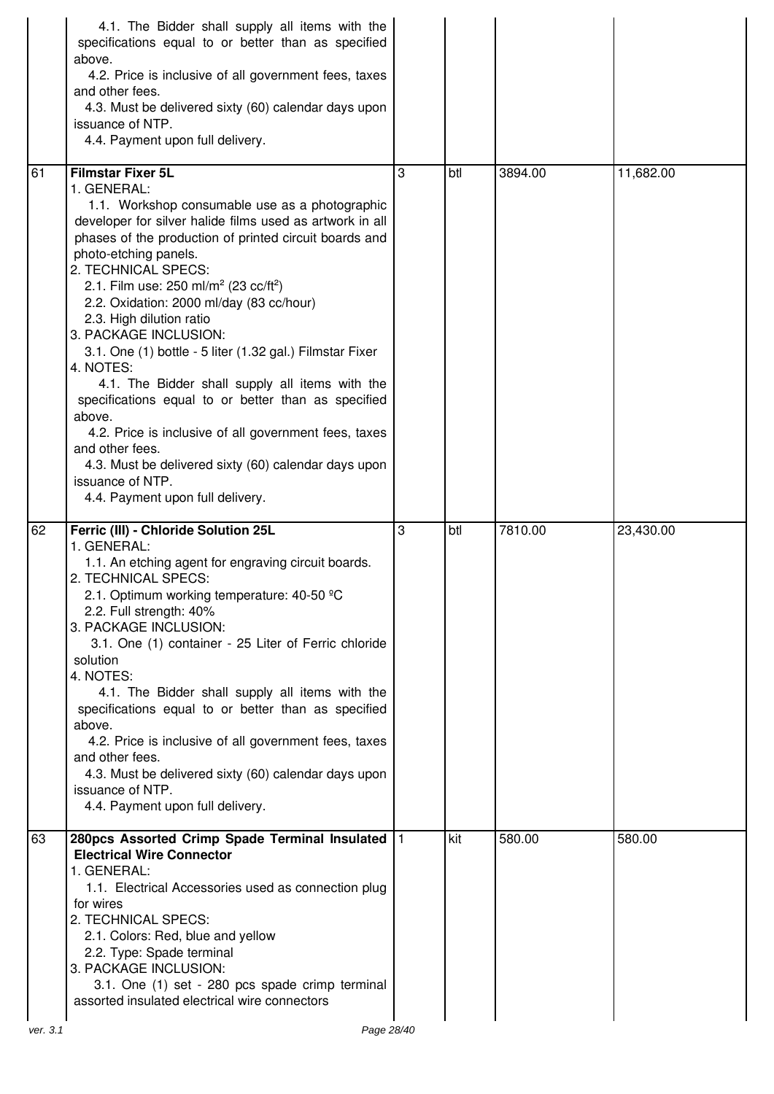|    | 4.1. The Bidder shall supply all items with the<br>specifications equal to or better than as specified<br>above.<br>4.2. Price is inclusive of all government fees, taxes<br>and other fees.<br>4.3. Must be delivered sixty (60) calendar days upon<br>issuance of NTP.<br>4.4. Payment upon full delivery.                                                                                                                                                                                                                                                                                                                                                                                                                                                                                                               |   |     |         |           |
|----|----------------------------------------------------------------------------------------------------------------------------------------------------------------------------------------------------------------------------------------------------------------------------------------------------------------------------------------------------------------------------------------------------------------------------------------------------------------------------------------------------------------------------------------------------------------------------------------------------------------------------------------------------------------------------------------------------------------------------------------------------------------------------------------------------------------------------|---|-----|---------|-----------|
| 61 | <b>Filmstar Fixer 5L</b><br>1. GENERAL:<br>1.1. Workshop consumable use as a photographic<br>developer for silver halide films used as artwork in all<br>phases of the production of printed circuit boards and<br>photo-etching panels.<br>2. TECHNICAL SPECS:<br>2.1. Film use: 250 ml/m <sup>2</sup> (23 cc/ft <sup>2</sup> )<br>2.2. Oxidation: 2000 ml/day (83 cc/hour)<br>2.3. High dilution ratio<br>3. PACKAGE INCLUSION:<br>3.1. One (1) bottle - 5 liter (1.32 gal.) Filmstar Fixer<br>4. NOTES:<br>4.1. The Bidder shall supply all items with the<br>specifications equal to or better than as specified<br>above.<br>4.2. Price is inclusive of all government fees, taxes<br>and other fees.<br>4.3. Must be delivered sixty (60) calendar days upon<br>issuance of NTP.<br>4.4. Payment upon full delivery. | 3 | btl | 3894.00 | 11,682.00 |
| 62 | Ferric (III) - Chloride Solution 25L<br>1. GENERAL:                                                                                                                                                                                                                                                                                                                                                                                                                                                                                                                                                                                                                                                                                                                                                                        | 3 | btl | 7810.00 | 23,430.00 |
|    | 1.1. An etching agent for engraving circuit boards.<br>2. TECHNICAL SPECS:<br>2.1. Optimum working temperature: 40-50 °C<br>2.2. Full strength: 40%<br>3. PACKAGE INCLUSION:<br>3.1. One (1) container - 25 Liter of Ferric chloride<br>solution<br>4. NOTES:<br>4.1. The Bidder shall supply all items with the<br>specifications equal to or better than as specified<br>above.<br>4.2. Price is inclusive of all government fees, taxes<br>and other fees.<br>4.3. Must be delivered sixty (60) calendar days upon<br>issuance of NTP.<br>4.4. Payment upon full delivery.                                                                                                                                                                                                                                              |   |     |         |           |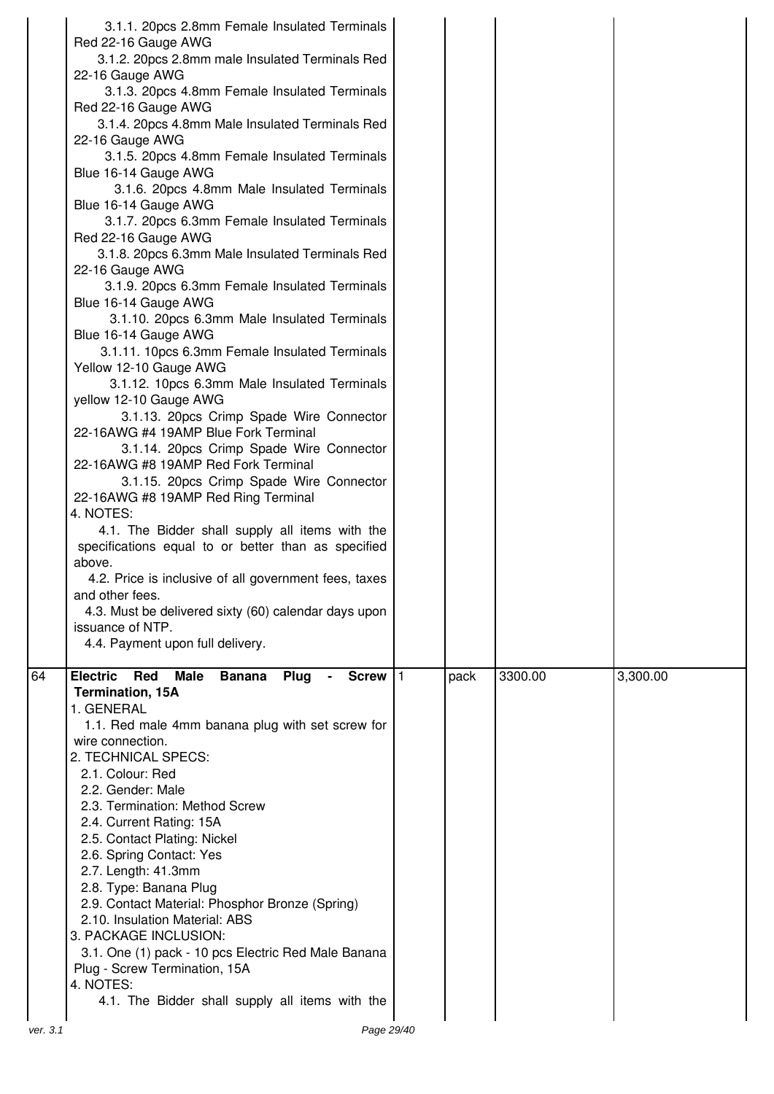|          | 3.1.1. 20pcs 2.8mm Female Insulated Terminals<br>Red 22-16 Gauge AWG<br>3.1.2. 20pcs 2.8mm male Insulated Terminals Red<br>22-16 Gauge AWG<br>3.1.3. 20pcs 4.8mm Female Insulated Terminals |      |         |          |
|----------|---------------------------------------------------------------------------------------------------------------------------------------------------------------------------------------------|------|---------|----------|
|          | Red 22-16 Gauge AWG<br>3.1.4. 20pcs 4.8mm Male Insulated Terminals Red<br>22-16 Gauge AWG                                                                                                   |      |         |          |
|          | 3.1.5. 20pcs 4.8mm Female Insulated Terminals<br>Blue 16-14 Gauge AWG                                                                                                                       |      |         |          |
|          | 3.1.6. 20pcs 4.8mm Male Insulated Terminals<br>Blue 16-14 Gauge AWG<br>3.1.7. 20pcs 6.3mm Female Insulated Terminals                                                                        |      |         |          |
|          | Red 22-16 Gauge AWG<br>3.1.8. 20pcs 6.3mm Male Insulated Terminals Red<br>22-16 Gauge AWG                                                                                                   |      |         |          |
|          | 3.1.9. 20pcs 6.3mm Female Insulated Terminals<br>Blue 16-14 Gauge AWG                                                                                                                       |      |         |          |
|          | 3.1.10. 20pcs 6.3mm Male Insulated Terminals<br>Blue 16-14 Gauge AWG<br>3.1.11. 10pcs 6.3mm Female Insulated Terminals                                                                      |      |         |          |
|          | Yellow 12-10 Gauge AWG<br>3.1.12. 10pcs 6.3mm Male Insulated Terminals                                                                                                                      |      |         |          |
|          | yellow 12-10 Gauge AWG<br>3.1.13. 20pcs Crimp Spade Wire Connector<br>22-16AWG #4 19AMP Blue Fork Terminal                                                                                  |      |         |          |
|          | 3.1.14. 20pcs Crimp Spade Wire Connector<br>22-16AWG #8 19AMP Red Fork Terminal                                                                                                             |      |         |          |
|          | 3.1.15. 20pcs Crimp Spade Wire Connector<br>22-16AWG #8 19AMP Red Ring Terminal<br>4. NOTES:                                                                                                |      |         |          |
|          | 4.1. The Bidder shall supply all items with the<br>specifications equal to or better than as specified<br>above.                                                                            |      |         |          |
|          | 4.2. Price is inclusive of all government fees, taxes<br>and other fees.<br>4.3. Must be delivered sixty (60) calendar days upon                                                            |      |         |          |
|          | issuance of NTP.<br>4.4. Payment upon full delivery.                                                                                                                                        |      |         |          |
| 64       | <b>Electric</b><br>Red<br><b>Male</b><br><b>Banana</b><br>Plug<br>Screw $ 1$<br><b>Termination, 15A</b>                                                                                     | pack | 3300.00 | 3,300.00 |
|          | 1. GENERAL<br>1.1. Red male 4mm banana plug with set screw for<br>wire connection.                                                                                                          |      |         |          |
|          | 2. TECHNICAL SPECS:<br>2.1. Colour: Red                                                                                                                                                     |      |         |          |
|          | 2.2. Gender: Male<br>2.3. Termination: Method Screw                                                                                                                                         |      |         |          |
|          | 2.4. Current Rating: 15A<br>2.5. Contact Plating: Nickel                                                                                                                                    |      |         |          |
|          | 2.6. Spring Contact: Yes<br>2.7. Length: 41.3mm                                                                                                                                             |      |         |          |
|          | 2.8. Type: Banana Plug<br>2.9. Contact Material: Phosphor Bronze (Spring)<br>2.10. Insulation Material: ABS                                                                                 |      |         |          |
|          | 3. PACKAGE INCLUSION:<br>3.1. One (1) pack - 10 pcs Electric Red Male Banana                                                                                                                |      |         |          |
|          | Plug - Screw Termination, 15A<br>4. NOTES:                                                                                                                                                  |      |         |          |
| ver. 3.1 | 4.1. The Bidder shall supply all items with the<br>Page 29/40                                                                                                                               |      |         |          |
|          |                                                                                                                                                                                             |      |         |          |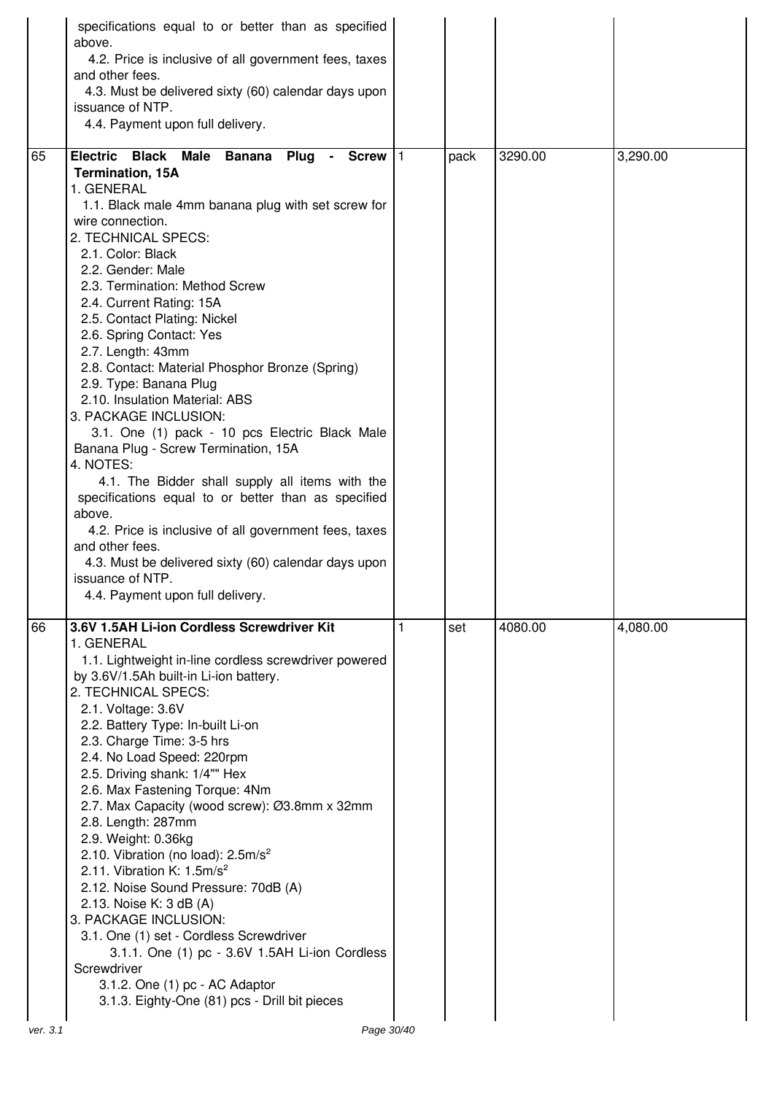|    | specifications equal to or better than as specified<br>above.<br>4.2. Price is inclusive of all government fees, taxes<br>and other fees.<br>4.3. Must be delivered sixty (60) calendar days upon<br>issuance of NTP.<br>4.4. Payment upon full delivery.                                                                                                                                                                                                                                                                                                                                                                                                                                                                                                                                                                                                                                                                                                             |   |      |         |          |
|----|-----------------------------------------------------------------------------------------------------------------------------------------------------------------------------------------------------------------------------------------------------------------------------------------------------------------------------------------------------------------------------------------------------------------------------------------------------------------------------------------------------------------------------------------------------------------------------------------------------------------------------------------------------------------------------------------------------------------------------------------------------------------------------------------------------------------------------------------------------------------------------------------------------------------------------------------------------------------------|---|------|---------|----------|
| 65 | <b>Electric</b><br><b>Black Male Banana</b><br>Plug<br>- Screw $ 1$<br><b>Termination, 15A</b><br>1. GENERAL<br>1.1. Black male 4mm banana plug with set screw for<br>wire connection.<br>2. TECHNICAL SPECS:<br>2.1. Color: Black<br>2.2. Gender: Male<br>2.3. Termination: Method Screw<br>2.4. Current Rating: 15A<br>2.5. Contact Plating: Nickel<br>2.6. Spring Contact: Yes<br>2.7. Length: 43mm<br>2.8. Contact: Material Phosphor Bronze (Spring)<br>2.9. Type: Banana Plug<br>2.10. Insulation Material: ABS<br>3. PACKAGE INCLUSION:<br>3.1. One (1) pack - 10 pcs Electric Black Male<br>Banana Plug - Screw Termination, 15A<br>4. NOTES:<br>4.1. The Bidder shall supply all items with the<br>specifications equal to or better than as specified<br>above.<br>4.2. Price is inclusive of all government fees, taxes<br>and other fees.<br>4.3. Must be delivered sixty (60) calendar days upon<br>issuance of NTP.<br>4.4. Payment upon full delivery. |   | pack | 3290.00 | 3,290.00 |
| 66 | 3.6V 1.5AH Li-ion Cordless Screwdriver Kit<br>1. GENERAL<br>1.1. Lightweight in-line cordless screwdriver powered<br>by 3.6V/1.5Ah built-in Li-ion battery.<br>2. TECHNICAL SPECS:<br>2.1. Voltage: 3.6V<br>2.2. Battery Type: In-built Li-on<br>2.3. Charge Time: 3-5 hrs<br>2.4. No Load Speed: 220rpm<br>2.5. Driving shank: 1/4"" Hex<br>2.6. Max Fastening Torque: 4Nm<br>2.7. Max Capacity (wood screw): Ø3.8mm x 32mm<br>2.8. Length: 287mm<br>2.9. Weight: 0.36kg<br>2.10. Vibration (no load): $2.5 \text{m/s}^2$<br>2.11. Vibration K: $1.5m/s2$<br>2.12. Noise Sound Pressure: 70dB (A)<br>2.13. Noise K: 3 dB (A)<br>3. PACKAGE INCLUSION:<br>3.1. One (1) set - Cordless Screwdriver<br>3.1.1. One (1) pc - 3.6V 1.5AH Li-ion Cordless<br>Screwdriver<br>3.1.2. One (1) pc - AC Adaptor<br>3.1.3. Eighty-One (81) pcs - Drill bit pieces                                                                                                                 | 1 | set  | 4080.00 | 4,080.00 |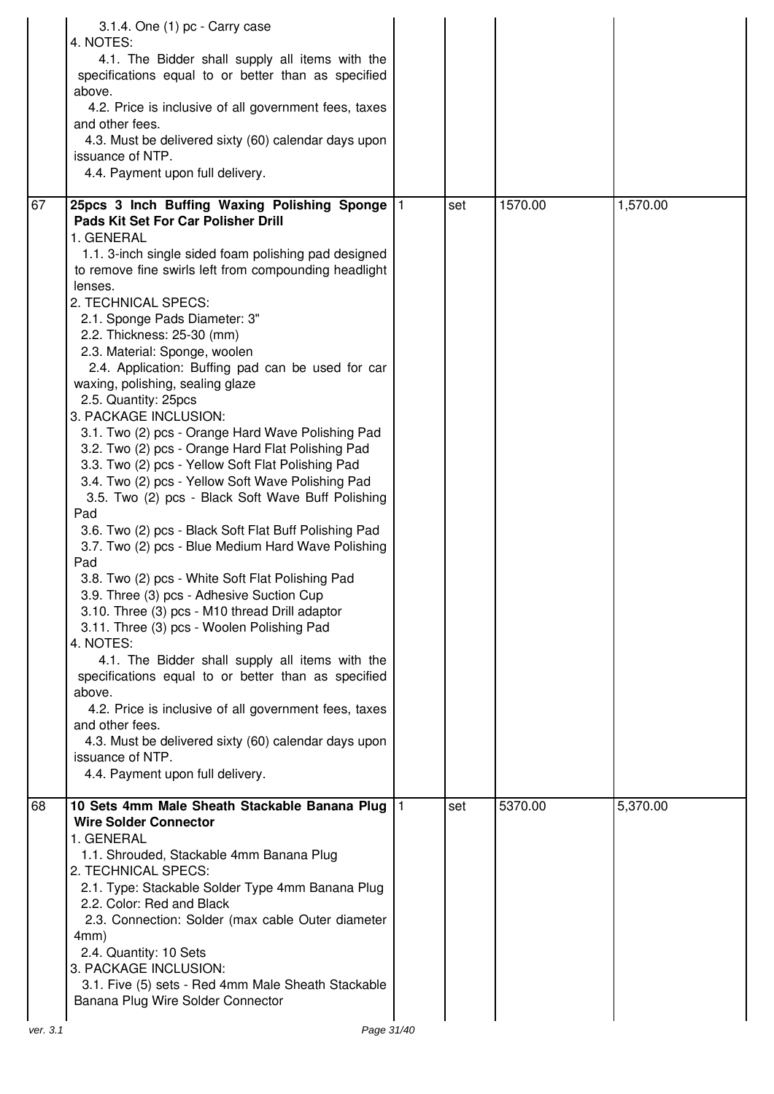|    | 3.1.4. One (1) pc - Carry case<br>4. NOTES:<br>4.1. The Bidder shall supply all items with the<br>specifications equal to or better than as specified<br>above.<br>4.2. Price is inclusive of all government fees, taxes<br>and other fees.<br>4.3. Must be delivered sixty (60) calendar days upon<br>issuance of NTP.<br>4.4. Payment upon full delivery.                                                                                                                                                                                                                                                                                                                                                                                                                                                                                                                                                                                                                                                                                                                                                                                                                                                                                                                                                                                                                                                                            |     |         |          |
|----|----------------------------------------------------------------------------------------------------------------------------------------------------------------------------------------------------------------------------------------------------------------------------------------------------------------------------------------------------------------------------------------------------------------------------------------------------------------------------------------------------------------------------------------------------------------------------------------------------------------------------------------------------------------------------------------------------------------------------------------------------------------------------------------------------------------------------------------------------------------------------------------------------------------------------------------------------------------------------------------------------------------------------------------------------------------------------------------------------------------------------------------------------------------------------------------------------------------------------------------------------------------------------------------------------------------------------------------------------------------------------------------------------------------------------------------|-----|---------|----------|
| 67 | 25pcs 3 Inch Buffing Waxing Polishing Sponge   1<br>Pads Kit Set For Car Polisher Drill<br>1. GENERAL<br>1.1. 3-inch single sided foam polishing pad designed<br>to remove fine swirls left from compounding headlight<br>lenses.<br>2. TECHNICAL SPECS:<br>2.1. Sponge Pads Diameter: 3"<br>2.2. Thickness: 25-30 (mm)<br>2.3. Material: Sponge, woolen<br>2.4. Application: Buffing pad can be used for car<br>waxing, polishing, sealing glaze<br>2.5. Quantity: 25pcs<br>3. PACKAGE INCLUSION:<br>3.1. Two (2) pcs - Orange Hard Wave Polishing Pad<br>3.2. Two (2) pcs - Orange Hard Flat Polishing Pad<br>3.3. Two (2) pcs - Yellow Soft Flat Polishing Pad<br>3.4. Two (2) pcs - Yellow Soft Wave Polishing Pad<br>3.5. Two (2) pcs - Black Soft Wave Buff Polishing<br>Pad<br>3.6. Two (2) pcs - Black Soft Flat Buff Polishing Pad<br>3.7. Two (2) pcs - Blue Medium Hard Wave Polishing<br>Pad<br>3.8. Two (2) pcs - White Soft Flat Polishing Pad<br>3.9. Three (3) pcs - Adhesive Suction Cup<br>3.10. Three (3) pcs - M10 thread Drill adaptor<br>3.11. Three (3) pcs - Woolen Polishing Pad<br>4. NOTES:<br>4.1. The Bidder shall supply all items with the<br>specifications equal to or better than as specified<br>above.<br>4.2. Price is inclusive of all government fees, taxes<br>and other fees.<br>4.3. Must be delivered sixty (60) calendar days upon<br>issuance of NTP.<br>4.4. Payment upon full delivery. | set | 1570.00 | 1,570.00 |
| 68 | 10 Sets 4mm Male Sheath Stackable Banana Plug  1<br><b>Wire Solder Connector</b><br>1. GENERAL<br>1.1. Shrouded, Stackable 4mm Banana Plug<br>2. TECHNICAL SPECS:<br>2.1. Type: Stackable Solder Type 4mm Banana Plug<br>2.2. Color: Red and Black<br>2.3. Connection: Solder (max cable Outer diameter<br>4mm)<br>2.4. Quantity: 10 Sets<br>3. PACKAGE INCLUSION:<br>3.1. Five (5) sets - Red 4mm Male Sheath Stackable<br>Banana Plug Wire Solder Connector                                                                                                                                                                                                                                                                                                                                                                                                                                                                                                                                                                                                                                                                                                                                                                                                                                                                                                                                                                          | set | 5370.00 | 5,370.00 |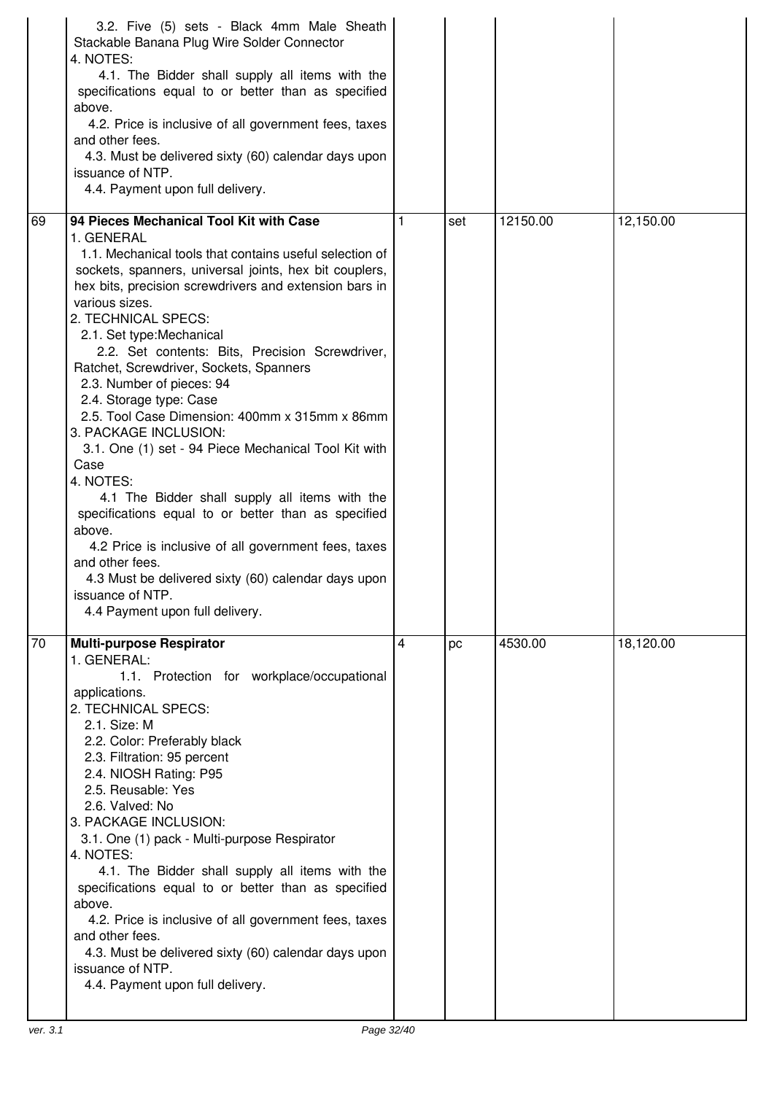|                 | 3.2. Five (5) sets - Black 4mm Male Sheath<br>Stackable Banana Plug Wire Solder Connector<br>4. NOTES:<br>4.1. The Bidder shall supply all items with the<br>specifications equal to or better than as specified<br>above.<br>4.2. Price is inclusive of all government fees, taxes<br>and other fees.<br>4.3. Must be delivered sixty (60) calendar days upon<br>issuance of NTP.<br>4.4. Payment upon full delivery.                                                                                                                                                                                                                                                                       |   |     |          |           |
|-----------------|----------------------------------------------------------------------------------------------------------------------------------------------------------------------------------------------------------------------------------------------------------------------------------------------------------------------------------------------------------------------------------------------------------------------------------------------------------------------------------------------------------------------------------------------------------------------------------------------------------------------------------------------------------------------------------------------|---|-----|----------|-----------|
| 69              | 94 Pieces Mechanical Tool Kit with Case<br>1. GENERAL<br>1.1. Mechanical tools that contains useful selection of<br>sockets, spanners, universal joints, hex bit couplers,<br>hex bits, precision screwdrivers and extension bars in<br>various sizes.                                                                                                                                                                                                                                                                                                                                                                                                                                       | 1 | set | 12150.00 | 12,150.00 |
|                 | 2. TECHNICAL SPECS:<br>2.1. Set type: Mechanical<br>2.2. Set contents: Bits, Precision Screwdriver,<br>Ratchet, Screwdriver, Sockets, Spanners<br>2.3. Number of pieces: 94<br>2.4. Storage type: Case<br>2.5. Tool Case Dimension: 400mm x 315mm x 86mm<br>3. PACKAGE INCLUSION:<br>3.1. One (1) set - 94 Piece Mechanical Tool Kit with<br>Case<br>4. NOTES:<br>4.1 The Bidder shall supply all items with the<br>specifications equal to or better than as specified<br>above.<br>4.2 Price is inclusive of all government fees, taxes<br>and other fees.<br>4.3 Must be delivered sixty (60) calendar days upon<br>issuance of NTP<br>4.4 Payment upon full delivery.                    |   |     |          |           |
| $\overline{70}$ | <b>Multi-purpose Respirator</b><br>1. GENERAL:<br>1.1. Protection for workplace/occupational<br>applications.<br>2. TECHNICAL SPECS:<br>2.1. Size: M<br>2.2. Color: Preferably black<br>2.3. Filtration: 95 percent<br>2.4. NIOSH Rating: P95<br>2.5. Reusable: Yes<br>2.6. Valved: No<br>3. PACKAGE INCLUSION:<br>3.1. One (1) pack - Multi-purpose Respirator<br>4. NOTES:<br>4.1. The Bidder shall supply all items with the<br>specifications equal to or better than as specified<br>above.<br>4.2. Price is inclusive of all government fees, taxes<br>and other fees.<br>4.3. Must be delivered sixty (60) calendar days upon<br>issuance of NTP.<br>4.4. Payment upon full delivery. | 4 | pc  | 4530.00  | 18,120.00 |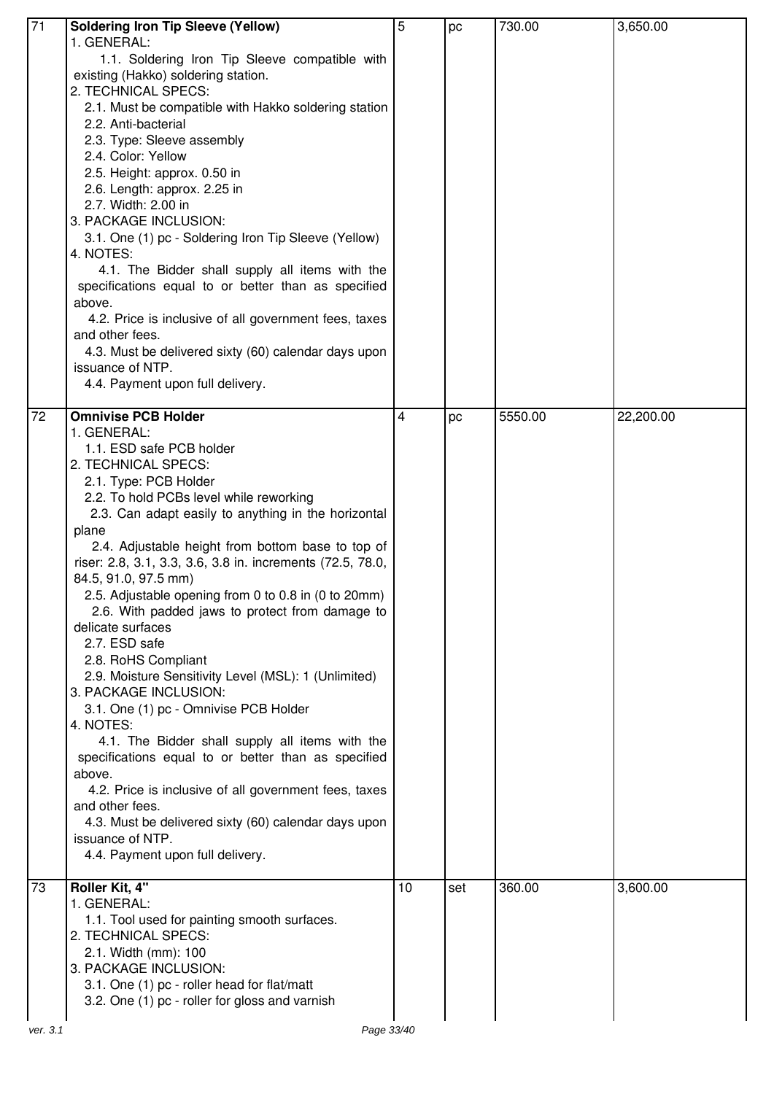| 71       | <b>Soldering Iron Tip Sleeve (Yellow)</b>                  | 5  | pc  | 730.00  | 3,650.00  |
|----------|------------------------------------------------------------|----|-----|---------|-----------|
|          | 1. GENERAL:                                                |    |     |         |           |
|          | 1.1. Soldering Iron Tip Sleeve compatible with             |    |     |         |           |
|          | existing (Hakko) soldering station.                        |    |     |         |           |
|          | 2. TECHNICAL SPECS:                                        |    |     |         |           |
|          | 2.1. Must be compatible with Hakko soldering station       |    |     |         |           |
|          |                                                            |    |     |         |           |
|          | 2.2. Anti-bacterial                                        |    |     |         |           |
|          | 2.3. Type: Sleeve assembly                                 |    |     |         |           |
|          | 2.4. Color: Yellow                                         |    |     |         |           |
|          | 2.5. Height: approx. 0.50 in                               |    |     |         |           |
|          | 2.6. Length: approx. 2.25 in                               |    |     |         |           |
|          | 2.7. Width: 2.00 in                                        |    |     |         |           |
|          | 3. PACKAGE INCLUSION:                                      |    |     |         |           |
|          | 3.1. One (1) pc - Soldering Iron Tip Sleeve (Yellow)       |    |     |         |           |
|          | 4. NOTES:                                                  |    |     |         |           |
|          | 4.1. The Bidder shall supply all items with the            |    |     |         |           |
|          | specifications equal to or better than as specified        |    |     |         |           |
|          |                                                            |    |     |         |           |
|          | above.                                                     |    |     |         |           |
|          | 4.2. Price is inclusive of all government fees, taxes      |    |     |         |           |
|          | and other fees.                                            |    |     |         |           |
|          | 4.3. Must be delivered sixty (60) calendar days upon       |    |     |         |           |
|          | issuance of NTP.                                           |    |     |         |           |
|          | 4.4. Payment upon full delivery.                           |    |     |         |           |
|          |                                                            |    |     |         |           |
| 72       | <b>Omnivise PCB Holder</b>                                 | 4  | pc  | 5550.00 | 22,200.00 |
|          | 1. GENERAL:                                                |    |     |         |           |
|          | 1.1. ESD safe PCB holder                                   |    |     |         |           |
|          | 2. TECHNICAL SPECS:                                        |    |     |         |           |
|          | 2.1. Type: PCB Holder                                      |    |     |         |           |
|          | 2.2. To hold PCBs level while reworking                    |    |     |         |           |
|          | 2.3. Can adapt easily to anything in the horizontal        |    |     |         |           |
|          | plane                                                      |    |     |         |           |
|          | 2.4. Adjustable height from bottom base to top of          |    |     |         |           |
|          | riser: 2.8, 3.1, 3.3, 3.6, 3.8 in. increments (72.5, 78.0, |    |     |         |           |
|          |                                                            |    |     |         |           |
|          | 84.5, 91.0, 97.5 mm)                                       |    |     |         |           |
|          | 2.5. Adjustable opening from 0 to 0.8 in (0 to 20mm)       |    |     |         |           |
|          |                                                            |    |     |         |           |
|          | 2.6. With padded jaws to protect from damage to            |    |     |         |           |
|          | delicate surfaces                                          |    |     |         |           |
|          | 2.7. ESD safe                                              |    |     |         |           |
|          | 2.8. RoHS Compliant                                        |    |     |         |           |
|          | 2.9. Moisture Sensitivity Level (MSL): 1 (Unlimited)       |    |     |         |           |
|          |                                                            |    |     |         |           |
|          | 3. PACKAGE INCLUSION:                                      |    |     |         |           |
|          | 3.1. One (1) pc - Omnivise PCB Holder                      |    |     |         |           |
|          | 4. NOTES:                                                  |    |     |         |           |
|          | 4.1. The Bidder shall supply all items with the            |    |     |         |           |
|          | specifications equal to or better than as specified        |    |     |         |           |
|          | above.                                                     |    |     |         |           |
|          | 4.2. Price is inclusive of all government fees, taxes      |    |     |         |           |
|          | and other fees.                                            |    |     |         |           |
|          | 4.3. Must be delivered sixty (60) calendar days upon       |    |     |         |           |
|          | issuance of NTP.                                           |    |     |         |           |
|          | 4.4. Payment upon full delivery.                           |    |     |         |           |
|          |                                                            |    |     |         |           |
| 73       | Roller Kit, 4"                                             | 10 | set | 360.00  | 3,600.00  |
|          | 1. GENERAL:                                                |    |     |         |           |
|          | 1.1. Tool used for painting smooth surfaces.               |    |     |         |           |
|          | 2. TECHNICAL SPECS:                                        |    |     |         |           |
|          | 2.1. Width (mm): 100                                       |    |     |         |           |
|          | 3. PACKAGE INCLUSION:                                      |    |     |         |           |
|          | 3.1. One (1) pc - roller head for flat/matt                |    |     |         |           |
|          | 3.2. One (1) pc - roller for gloss and varnish             |    |     |         |           |
| ver. 3.1 | Page 33/40                                                 |    |     |         |           |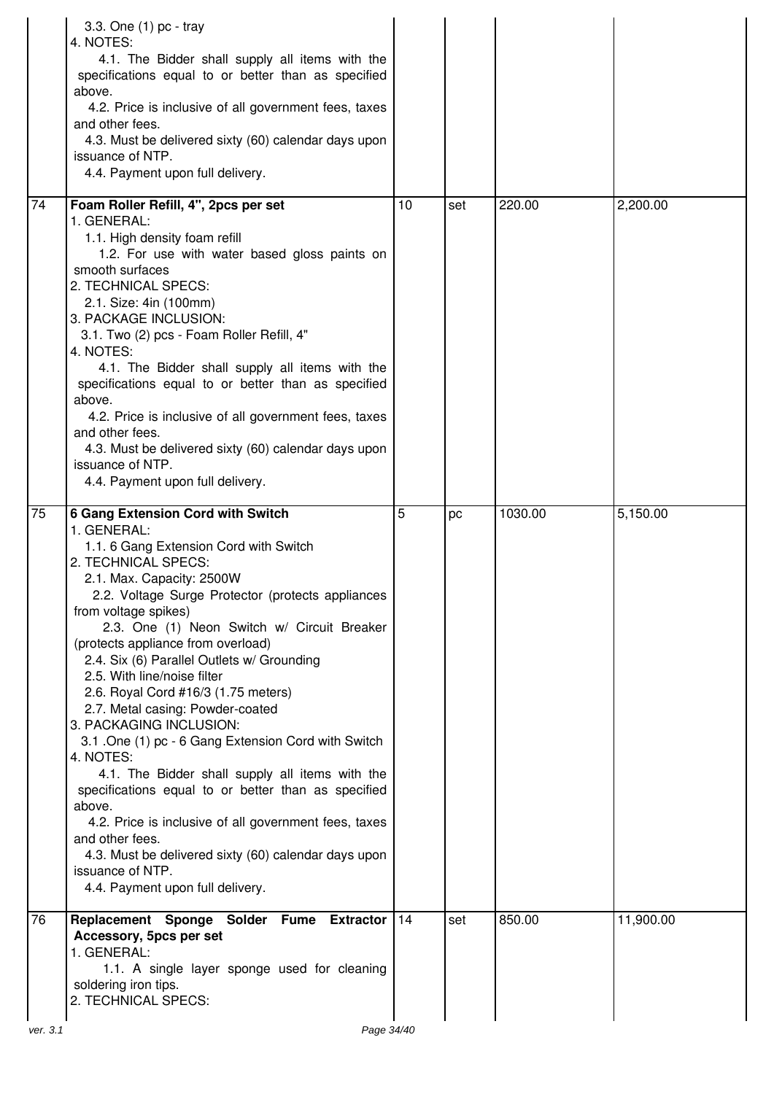|          | 3.3. One (1) pc - tray<br>4. NOTES:<br>4.1. The Bidder shall supply all items with the<br>specifications equal to or better than as specified<br>above.<br>4.2. Price is inclusive of all government fees, taxes<br>and other fees.<br>4.3. Must be delivered sixty (60) calendar days upon<br>issuance of NTP.<br>4.4. Payment upon full delivery.                                                                                                                                                                                                                                                                                                                                                                                                                                                                                                                                            |    |     |         |           |
|----------|------------------------------------------------------------------------------------------------------------------------------------------------------------------------------------------------------------------------------------------------------------------------------------------------------------------------------------------------------------------------------------------------------------------------------------------------------------------------------------------------------------------------------------------------------------------------------------------------------------------------------------------------------------------------------------------------------------------------------------------------------------------------------------------------------------------------------------------------------------------------------------------------|----|-----|---------|-----------|
| 74       | Foam Roller Refill, 4", 2pcs per set<br>1. GENERAL:<br>1.1. High density foam refill<br>1.2. For use with water based gloss paints on<br>smooth surfaces<br>2. TECHNICAL SPECS:<br>2.1. Size: 4in (100mm)<br>3. PACKAGE INCLUSION:<br>3.1. Two (2) pcs - Foam Roller Refill, 4"<br>4. NOTES:<br>4.1. The Bidder shall supply all items with the<br>specifications equal to or better than as specified<br>above.<br>4.2. Price is inclusive of all government fees, taxes<br>and other fees.<br>4.3. Must be delivered sixty (60) calendar days upon<br>issuance of NTP.<br>4.4. Payment upon full delivery.                                                                                                                                                                                                                                                                                   | 10 | set | 220.00  | 2,200.00  |
| 75       | <b>6 Gang Extension Cord with Switch</b><br>1. GENERAL:<br>1.1. 6 Gang Extension Cord with Switch<br>2. TECHNICAL SPECS:<br>2.1. Max. Capacity: 2500W<br>2.2. Voltage Surge Protector (protects appliances<br>from voltage spikes)<br>2.3. One (1) Neon Switch w/ Circuit Breaker<br>(protects appliance from overload)<br>2.4. Six (6) Parallel Outlets w/ Grounding<br>2.5. With line/noise filter<br>2.6. Royal Cord #16/3 (1.75 meters)<br>2.7. Metal casing: Powder-coated<br>3. PACKAGING INCLUSION:<br>3.1 .One (1) pc - 6 Gang Extension Cord with Switch<br>4. NOTES:<br>4.1. The Bidder shall supply all items with the<br>specifications equal to or better than as specified<br>above.<br>4.2. Price is inclusive of all government fees, taxes<br>and other fees.<br>4.3. Must be delivered sixty (60) calendar days upon<br>issuance of NTP.<br>4.4. Payment upon full delivery. | 5  | pc  | 1030.00 | 5,150.00  |
| 76       | Replacement Sponge Solder Fume Extractor<br>Accessory, 5pcs per set<br>1. GENERAL:<br>1.1. A single layer sponge used for cleaning<br>soldering iron tips.<br>2. TECHNICAL SPECS:                                                                                                                                                                                                                                                                                                                                                                                                                                                                                                                                                                                                                                                                                                              | 14 | set | 850.00  | 11,900.00 |
| ver. 3.1 | Page 34/40                                                                                                                                                                                                                                                                                                                                                                                                                                                                                                                                                                                                                                                                                                                                                                                                                                                                                     |    |     |         |           |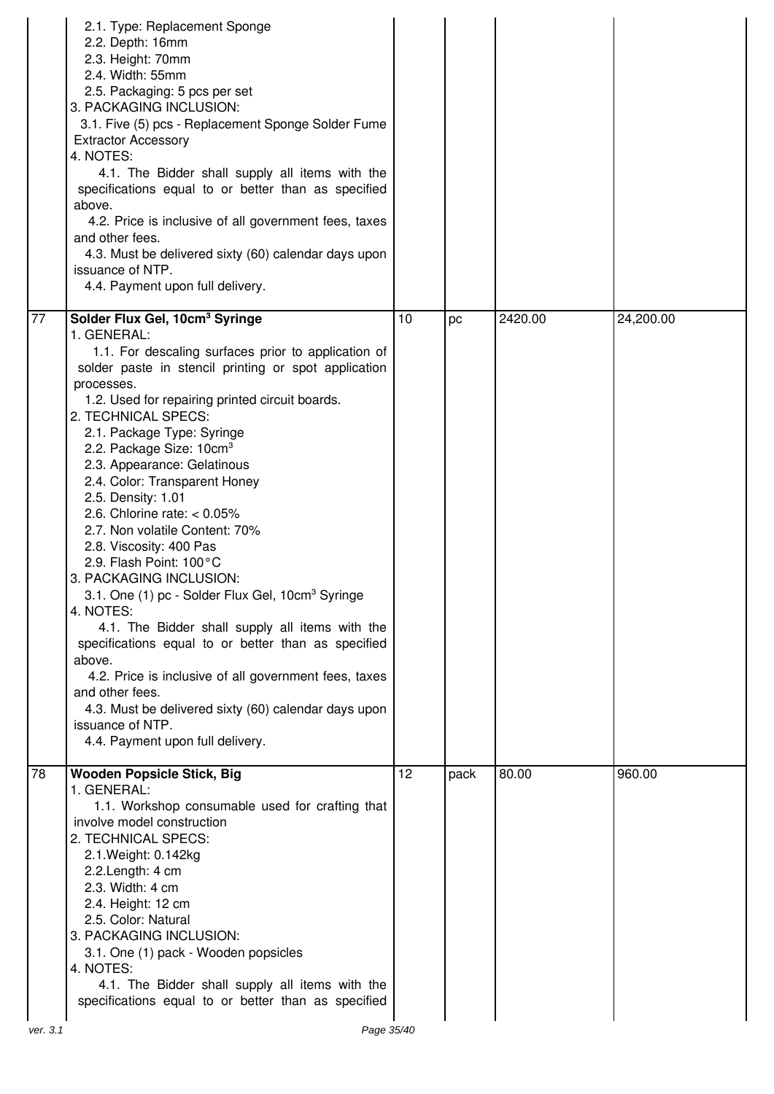|                 | 2.1. Type: Replacement Sponge<br>2.2. Depth: 16mm<br>2.3. Height: 70mm<br>2.4. Width: 55mm<br>2.5. Packaging: 5 pcs per set<br>3. PACKAGING INCLUSION:<br>3.1. Five (5) pcs - Replacement Sponge Solder Fume<br><b>Extractor Accessory</b><br>4. NOTES:<br>4.1. The Bidder shall supply all items with the<br>specifications equal to or better than as specified<br>above.<br>4.2. Price is inclusive of all government fees, taxes<br>and other fees.<br>4.3. Must be delivered sixty (60) calendar days upon<br>issuance of NTP.<br>4.4. Payment upon full delivery.                                                                                                                                                                                                                                                                                                                                                                                                        |    |      |         |           |
|-----------------|--------------------------------------------------------------------------------------------------------------------------------------------------------------------------------------------------------------------------------------------------------------------------------------------------------------------------------------------------------------------------------------------------------------------------------------------------------------------------------------------------------------------------------------------------------------------------------------------------------------------------------------------------------------------------------------------------------------------------------------------------------------------------------------------------------------------------------------------------------------------------------------------------------------------------------------------------------------------------------|----|------|---------|-----------|
| $\overline{77}$ | Solder Flux Gel, 10cm <sup>3</sup> Syringe<br>1. GENERAL:<br>1.1. For descaling surfaces prior to application of<br>solder paste in stencil printing or spot application<br>processes.<br>1.2. Used for repairing printed circuit boards.<br>2. TECHNICAL SPECS:<br>2.1. Package Type: Syringe<br>2.2. Package Size: 10cm <sup>3</sup><br>2.3. Appearance: Gelatinous<br>2.4. Color: Transparent Honey<br>2.5. Density: 1.01<br>2.6. Chlorine rate: $< 0.05\%$<br>2.7. Non volatile Content: 70%<br>2.8. Viscosity: 400 Pas<br>2.9. Flash Point: 100°C<br>3. PACKAGING INCLUSION:<br>3.1. One (1) pc - Solder Flux Gel, 10cm <sup>3</sup> Syringe<br>4. NOTES:<br>4.1. The Bidder shall supply all items with the<br>specifications equal to or better than as specified<br>above.<br>4.2. Price is inclusive of all government fees, taxes<br>and other fees.<br>4.3. Must be delivered sixty (60) calendar days upon<br>issuance of NTP.<br>4.4. Payment upon full delivery. | 10 | pc   | 2420.00 | 24,200.00 |
| 78              | <b>Wooden Popsicle Stick, Big</b><br>1. GENERAL:<br>1.1. Workshop consumable used for crafting that<br>involve model construction<br>2. TECHNICAL SPECS:<br>2.1. Weight: 0.142kg<br>2.2. Length: 4 cm<br>2.3. Width: 4 cm<br>2.4. Height: 12 cm<br>2.5. Color: Natural<br>3. PACKAGING INCLUSION:<br>3.1. One (1) pack - Wooden popsicles<br>4. NOTES:<br>4.1. The Bidder shall supply all items with the<br>specifications equal to or better than as specified                                                                                                                                                                                                                                                                                                                                                                                                                                                                                                               | 12 | pack | 80.00   | 960.00    |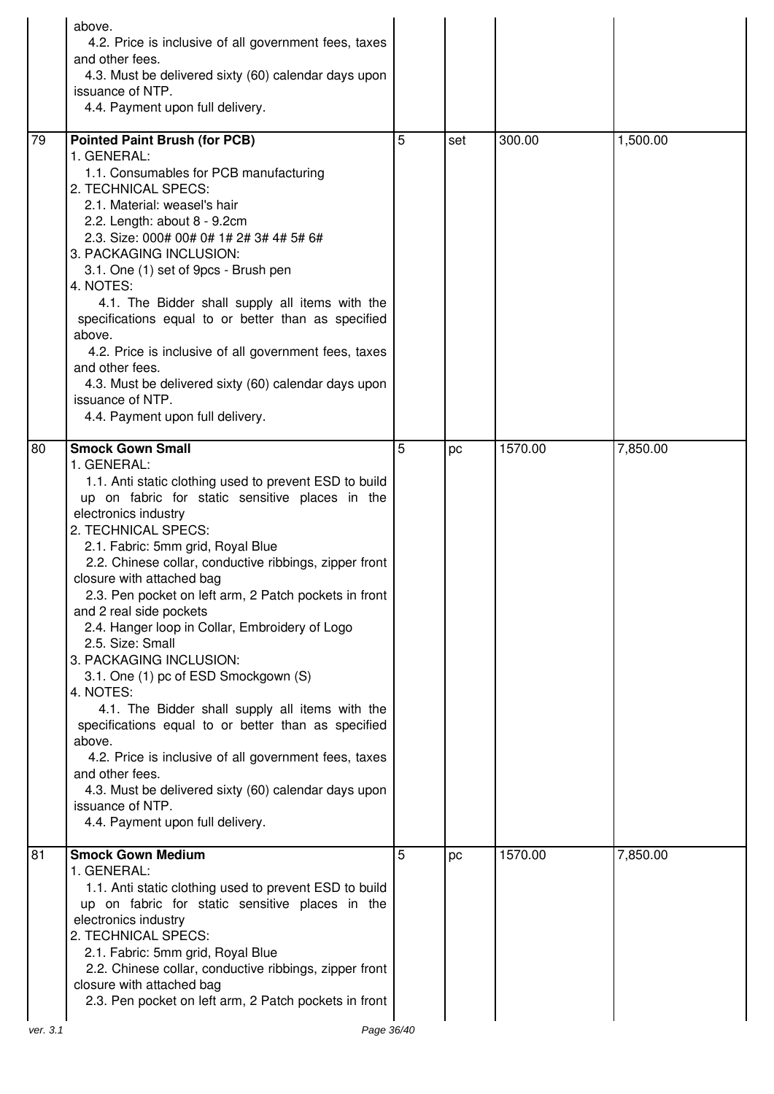|          | above.<br>4.2. Price is inclusive of all government fees, taxes<br>and other fees.<br>4.3. Must be delivered sixty (60) calendar days upon<br>issuance of NTP.<br>4.4. Payment upon full delivery.                                                                                                                                                                                                                                                                                                                                                                                                                                                                                                                                                                                                                                                                                       |   |     |         |          |
|----------|------------------------------------------------------------------------------------------------------------------------------------------------------------------------------------------------------------------------------------------------------------------------------------------------------------------------------------------------------------------------------------------------------------------------------------------------------------------------------------------------------------------------------------------------------------------------------------------------------------------------------------------------------------------------------------------------------------------------------------------------------------------------------------------------------------------------------------------------------------------------------------------|---|-----|---------|----------|
| 79       | <b>Pointed Paint Brush (for PCB)</b><br>1. GENERAL:<br>1.1. Consumables for PCB manufacturing<br>2. TECHNICAL SPECS:<br>2.1. Material: weasel's hair<br>2.2. Length: about 8 - 9.2cm<br>2.3. Size: 000# 00# 0# 1# 2# 3# 4# 5# 6#<br>3. PACKAGING INCLUSION:<br>3.1. One (1) set of 9pcs - Brush pen<br>4. NOTES:<br>4.1. The Bidder shall supply all items with the<br>specifications equal to or better than as specified<br>above.<br>4.2. Price is inclusive of all government fees, taxes<br>and other fees.<br>4.3. Must be delivered sixty (60) calendar days upon<br>issuance of NTP.<br>4.4. Payment upon full delivery.                                                                                                                                                                                                                                                         | 5 | set | 300.00  | 1,500.00 |
| 80       | <b>Smock Gown Small</b><br>1. GENERAL:<br>1.1. Anti static clothing used to prevent ESD to build<br>up on fabric for static sensitive places in the<br>electronics industry<br>2. TECHNICAL SPECS:<br>2.1. Fabric: 5mm grid, Royal Blue<br>2.2. Chinese collar, conductive ribbings, zipper front<br>closure with attached bag<br>2.3. Pen pocket on left arm, 2 Patch pockets in front<br>and 2 real side pockets<br>2.4. Hanger loop in Collar, Embroidery of Logo<br>2.5. Size: Small<br>3. PACKAGING INCLUSION:<br>3.1. One (1) pc of ESD Smockgown (S)<br>4. NOTES:<br>4.1. The Bidder shall supply all items with the<br>specifications equal to or better than as specified<br>above.<br>4.2. Price is inclusive of all government fees, taxes<br>and other fees.<br>4.3. Must be delivered sixty (60) calendar days upon<br>issuance of NTP.<br>4.4. Payment upon full delivery. | 5 | pc  | 1570.00 | 7,850.00 |
| 81       | <b>Smock Gown Medium</b><br>1. GENERAL:<br>1.1. Anti static clothing used to prevent ESD to build<br>up on fabric for static sensitive places in the<br>electronics industry<br>2. TECHNICAL SPECS:<br>2.1. Fabric: 5mm grid, Royal Blue<br>2.2. Chinese collar, conductive ribbings, zipper front<br>closure with attached bag<br>2.3. Pen pocket on left arm, 2 Patch pockets in front                                                                                                                                                                                                                                                                                                                                                                                                                                                                                                 | 5 | рc  | 1570.00 | 7,850.00 |
| ver. 3.1 | Page 36/40                                                                                                                                                                                                                                                                                                                                                                                                                                                                                                                                                                                                                                                                                                                                                                                                                                                                               |   |     |         |          |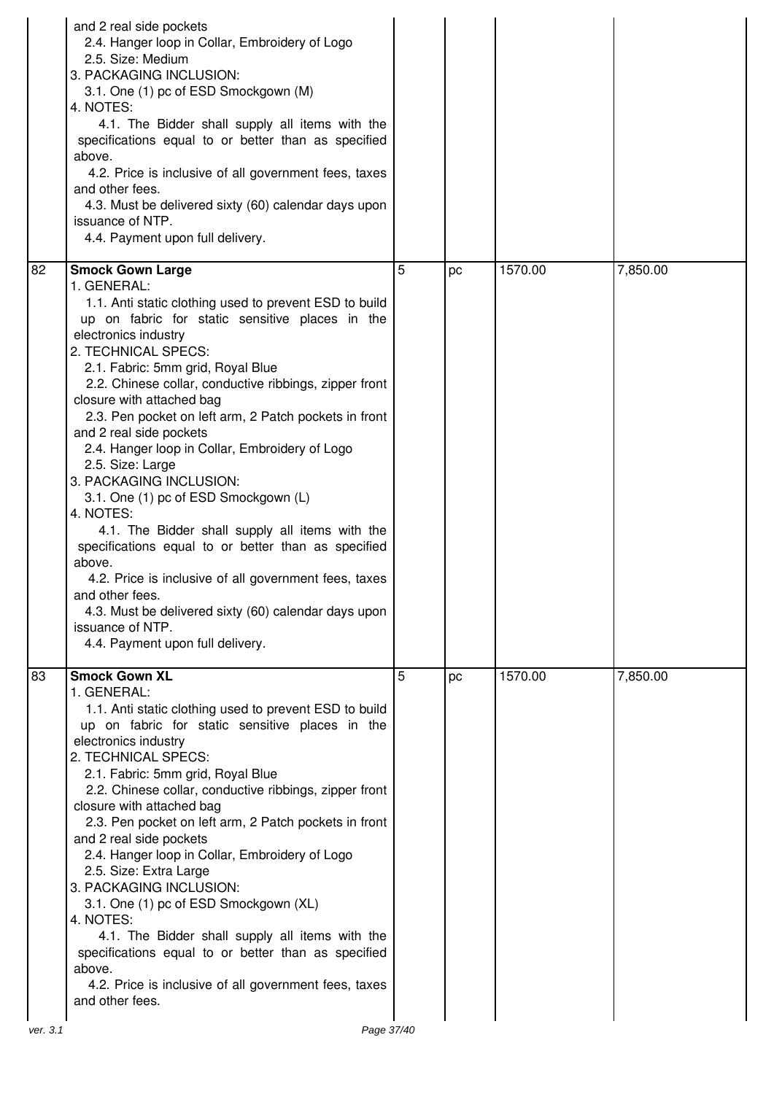|    | and 2 real side pockets<br>2.4. Hanger loop in Collar, Embroidery of Logo<br>2.5. Size: Medium<br>3. PACKAGING INCLUSION:<br>3.1. One (1) pc of ESD Smockgown (M)<br>4. NOTES:<br>4.1. The Bidder shall supply all items with the<br>specifications equal to or better than as specified<br>above.<br>4.2. Price is inclusive of all government fees, taxes<br>and other fees.<br>4.3. Must be delivered sixty (60) calendar days upon<br>issuance of NTP.<br>4.4. Payment upon full delivery.                                                                                                                                                                                                                                                                                                                                                                                           |   |    |         |          |
|----|------------------------------------------------------------------------------------------------------------------------------------------------------------------------------------------------------------------------------------------------------------------------------------------------------------------------------------------------------------------------------------------------------------------------------------------------------------------------------------------------------------------------------------------------------------------------------------------------------------------------------------------------------------------------------------------------------------------------------------------------------------------------------------------------------------------------------------------------------------------------------------------|---|----|---------|----------|
| 82 | <b>Smock Gown Large</b><br>1. GENERAL:<br>1.1. Anti static clothing used to prevent ESD to build<br>up on fabric for static sensitive places in the<br>electronics industry<br>2. TECHNICAL SPECS:<br>2.1. Fabric: 5mm grid, Royal Blue<br>2.2. Chinese collar, conductive ribbings, zipper front<br>closure with attached bag<br>2.3. Pen pocket on left arm, 2 Patch pockets in front<br>and 2 real side pockets<br>2.4. Hanger loop in Collar, Embroidery of Logo<br>2.5. Size: Large<br>3. PACKAGING INCLUSION:<br>3.1. One (1) pc of ESD Smockgown (L)<br>4. NOTES:<br>4.1. The Bidder shall supply all items with the<br>specifications equal to or better than as specified<br>above.<br>4.2. Price is inclusive of all government fees, taxes<br>and other fees.<br>4.3. Must be delivered sixty (60) calendar days upon<br>issuance of NTP.<br>4.4. Payment upon full delivery. | 5 | pc | 1570.00 | 7,850.00 |
| 83 | <b>Smock Gown XL</b><br>1. GENERAL:<br>1.1. Anti static clothing used to prevent ESD to build<br>up on fabric for static sensitive places in the<br>electronics industry<br>2. TECHNICAL SPECS:<br>2.1. Fabric: 5mm grid, Royal Blue<br>2.2. Chinese collar, conductive ribbings, zipper front<br>closure with attached bag<br>2.3. Pen pocket on left arm, 2 Patch pockets in front<br>and 2 real side pockets<br>2.4. Hanger loop in Collar, Embroidery of Logo<br>2.5. Size: Extra Large<br>3. PACKAGING INCLUSION:<br>3.1. One (1) pc of ESD Smockgown (XL)<br>4. NOTES:<br>4.1. The Bidder shall supply all items with the<br>specifications equal to or better than as specified<br>above.<br>4.2. Price is inclusive of all government fees, taxes<br>and other fees.                                                                                                             | 5 | pc | 1570.00 | 7,850.00 |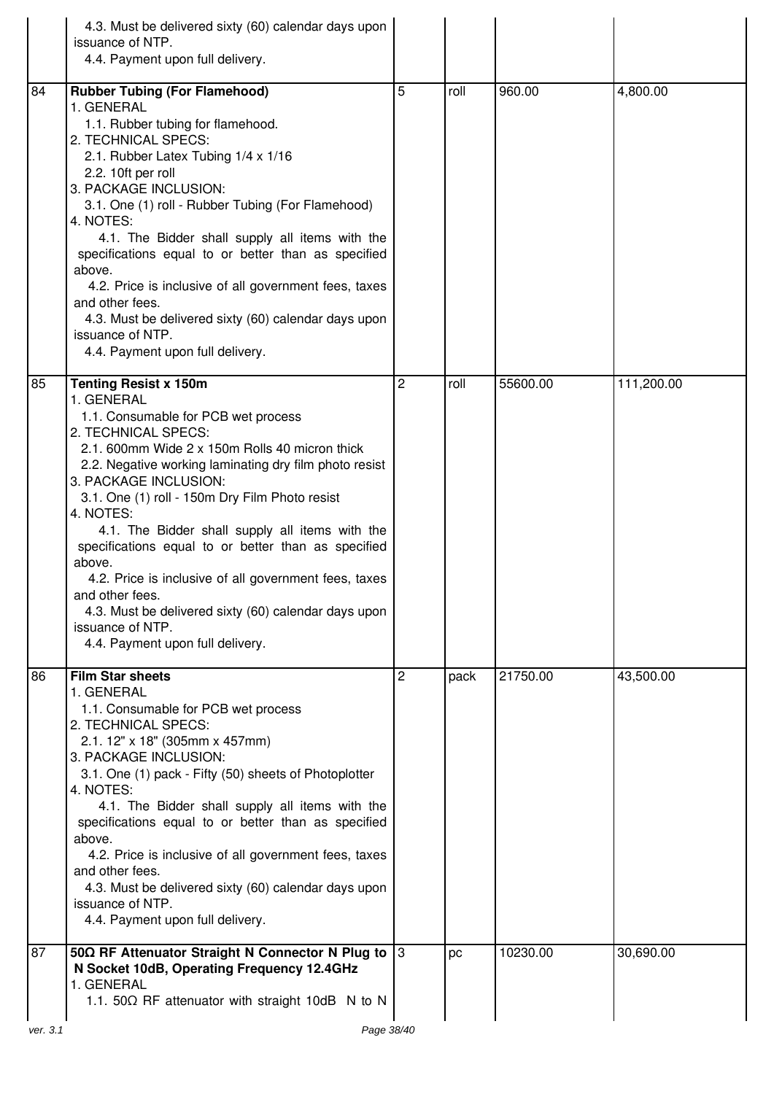|          | 4.3. Must be delivered sixty (60) calendar days upon<br>issuance of NTP.<br>4.4. Payment upon full delivery.                                                                                                                                                                                                                                                                                                                                                                                                                                                                                                                |   |      |          |            |
|----------|-----------------------------------------------------------------------------------------------------------------------------------------------------------------------------------------------------------------------------------------------------------------------------------------------------------------------------------------------------------------------------------------------------------------------------------------------------------------------------------------------------------------------------------------------------------------------------------------------------------------------------|---|------|----------|------------|
| 84       | <b>Rubber Tubing (For Flamehood)</b><br>1. GENERAL<br>1.1. Rubber tubing for flamehood.<br>2. TECHNICAL SPECS:<br>2.1. Rubber Latex Tubing 1/4 x 1/16<br>2.2. 10ft per roll<br>3. PACKAGE INCLUSION:<br>3.1. One (1) roll - Rubber Tubing (For Flamehood)<br>4. NOTES:<br>4.1. The Bidder shall supply all items with the<br>specifications equal to or better than as specified<br>above.<br>4.2. Price is inclusive of all government fees, taxes<br>and other fees.<br>4.3. Must be delivered sixty (60) calendar days upon<br>issuance of NTP.<br>4.4. Payment upon full delivery.                                      | 5 | roll | 960.00   | 4,800.00   |
| 85       | <b>Tenting Resist x 150m</b><br>1. GENERAL<br>1.1. Consumable for PCB wet process<br>2. TECHNICAL SPECS:<br>2.1. 600mm Wide 2 x 150m Rolls 40 micron thick<br>2.2. Negative working laminating dry film photo resist<br>3. PACKAGE INCLUSION:<br>3.1. One (1) roll - 150m Dry Film Photo resist<br>4. NOTES:<br>4.1. The Bidder shall supply all items with the<br>specifications equal to or better than as specified<br>above.<br>4.2. Price is inclusive of all government fees, taxes<br>and other fees<br>4.3. Must be delivered sixty (60) calendar days upon<br>issuance of NTP.<br>4.4. Payment upon full delivery. | 2 | roll | 55600.00 | 111,200.00 |
| 86       | <b>Film Star sheets</b><br>1. GENERAL<br>1.1. Consumable for PCB wet process<br>2. TECHNICAL SPECS:<br>2.1. 12" x 18" (305mm x 457mm)<br>3. PACKAGE INCLUSION:<br>3.1. One (1) pack - Fifty (50) sheets of Photoplotter<br>4. NOTES:<br>4.1. The Bidder shall supply all items with the<br>specifications equal to or better than as specified<br>above.<br>4.2. Price is inclusive of all government fees, taxes<br>and other fees.<br>4.3. Must be delivered sixty (60) calendar days upon<br>issuance of NTP.<br>4.4. Payment upon full delivery.                                                                        | 2 | pack | 21750.00 | 43,500.00  |
| 87       | 50 $\Omega$ RF Attenuator Straight N Connector N Plug to  3<br>N Socket 10dB, Operating Frequency 12.4GHz<br>1. GENERAL<br>1.1. 50 $\Omega$ RF attenuator with straight 10dB N to N                                                                                                                                                                                                                                                                                                                                                                                                                                         |   | pc   | 10230.00 | 30,690.00  |
| ver. 3.1 | Page 38/40                                                                                                                                                                                                                                                                                                                                                                                                                                                                                                                                                                                                                  |   |      |          |            |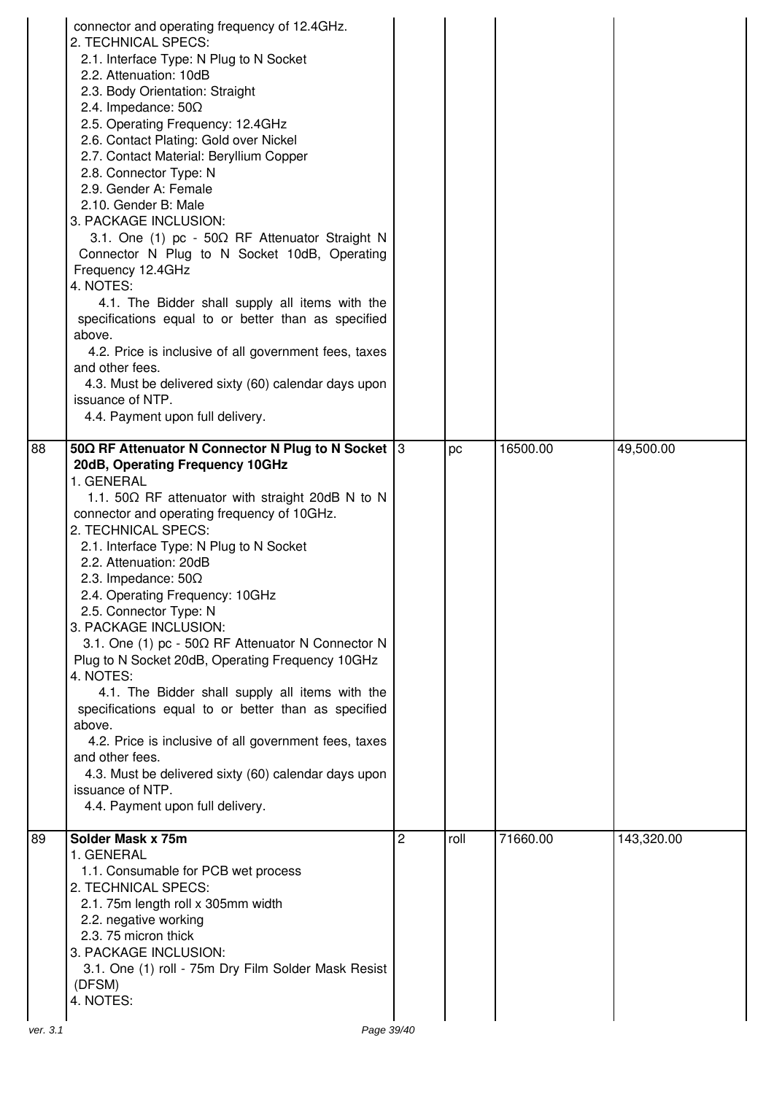| 88       | connector and operating frequency of 12.4GHz.<br>2. TECHNICAL SPECS:<br>2.1. Interface Type: N Plug to N Socket<br>2.2. Attenuation: 10dB<br>2.3. Body Orientation: Straight<br>2.4. Impedance: $50\Omega$<br>2.5. Operating Frequency: 12.4GHz<br>2.6. Contact Plating: Gold over Nickel<br>2.7. Contact Material: Beryllium Copper<br>2.8. Connector Type: N<br>2.9. Gender A: Female<br>2.10. Gender B: Male<br>3. PACKAGE INCLUSION:<br>3.1. One (1) pc - 50Ω RF Attenuator Straight N<br>Connector N Plug to N Socket 10dB, Operating<br>Frequency 12.4GHz<br>4. NOTES:<br>4.1. The Bidder shall supply all items with the<br>specifications equal to or better than as specified<br>above.<br>4.2. Price is inclusive of all government fees, taxes<br>and other fees.<br>4.3. Must be delivered sixty (60) calendar days upon<br>issuance of NTP.<br>4.4. Payment upon full delivery.<br>50 $\Omega$ RF Attenuator N Connector N Plug to N Socket 3 |   | pc   | 16500.00 | 49,500.00  |
|----------|------------------------------------------------------------------------------------------------------------------------------------------------------------------------------------------------------------------------------------------------------------------------------------------------------------------------------------------------------------------------------------------------------------------------------------------------------------------------------------------------------------------------------------------------------------------------------------------------------------------------------------------------------------------------------------------------------------------------------------------------------------------------------------------------------------------------------------------------------------------------------------------------------------------------------------------------------------|---|------|----------|------------|
|          | 20dB, Operating Frequency 10GHz<br>1. GENERAL<br>1.1. 50 $\Omega$ RF attenuator with straight 20dB N to N<br>connector and operating frequency of 10GHz.<br>2. TECHNICAL SPECS:<br>2.1. Interface Type: N Plug to N Socket<br>2.2. Attenuation: 20dB<br>2.3. Impedance: $50\Omega$<br>2.4. Operating Frequency: 10GHz<br>2.5. Connector Type: N<br>3. PACKAGE INCLUSION:<br>3.1. One (1) pc - 50Ω RF Attenuator N Connector N<br>Plug to N Socket 20dB, Operating Frequency 10GHz<br>4. NOTES:<br>4.1. The Bidder shall supply all items with the<br>specifications equal to or better than as specified<br>above.<br>4.2. Price is inclusive of all government fees, taxes<br>and other fees.<br>4.3. Must be delivered sixty (60) calendar days upon<br>issuance of NTP.<br>4.4. Payment upon full delivery.                                                                                                                                             |   |      |          |            |
| 89       | Solder Mask x 75m<br>1. GENERAL<br>1.1. Consumable for PCB wet process<br>2. TECHNICAL SPECS:<br>2.1. 75m length roll x 305mm width<br>2.2. negative working<br>2.3. 75 micron thick<br>3. PACKAGE INCLUSION:<br>3.1. One (1) roll - 75m Dry Film Solder Mask Resist<br>(DFSM)<br>4. NOTES:                                                                                                                                                                                                                                                                                                                                                                                                                                                                                                                                                                                                                                                                | 2 | roll | 71660.00 | 143,320.00 |
| ver. 3.1 | Page 39/40                                                                                                                                                                                                                                                                                                                                                                                                                                                                                                                                                                                                                                                                                                                                                                                                                                                                                                                                                 |   |      |          |            |